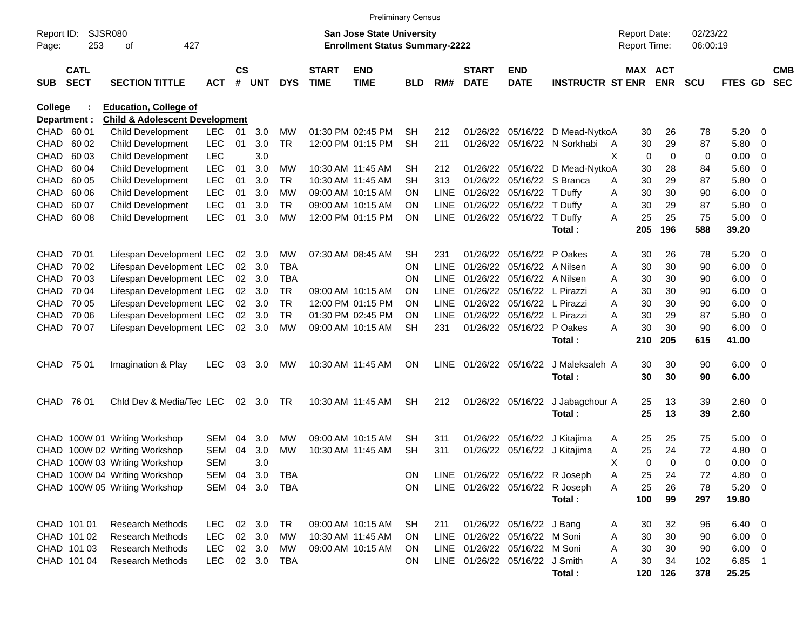|                     |                            |                                           |            |                    |            |            |                             | <b>Preliminary Census</b>                                                 |            |             |                             |                                |                                 |   |                                            |             |                      |               |                         |                          |
|---------------------|----------------------------|-------------------------------------------|------------|--------------------|------------|------------|-----------------------------|---------------------------------------------------------------------------|------------|-------------|-----------------------------|--------------------------------|---------------------------------|---|--------------------------------------------|-------------|----------------------|---------------|-------------------------|--------------------------|
| Report ID:<br>Page: | SJSR080<br>253             | 427<br>οf                                 |            |                    |            |            |                             | <b>San Jose State University</b><br><b>Enrollment Status Summary-2222</b> |            |             |                             |                                |                                 |   | <b>Report Date:</b><br><b>Report Time:</b> |             | 02/23/22<br>06:00:19 |               |                         |                          |
| <b>SUB</b>          | <b>CATL</b><br><b>SECT</b> | <b>SECTION TITTLE</b>                     | <b>ACT</b> | $\mathsf{cs}$<br># | <b>UNT</b> | <b>DYS</b> | <b>START</b><br><b>TIME</b> | <b>END</b><br><b>TIME</b>                                                 | <b>BLD</b> | RM#         | <b>START</b><br><b>DATE</b> | <b>END</b><br><b>DATE</b>      | <b>INSTRUCTR ST ENR</b>         |   | MAX ACT                                    | <b>ENR</b>  | <b>SCU</b>           | FTES GD       |                         | <b>CMB</b><br><b>SEC</b> |
| <b>College</b>      |                            | <b>Education, College of</b>              |            |                    |            |            |                             |                                                                           |            |             |                             |                                |                                 |   |                                            |             |                      |               |                         |                          |
| Department :        |                            | <b>Child &amp; Adolescent Development</b> |            |                    |            |            |                             |                                                                           |            |             |                             |                                |                                 |   |                                            |             |                      |               |                         |                          |
| CHAD 60 01          |                            | Child Development                         | <b>LEC</b> | 01                 | 3.0        | <b>MW</b>  |                             | 01:30 PM 02:45 PM                                                         | <b>SH</b>  | 212         | 01/26/22                    | 05/16/22                       | D Mead-NytkoA                   |   | 30                                         | 26          | 78                   | 5.20          | - 0                     |                          |
| <b>CHAD</b>         | 60 02                      | <b>Child Development</b>                  | <b>LEC</b> | 01                 | 3.0        | <b>TR</b>  |                             | 12:00 PM 01:15 PM                                                         | <b>SH</b>  | 211         | 01/26/22                    | 05/16/22                       | N Sorkhabi                      | A | 30                                         | 29          | 87                   | 5.80          | $\overline{0}$          |                          |
| <b>CHAD</b>         | 60 03                      | Child Development                         | <b>LEC</b> |                    | 3.0        |            |                             |                                                                           |            |             |                             |                                |                                 | X | 0                                          | $\mathbf 0$ | 0                    | 0.00          | 0                       |                          |
| <b>CHAD</b>         | 60 04                      | Child Development                         | <b>LEC</b> | 01                 | 3.0        | МW         | 10:30 AM 11:45 AM           |                                                                           | <b>SH</b>  | 212         | 01/26/22 05/16/22           |                                | D Mead-NytkoA                   |   | 30                                         | 28          | 84                   | 5.60          | 0                       |                          |
| <b>CHAD</b>         | 60 05                      | Child Development                         | <b>LEC</b> | 01                 | 3.0        | <b>TR</b>  |                             | 10:30 AM 11:45 AM                                                         | <b>SH</b>  | 313         | 01/26/22                    | 05/16/22                       | S Branca                        | A | 30                                         | 29          | 87                   | 5.80          | 0                       |                          |
| CHAD.               | 60 06                      | Child Development                         | <b>LEC</b> | 01                 | 3.0        | МW         |                             | 09:00 AM 10:15 AM                                                         | <b>ON</b>  | <b>LINE</b> | 01/26/22                    | 05/16/22                       | T Duffy                         | A | 30                                         | 30          | 90                   | 6.00          | 0                       |                          |
| <b>CHAD</b>         | 60 07                      | Child Development                         | <b>LEC</b> | 01                 | 3.0        | <b>TR</b>  |                             | 09:00 AM 10:15 AM                                                         | <b>ON</b>  | <b>LINE</b> | 01/26/22                    | 05/16/22                       | T Duffy                         | A | 30                                         | 29          | 87                   | 5.80          | 0                       |                          |
| CHAD                | 60 08                      | <b>Child Development</b>                  | <b>LEC</b> | 01                 | 3.0        | <b>MW</b>  |                             | 12:00 PM 01:15 PM                                                         | <b>ON</b>  | LINE        | 01/26/22 05/16/22           |                                | T Duffy                         | Α | 25                                         | 25          | 75                   | 5.00          | 0                       |                          |
|                     |                            |                                           |            |                    |            |            |                             |                                                                           |            |             |                             |                                | Total:                          |   | 205                                        | 196         | 588                  | 39.20         |                         |                          |
|                     |                            |                                           |            |                    |            |            |                             |                                                                           |            |             |                             |                                |                                 |   |                                            |             |                      |               |                         |                          |
| <b>CHAD</b>         | 70 01                      | Lifespan Development LEC                  |            | 02                 | 3.0        | МW         |                             | 07:30 AM 08:45 AM                                                         | SН         | 231         | 01/26/22                    | 05/16/22                       | P Oakes                         | A | 30                                         | 26          | 78                   | 5.20          | - 0                     |                          |
| <b>CHAD</b>         | 70 02                      | Lifespan Development LEC                  |            | $02\,$             | 3.0        | <b>TBA</b> |                             |                                                                           | <b>ON</b>  | <b>LINE</b> | 01/26/22                    | 05/16/22                       | A Nilsen                        | A | 30                                         | 30          | 90                   | 6.00          | 0                       |                          |
| CHAD.               | 70 03                      | Lifespan Development LEC                  |            | 02                 | 3.0        | <b>TBA</b> |                             |                                                                           | <b>ON</b>  | <b>LINE</b> | 01/26/22                    | 05/16/22                       | A Nilsen                        | A | 30                                         | 30          | 90                   | 6.00          | 0                       |                          |
| <b>CHAD</b>         | 70 04                      | Lifespan Development LEC                  |            | 02                 | 3.0        | <b>TR</b>  |                             | 09:00 AM 10:15 AM                                                         | <b>ON</b>  | <b>LINE</b> | 01/26/22                    | 05/16/22                       | L Pirazzi                       | Α | 30                                         | 30          | 90                   | 6.00          | 0                       |                          |
| CHAD.               | 70 05                      | Lifespan Development LEC                  |            | 02                 | 3.0        | <b>TR</b>  |                             | 12:00 PM 01:15 PM                                                         | <b>ON</b>  | <b>LINE</b> | 01/26/22                    | 05/16/22                       | L Pirazzi                       | Α | 30                                         | 30          | 90                   | 6.00          | 0                       |                          |
| CHAD.               | 70 06                      | Lifespan Development LEC                  |            | 02 <sub>o</sub>    | 3.0        | <b>TR</b>  |                             | 01:30 PM 02:45 PM                                                         | <b>ON</b>  | <b>LINE</b> | 01/26/22                    | 05/16/22                       | L Pirazzi                       | Α | 30                                         | 29          | 87                   | 5.80          | 0                       |                          |
| CHAD                | 70 07                      | Lifespan Development LEC                  |            | 02 <sub>o</sub>    | 3.0        | <b>MW</b>  |                             | 09:00 AM 10:15 AM                                                         | <b>SH</b>  | 231         |                             | 01/26/22 05/16/22              | P Oakes                         | Α | 30                                         | 30          | 90                   | 6.00          | 0                       |                          |
|                     |                            |                                           |            |                    |            |            |                             |                                                                           |            |             |                             |                                | Total:                          |   | 210                                        | 205         | 615                  | 41.00         |                         |                          |
|                     |                            |                                           |            |                    |            |            |                             |                                                                           |            |             |                             |                                |                                 |   |                                            |             |                      |               |                         |                          |
| CHAD 75 01          |                            | Imagination & Play                        | <b>LEC</b> | 03                 | 3.0        | MW         |                             | 10:30 AM 11:45 AM                                                         | <b>ON</b>  | LINE.       | 01/26/22 05/16/22           |                                | J Maleksaleh A                  |   | 30                                         | 30          | 90                   | 6.00          | $\overline{\mathbf{0}}$ |                          |
|                     |                            |                                           |            |                    |            |            |                             |                                                                           |            |             |                             |                                | Total:                          |   | 30                                         | 30          | 90                   | 6.00          |                         |                          |
| CHAD                | 76 01                      | Chid Dev & Media/Tec LEC                  |            | 02                 | 3.0        | <b>TR</b>  |                             | 10:30 AM 11:45 AM                                                         | <b>SH</b>  | 212         |                             | 01/26/22 05/16/22              | J Jabagchour A                  |   | 25                                         | 13          | 39                   | 2.60          | $\overline{\mathbf{0}}$ |                          |
|                     |                            |                                           |            |                    |            |            |                             |                                                                           |            |             |                             |                                | Total:                          |   | 25                                         | 13          | 39                   | 2.60          |                         |                          |
|                     |                            |                                           |            |                    |            |            |                             |                                                                           |            |             |                             |                                |                                 |   |                                            |             |                      |               |                         |                          |
|                     |                            | CHAD 100W 01 Writing Workshop             | <b>SEM</b> | 04                 | 3.0        | МW         |                             | 09:00 AM 10:15 AM                                                         | SH         | 311         | 01/26/22                    | 05/16/22                       | J Kitajima                      | A | 25                                         | 25          | 75                   | 5.00          | 0                       |                          |
| <b>CHAD</b>         |                            | 100W 02 Writing Workshop                  | <b>SEM</b> | 04                 | 3.0        | МW         | 10:30 AM 11:45 AM           |                                                                           | <b>SH</b>  | 311         | 01/26/22                    | 05/16/22                       | J Kitajima                      | A | 25                                         | 24          | 72                   | 4.80          | 0                       |                          |
|                     |                            | CHAD 100W 03 Writing Workshop             | <b>SEM</b> |                    | 3.0        |            |                             |                                                                           |            |             |                             |                                |                                 | X | 0                                          | 0           | $\mathbf 0$          | 0.00          | 0                       |                          |
|                     |                            | CHAD 100W 04 Writing Workshop             | SEM 04     |                    | 3.0        | TBA        |                             |                                                                           | ON         |             |                             |                                | LINE 01/26/22 05/16/22 R Joseph | Α | 25                                         | 24          | 72                   | 4.80          | $\overline{\mathbf{0}}$ |                          |
|                     |                            | CHAD 100W 05 Writing Workshop             | SEM 04     |                    | 3.0        | TBA        |                             |                                                                           | ON         |             |                             |                                | LINE 01/26/22 05/16/22 R Joseph | A | 25                                         | 26          | 78                   | $5.20 \ 0$    |                         |                          |
|                     |                            |                                           |            |                    |            |            |                             |                                                                           |            |             |                             |                                | Total:                          |   | 100                                        | 99          | 297                  | 19.80         |                         |                          |
|                     |                            |                                           |            |                    |            |            |                             |                                                                           |            |             |                             |                                |                                 |   |                                            |             |                      |               |                         |                          |
|                     | CHAD 101 01                | <b>Research Methods</b>                   | <b>LEC</b> |                    | 02 3.0     | TR         |                             | 09:00 AM 10:15 AM                                                         | SH         | 211         |                             | 01/26/22 05/16/22 J Bang       |                                 | A | 30                                         | 32          | 96                   | $6.40\quad 0$ |                         |                          |
|                     | CHAD 101 02                | <b>Research Methods</b>                   | <b>LEC</b> |                    | 02 3.0     | МW         | 10:30 AM 11:45 AM           |                                                                           | <b>ON</b>  |             |                             | LINE 01/26/22 05/16/22 M Soni  |                                 | Α | 30                                         | 30          | 90                   | $6.00 \t 0$   |                         |                          |
|                     | CHAD 101 03                | <b>Research Methods</b>                   | <b>LEC</b> |                    | 02 3.0     | МW         |                             | 09:00 AM 10:15 AM                                                         | <b>ON</b>  |             |                             | LINE 01/26/22 05/16/22 M Soni  |                                 | Α | 30                                         | 30          | 90                   | $6.00 \t 0$   |                         |                          |
|                     | CHAD 101 04                | <b>Research Methods</b>                   | <b>LEC</b> |                    | 02 3.0     | TBA        |                             |                                                                           | <b>ON</b>  |             |                             | LINE 01/26/22 05/16/22 J Smith |                                 | Α | 30                                         | 34          | 102                  | $6.85$ 1      |                         |                          |
|                     |                            |                                           |            |                    |            |            |                             |                                                                           |            |             |                             |                                | Total:                          |   | 120                                        | 126         | 378                  | 25.25         |                         |                          |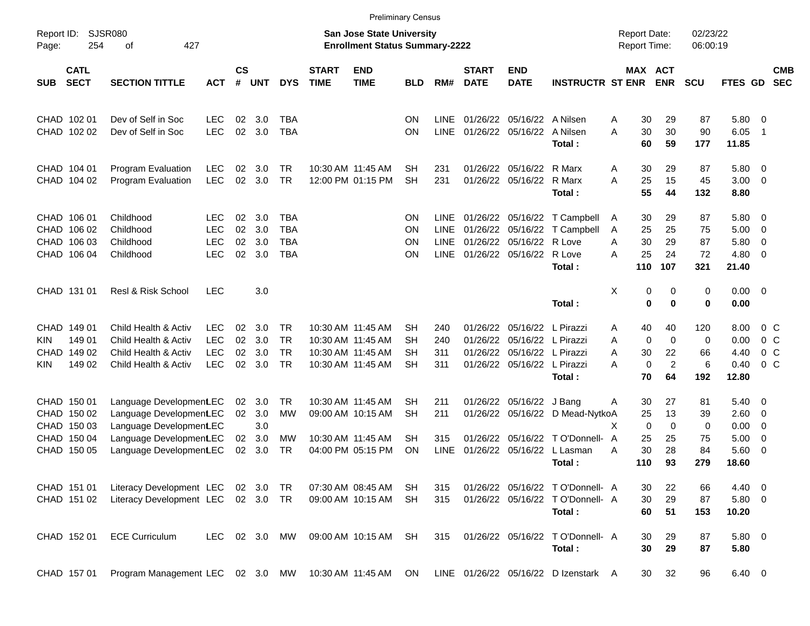|                            |                            |                                                                      |                                        |                |                   |                                     |                             |                                                                           | <b>Preliminary Census</b>           |                            |                                  |                                  |                                                                               |                                     |                       |                         |                      |                         |                                                    |                          |
|----------------------------|----------------------------|----------------------------------------------------------------------|----------------------------------------|----------------|-------------------|-------------------------------------|-----------------------------|---------------------------------------------------------------------------|-------------------------------------|----------------------------|----------------------------------|----------------------------------|-------------------------------------------------------------------------------|-------------------------------------|-----------------------|-------------------------|----------------------|-------------------------|----------------------------------------------------|--------------------------|
| Report ID:<br>Page:        | 254                        | <b>SJSR080</b><br>427<br>оf                                          |                                        |                |                   |                                     |                             | <b>San Jose State University</b><br><b>Enrollment Status Summary-2222</b> |                                     |                            |                                  |                                  |                                                                               | <b>Report Date:</b><br>Report Time: |                       |                         | 02/23/22<br>06:00:19 |                         |                                                    |                          |
| <b>SUB</b>                 | <b>CATL</b><br><b>SECT</b> | <b>SECTION TITTLE</b>                                                | <b>ACT</b>                             | <b>CS</b><br># | <b>UNT</b>        | <b>DYS</b>                          | <b>START</b><br><b>TIME</b> | <b>END</b><br><b>TIME</b>                                                 | BLD                                 | RM#                        | <b>START</b><br><b>DATE</b>      | <b>END</b><br><b>DATE</b>        | <b>INSTRUCTR ST ENR</b>                                                       |                                     | MAX ACT<br><b>ENR</b> |                         | <b>SCU</b>           | <b>FTES GD</b>          |                                                    | <b>CMB</b><br><b>SEC</b> |
|                            | CHAD 102 01<br>CHAD 102 02 | Dev of Self in Soc<br>Dev of Self in Soc                             | <b>LEC</b><br><b>LEC</b>               | 02<br>02       | 3.0<br>3.0        | TBA<br><b>TBA</b>                   |                             |                                                                           | <b>ON</b><br><b>ON</b>              | <b>LINE</b><br><b>LINE</b> | 01/26/22                         | 05/16/22<br>01/26/22 05/16/22    | A Nilsen<br>A Nilsen                                                          | Α<br>A                              | 30<br>30              | 29<br>30                | 87<br>90             | 5.80<br>6.05            | $\overline{\mathbf{0}}$<br>-1                      |                          |
|                            |                            |                                                                      |                                        |                |                   |                                     |                             |                                                                           |                                     |                            |                                  |                                  | Total:                                                                        |                                     | 60                    | 59                      | 177                  | 11.85                   |                                                    |                          |
|                            | CHAD 104 01<br>CHAD 104 02 | Program Evaluation<br><b>Program Evaluation</b>                      | <b>LEC</b><br><b>LEC</b>               | 02<br>02       | 3.0<br>3.0        | <b>TR</b><br><b>TR</b>              |                             | 10:30 AM 11:45 AM<br>12:00 PM 01:15 PM                                    | <b>SH</b><br><b>SH</b>              | 231<br>231                 | 01/26/22                         | 05/16/22<br>01/26/22 05/16/22    | R Marx<br>R Marx<br>Total:                                                    | A<br>A                              | 30<br>25<br>55        | 29<br>15<br>44          | 87<br>45<br>132      | 5.80<br>3.00<br>8.80    | $\overline{\mathbf{0}}$<br>$\overline{0}$          |                          |
| CHAD                       | CHAD 106 01<br>106 02      | Childhood<br>Childhood                                               | <b>LEC</b><br><b>LEC</b>               | 02<br>02       | 3.0<br>3.0        | <b>TBA</b><br><b>TBA</b>            |                             |                                                                           | <b>ON</b><br><b>ON</b>              | <b>LINE</b><br><b>LINE</b> | 01/26/22                         | 01/26/22 05/16/22<br>05/16/22    | T Campbell<br>T Campbell                                                      | A<br>A                              | 30<br>25              | 29<br>25                | 87<br>75             | 5.80<br>5.00            | $\overline{\mathbf{0}}$<br>$\mathbf 0$             |                          |
| CHAD                       | 106 03<br>CHAD 106 04      | Childhood<br>Childhood                                               | <b>LEC</b><br><b>LEC</b>               | 02<br>02       | 3.0<br>3.0        | <b>TBA</b><br><b>TBA</b>            |                             |                                                                           | <b>ON</b><br><b>ON</b>              | <b>LINE</b><br><b>LINE</b> | 01/26/22                         | 05/16/22<br>01/26/22 05/16/22    | R Love<br>R Love                                                              | Α<br>A                              | 30<br>25              | 29<br>24                | 87<br>72             | 5.80<br>4.80            | $\mathbf 0$<br>$\overline{0}$                      |                          |
|                            | CHAD 131 01                | <b>Resl &amp; Risk School</b>                                        | <b>LEC</b>                             |                | 3.0               |                                     |                             |                                                                           |                                     |                            |                                  |                                  | Total:                                                                        | X                                   | 110<br>0              | 107<br>0                | 321<br>0             | 21.40<br>0.00           | $\overline{\mathbf{0}}$                            |                          |
|                            |                            |                                                                      |                                        |                |                   |                                     |                             |                                                                           |                                     |                            |                                  |                                  | Total:                                                                        |                                     | $\bf{0}$              | 0                       | 0                    | 0.00                    |                                                    |                          |
| CHAD<br><b>KIN</b><br>CHAD | 149 01<br>149 01<br>149 02 | Child Health & Activ<br>Child Health & Activ<br>Child Health & Activ | <b>LEC</b><br><b>LEC</b><br><b>LEC</b> | 02<br>02<br>02 | 3.0<br>3.0<br>3.0 | <b>TR</b><br><b>TR</b><br><b>TR</b> |                             | 10:30 AM 11:45 AM<br>10:30 AM 11:45 AM<br>10:30 AM 11:45 AM               | <b>SH</b><br><b>SH</b><br><b>SH</b> | 240<br>240<br>311          | 01/26/22<br>01/26/22<br>01/26/22 | 05/16/22<br>05/16/22<br>05/16/22 | L Pirazzi<br>L Pirazzi<br>L Pirazzi                                           | A<br>Α<br>A                         | 40<br>0<br>30         | 40<br>$\mathbf 0$<br>22 | 120<br>0<br>66       | 8.00<br>0.00<br>4.40    | 0 <sup>o</sup><br>0 <sup>o</sup><br>0 <sup>o</sup> |                          |
| KIN.                       | 149 02                     | Child Health & Activ                                                 | <b>LEC</b>                             | 02             | 3.0               | <b>TR</b>                           |                             | 10:30 AM 11:45 AM                                                         | <b>SH</b>                           | 311                        |                                  | 01/26/22 05/16/22                | L Pirazzi<br>Total:                                                           | А                                   | 0<br>70               | $\overline{c}$<br>64    | 6<br>192             | 0.40<br>12.80           | $0\,C$                                             |                          |
| CHAD                       | CHAD 150 01<br>150 02      | Language Development.EC<br>Language Development.EC                   |                                        | 02<br>02       | 3.0<br>3.0        | <b>TR</b><br>MW                     |                             | 10:30 AM 11:45 AM<br>09:00 AM 10:15 AM                                    | <b>SH</b><br><b>SH</b>              | 211<br>211                 | 01/26/22                         | 01/26/22 05/16/22<br>05/16/22    | J Bang<br>D Mead-NytkoA                                                       | Α                                   | 30<br>25              | 27<br>13                | 81<br>39             | 5.40<br>2.60            | $\overline{\mathbf{0}}$<br>$\mathbf 0$             |                          |
|                            | CHAD 150 03<br>CHAD 150 04 | Language Development EC<br>Language Development.EC                   |                                        | 02             | 3.0<br>3.0        | MW                                  |                             | 10:30 AM 11:45 AM                                                         | <b>SH</b>                           | 315                        | 01/26/22                         | 05/16/22                         | T O'Donnell- A                                                                | X                                   | 0<br>25               | $\mathbf 0$<br>25       | 0<br>75              | 0.00<br>5.00            | $\mathbf 0$<br>$\mathbf 0$                         |                          |
| CHAD                       | 150 05                     | Language Development.EC                                              |                                        | 02             | 3.0               | TR                                  |                             | 04:00 PM 05:15 PM                                                         | ON                                  | LINE                       | 01/26/22                         | 05/16/22                         | L Lasman<br>Total:                                                            | A<br>110                            | 30                    | 28<br>93                | 84<br>279            | 5.60<br>18.60           | 0                                                  |                          |
|                            | CHAD 151 01<br>CHAD 151 02 | Literacy Development LEC<br>Literacy Development LEC 02 3.0          |                                        |                | $02 \quad 3.0$    | TR<br><b>TR</b>                     |                             | 07:30 AM 08:45 AM<br>09:00 AM 10:15 AM                                    | <b>SH</b><br><b>SH</b>              | 315<br>315                 |                                  |                                  | 01/26/22 05/16/22 TO'Donnell- A<br>01/26/22 05/16/22 T O'Donnell- A<br>Total: |                                     | 30<br>30<br>60        | 22<br>29<br>51          | 66<br>87<br>153      | 4.40<br>5.80 0<br>10.20 | $\overline{\phantom{0}}$                           |                          |
|                            | CHAD 152 01                | <b>ECE Curriculum</b>                                                | <b>LEC</b>                             |                | 02 3.0            | MW                                  |                             | 09:00 AM 10:15 AM                                                         | <b>SH</b>                           | 315                        |                                  |                                  | 01/26/22 05/16/22 T O'Donnell- A<br>Total:                                    |                                     | 30<br>30              | 29<br>29                | 87<br>87             | 5.80 0<br>5.80          |                                                    |                          |
|                            | CHAD 157 01                | Program Management LEC 02 3.0 MW 10:30 AM 11:45 AM                   |                                        |                |                   |                                     |                             |                                                                           | ON                                  |                            |                                  |                                  | LINE 01/26/22 05/16/22 D Izenstark A                                          |                                     | 30                    | 32                      | 96                   | 6.40 0                  |                                                    |                          |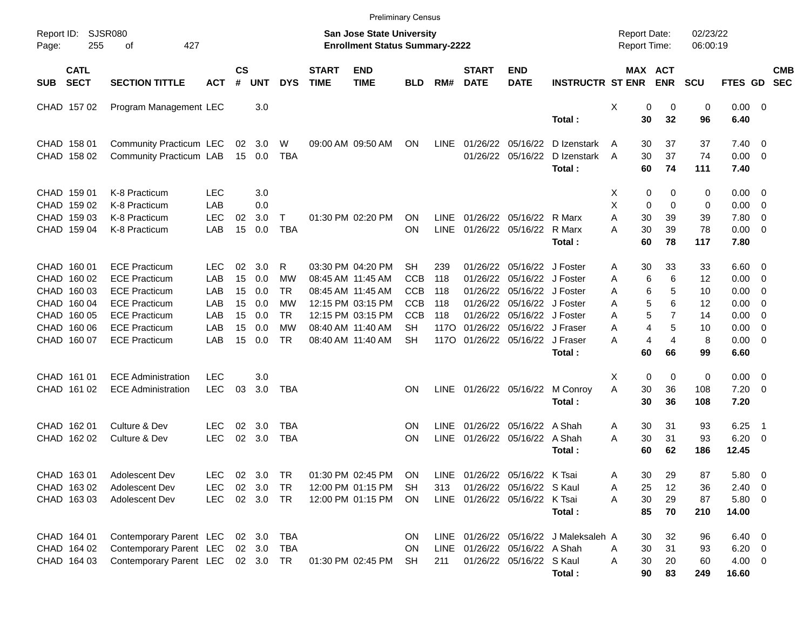|                     |                            |                                   |            |                    |            |                        |                             | <b>Preliminary Census</b>                                          |            |             |                             |                               |                                       |                                     |                       |                      |                     |                          |                          |
|---------------------|----------------------------|-----------------------------------|------------|--------------------|------------|------------------------|-----------------------------|--------------------------------------------------------------------|------------|-------------|-----------------------------|-------------------------------|---------------------------------------|-------------------------------------|-----------------------|----------------------|---------------------|--------------------------|--------------------------|
| Report ID:<br>Page: | 255                        | <b>SJSR080</b><br>427<br>οf       |            |                    |            |                        |                             | San Jose State University<br><b>Enrollment Status Summary-2222</b> |            |             |                             |                               |                                       | <b>Report Date:</b><br>Report Time: |                       | 02/23/22<br>06:00:19 |                     |                          |                          |
| <b>SUB</b>          | <b>CATL</b><br><b>SECT</b> | <b>SECTION TITTLE</b>             | <b>ACT</b> | $\mathsf{cs}$<br># | <b>UNT</b> | <b>DYS</b>             | <b>START</b><br><b>TIME</b> | <b>END</b><br><b>TIME</b>                                          | <b>BLD</b> | RM#         | <b>START</b><br><b>DATE</b> | <b>END</b><br><b>DATE</b>     | <b>INSTRUCTR ST ENR</b>               |                                     | MAX ACT<br><b>ENR</b> | <b>SCU</b>           | <b>FTES GD</b>      |                          | <b>CMB</b><br><b>SEC</b> |
|                     | CHAD 157 02                | Program Management LEC            |            |                    | 3.0        |                        |                             |                                                                    |            |             |                             |                               |                                       | Χ<br>0                              | 0                     | 0                    | $0.00 \t 0$         |                          |                          |
|                     |                            |                                   |            |                    |            |                        |                             |                                                                    |            |             |                             |                               | Total:                                | 30                                  | 32                    | 96                   | 6.40                |                          |                          |
|                     | CHAD 158 01                | Community Practicum LEC           |            | 02                 | 3.0        | W                      |                             | 09:00 AM 09:50 AM                                                  | ON         | <b>LINE</b> | 01/26/22                    | 05/16/22                      | D Izenstark                           | 30<br>A                             | 37                    | 37                   | $7.40 \quad 0$      |                          |                          |
|                     | CHAD 158 02                | Community Practicum LAB           |            |                    | 15 0.0     | TBA                    |                             |                                                                    |            |             |                             | 01/26/22 05/16/22             | D Izenstark                           | 30<br>A                             | 37                    | 74                   | $0.00 \t 0$         |                          |                          |
|                     |                            |                                   |            |                    |            |                        |                             |                                                                    |            |             |                             |                               | Total:                                | 60                                  | 74                    | 111                  | 7.40                |                          |                          |
|                     | CHAD 159 01                | K-8 Practicum                     | <b>LEC</b> |                    | 3.0        |                        |                             |                                                                    |            |             |                             |                               |                                       | 0<br>X.                             | 0                     | 0                    | $0.00 \t 0$         |                          |                          |
|                     | CHAD 159 02                | K-8 Practicum                     | LAB        |                    | 0.0        |                        |                             |                                                                    |            |             |                             |                               |                                       | X<br>0                              | $\Omega$              | 0                    | 0.00                | $\overline{\mathbf{0}}$  |                          |
|                     | CHAD 159 03                | K-8 Practicum                     | <b>LEC</b> | 02                 | 3.0        | T                      |                             | 01:30 PM 02:20 PM                                                  | ΟN         | <b>LINE</b> | 01/26/22                    | 05/16/22 R Marx               |                                       | A<br>30                             | 39                    | 39                   | 7.80                | - 0                      |                          |
|                     | CHAD 159 04                | K-8 Practicum                     | LAB        | 15                 | 0.0        | <b>TBA</b>             |                             |                                                                    | ON         | <b>LINE</b> |                             | 01/26/22 05/16/22             | R Marx<br>Total:                      | A<br>30<br>60                       | 39<br>78              | 78<br>117            | $0.00 \t 0$<br>7.80 |                          |                          |
|                     |                            |                                   |            |                    |            |                        |                             |                                                                    |            |             |                             |                               |                                       |                                     |                       |                      |                     |                          |                          |
|                     | CHAD 160 01                | <b>ECE Practicum</b>              | LEC        | 02                 | 3.0        | R                      |                             | 03:30 PM 04:20 PM                                                  | SН         | 239         | 01/26/22                    | 05/16/22 J Foster             |                                       | 30<br>Α                             | 33                    | 33                   | $6.60$ 0            |                          |                          |
|                     | CHAD 160 02                | <b>ECE Practicum</b>              | LAB        | 15                 | 0.0        | <b>MW</b>              |                             | 08:45 AM 11:45 AM                                                  | <b>CCB</b> | 118         | 01/26/22                    | 05/16/22 J Foster             |                                       | 6<br>Α                              | 6                     | 12                   | 0.00                | $\overline{\phantom{0}}$ |                          |
|                     | CHAD 160 03                | <b>ECE Practicum</b>              | LAB        | 15                 | 0.0        | TR.                    |                             | 08:45 AM 11:45 AM                                                  | <b>CCB</b> | 118         | 01/26/22                    | 05/16/22 J Foster             |                                       | 6<br>Α                              | 5                     | 10                   | 0.00                | - 0                      |                          |
|                     | CHAD 160 04                | <b>ECE Practicum</b>              | LAB        | 15                 | 0.0        | МW                     |                             | 12:15 PM 03:15 PM                                                  | <b>CCB</b> | 118         | 01/26/22                    | 05/16/22 J Foster             |                                       | 5<br>Α                              | 6                     | 12                   | 0.00                | - 0                      |                          |
|                     | CHAD 160 05                | <b>ECE Practicum</b>              | LAB        | 15                 | 0.0        | TR.                    |                             | 12:15 PM 03:15 PM                                                  | <b>CCB</b> | 118         | 01/26/22                    | 05/16/22 J Foster             |                                       | 5<br>Α                              | $\overline{7}$        | 14                   | 0.00                | - 0                      |                          |
|                     | CHAD 160 06                | <b>ECE Practicum</b>              | LAB        | 15                 | 0.0        | <b>MW</b><br><b>TR</b> |                             | 08:40 AM 11:40 AM                                                  | SН         | 117O        | 01/26/22                    | 05/16/22 J Fraser             |                                       | 4<br>Α<br>4<br>А                    | 5<br>4                | 10<br>8              | 0.00                | - 0                      |                          |
|                     | CHAD 160 07                | <b>ECE Practicum</b>              | LAB        | 15                 | 0.0        |                        |                             | 08:40 AM 11:40 AM                                                  | <b>SH</b>  | 117O        |                             | 01/26/22 05/16/22 J Fraser    | Total:                                | 60                                  | 66                    | 99                   | $0.00 \t 0$<br>6.60 |                          |                          |
|                     |                            |                                   |            |                    |            |                        |                             |                                                                    |            |             |                             |                               |                                       |                                     |                       |                      |                     |                          |                          |
|                     | CHAD 161 01                | <b>ECE Administration</b>         | <b>LEC</b> |                    | 3.0        |                        |                             |                                                                    |            |             |                             |                               |                                       | X<br>0                              | 0                     | 0                    | $0.00 \t 0$         |                          |                          |
|                     | CHAD 161 02                | <b>ECE Administration</b>         | <b>LEC</b> | 03                 | 3.0        | TBA                    |                             |                                                                    | ΟN         | LINE        |                             | 01/26/22 05/16/22             | M Conroy                              | A<br>30                             | 36                    | 108                  | $7.20 \t 0$         |                          |                          |
|                     |                            |                                   |            |                    |            |                        |                             |                                                                    |            |             |                             |                               | Total:                                | 30                                  | 36                    | 108                  | 7.20                |                          |                          |
|                     | CHAD 162 01                | Culture & Dev                     | LEC        | 02                 | 3.0        | TBA                    |                             |                                                                    | ΟN         | <b>LINE</b> | 01/26/22                    | 05/16/22 A Shah               |                                       | 30<br>Α                             | 31                    | 93                   | 6.25                | - 1                      |                          |
|                     | CHAD 162 02                | Culture & Dev                     | <b>LEC</b> | 02                 | 3.0        | TBA                    |                             |                                                                    | ΟN         | <b>LINE</b> |                             | 01/26/22 05/16/22 A Shah      |                                       | 30<br>A                             | 31                    | 93                   | 6.20                | $\overline{\phantom{0}}$ |                          |
|                     |                            |                                   |            |                    |            |                        |                             |                                                                    |            |             |                             |                               | Total:                                | 60                                  | 62                    | 186                  | 12.45               |                          |                          |
|                     | CHAD 163 01                | Adolescent Dev                    | <b>LEC</b> |                    | 02 3.0     | TR                     |                             | 01:30 PM 02:45 PM ON                                               |            | LINE        |                             | 01/26/22 05/16/22 K Tsai      |                                       | 30<br>A                             | 29                    | 87                   | 5.80 0              |                          |                          |
|                     | CHAD 163 02                | Adolescent Dev                    | <b>LEC</b> |                    | 02 3.0     | TR                     |                             | 12:00 PM 01:15 PM                                                  | <b>SH</b>  | 313         |                             | 01/26/22 05/16/22 S Kaul      |                                       | 25<br>Α                             | 12                    | 36                   | $2.40 \ 0$          |                          |                          |
|                     | CHAD 163 03                | <b>Adolescent Dev</b>             | <b>LEC</b> |                    | 02 3.0 TR  |                        |                             | 12:00 PM 01:15 PM                                                  | ON.        |             |                             | LINE 01/26/22 05/16/22 K Tsai |                                       | 30<br>Α                             | 29                    | 87                   | 5.80 0              |                          |                          |
|                     |                            |                                   |            |                    |            |                        |                             |                                                                    |            |             |                             |                               | Total:                                | 85                                  | 70                    | 210                  | 14.00               |                          |                          |
|                     | CHAD 164 01                | Contemporary Parent LEC 02 3.0    |            |                    |            | TBA                    |                             |                                                                    | ON.        |             |                             |                               | LINE 01/26/22 05/16/22 J Maleksaleh A | 30                                  | 32                    | 96                   | $6.40\ 0$           |                          |                          |
|                     | CHAD 164 02                | Contemporary Parent LEC           |            |                    | 02 3.0     | TBA                    |                             |                                                                    | ON.        | LINE        |                             | 01/26/22 05/16/22 A Shah      |                                       | 30<br>Α                             | 31                    | 93                   | $6.20 \ 0$          |                          |                          |
|                     | CHAD 164 03                | Contemporary Parent LEC 02 3.0 TR |            |                    |            |                        |                             | 01:30 PM 02:45 PM                                                  | SH         | 211         |                             | 01/26/22 05/16/22 S Kaul      |                                       | 30<br>Α                             | 20                    | 60                   | $4.00 \ 0$          |                          |                          |
|                     |                            |                                   |            |                    |            |                        |                             |                                                                    |            |             |                             |                               | Total:                                | 90                                  | 83                    | 249                  | 16.60               |                          |                          |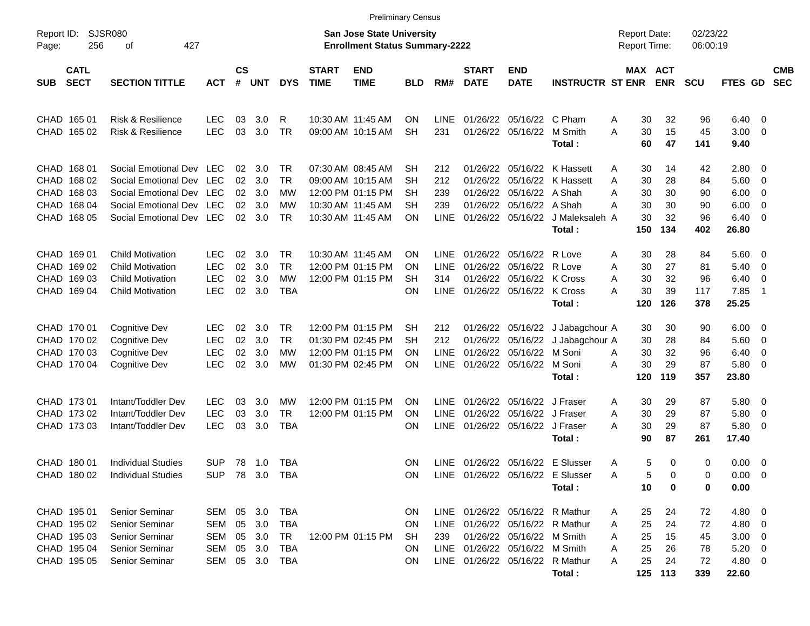|                                                                                   |                                                                                                                                          |                                                      |                            |                                 |                                             |                             | <b>Preliminary Census</b>                                                                             |                                          |                                                  |                                                          |                                                                                                                                                                      |                                                                           |                                                       |                                       |                                   |                                                                     |                                 |                          |
|-----------------------------------------------------------------------------------|------------------------------------------------------------------------------------------------------------------------------------------|------------------------------------------------------|----------------------------|---------------------------------|---------------------------------------------|-----------------------------|-------------------------------------------------------------------------------------------------------|------------------------------------------|--------------------------------------------------|----------------------------------------------------------|----------------------------------------------------------------------------------------------------------------------------------------------------------------------|---------------------------------------------------------------------------|-------------------------------------------------------|---------------------------------------|-----------------------------------|---------------------------------------------------------------------|---------------------------------|--------------------------|
| Report ID:<br>256<br>Page:                                                        | SJSR080<br>427<br>оf                                                                                                                     |                                                      |                            |                                 |                                             |                             | <b>San Jose State University</b><br><b>Enrollment Status Summary-2222</b>                             |                                          |                                                  |                                                          |                                                                                                                                                                      |                                                                           | <b>Report Date:</b><br>Report Time:                   |                                       | 02/23/22<br>06:00:19              |                                                                     |                                 |                          |
| <b>CATL</b><br><b>SECT</b><br><b>SUB</b>                                          | <b>SECTION TITTLE</b>                                                                                                                    | <b>ACT</b>                                           | <b>CS</b><br>#             | <b>UNT</b>                      | <b>DYS</b>                                  | <b>START</b><br><b>TIME</b> | <b>END</b><br><b>TIME</b>                                                                             | <b>BLD</b>                               | RM#                                              | <b>START</b><br><b>DATE</b>                              | <b>END</b><br><b>DATE</b>                                                                                                                                            | <b>INSTRUCTR ST ENR</b>                                                   |                                                       | <b>MAX ACT</b><br><b>ENR</b>          | <b>SCU</b>                        | FTES GD                                                             |                                 | <b>CMB</b><br><b>SEC</b> |
| CHAD 165 01<br>CHAD 165 02                                                        | <b>Risk &amp; Resilience</b><br><b>Risk &amp; Resilience</b>                                                                             | <b>LEC</b><br><b>LEC</b>                             | 03<br>03                   | 3.0 <sub>2</sub><br>3.0         | R<br><b>TR</b>                              |                             | 10:30 AM 11:45 AM<br>09:00 AM 10:15 AM                                                                | ΟN<br><b>SH</b>                          | <b>LINE</b><br>231                               | 01/26/22<br>01/26/22                                     | 05/16/22 C Pham<br>05/16/22 M Smith                                                                                                                                  | Total:                                                                    | 30<br>A<br>30<br>A<br>60                              | 32<br>15<br>47                        | 96<br>45<br>141                   | 6.40<br>3.00<br>9.40                                                | - 0<br>- 0                      |                          |
| CHAD 168 01<br>CHAD 168 02<br><b>CHAD</b><br>168 03<br>CHAD 168 04<br>CHAD 168 05 | Social Emotional Dev LEC<br>Social Emotional Dev LEC<br>Social Emotional Dev LEC<br>Social Emotional Dev LEC<br>Social Emotional Dev LEC |                                                      | 02<br>02<br>02<br>02<br>02 | 3.0<br>3.0<br>3.0<br>3.0<br>3.0 | TR<br><b>TR</b><br>МW<br>МW<br><b>TR</b>    |                             | 07:30 AM 08:45 AM<br>09:00 AM 10:15 AM<br>12:00 PM 01:15 PM<br>10:30 AM 11:45 AM<br>10:30 AM 11:45 AM | SН<br><b>SH</b><br><b>SH</b><br>SН<br>ON | 212<br>212<br>239<br>239<br><b>LINE</b>          | 01/26/22<br>01/26/22<br>01/26/22<br>01/26/22<br>01/26/22 | 05/16/22<br>05/16/22<br>05/16/22 A Shah<br>05/16/22                                                                                                                  | 05/16/22 K Hassett<br>K Hassett<br>A Shah<br>J Maleksaleh A<br>Total:     | 30<br>A<br>30<br>Α<br>30<br>Α<br>30<br>Α<br>30<br>150 | 14<br>28<br>30<br>30<br>32<br>134     | 42<br>84<br>90<br>90<br>96<br>402 | 2.80<br>5.60<br>6.00<br>6.00<br>6.40<br>26.80                       | - 0<br>- 0<br>0<br>0<br>- 0     |                          |
| CHAD 169 01<br>CHAD 169 02<br>CHAD 169 03<br>CHAD 169 04                          | <b>Child Motivation</b><br><b>Child Motivation</b><br><b>Child Motivation</b><br><b>Child Motivation</b>                                 | <b>LEC</b><br><b>LEC</b><br><b>LEC</b><br><b>LEC</b> | 02<br>02<br>02<br>02       | 3.0<br>3.0<br>3.0<br>3.0        | TR.<br><b>TR</b><br><b>MW</b><br><b>TBA</b> |                             | 10:30 AM 11:45 AM<br>12:00 PM 01:15 PM<br>12:00 PM 01:15 PM                                           | ΟN<br>ON<br>SН<br>ON                     | <b>LINE</b><br><b>LINE</b><br>314<br><b>LINE</b> | 01/26/22<br>01/26/22<br>01/26/22                         | 05/16/22<br>05/16/22<br>05/16/22 K Cross<br>01/26/22 05/16/22 K Cross                                                                                                | R Love<br>R Love<br>Total:                                                | 30<br>A<br>30<br>Α<br>30<br>Α<br>30<br>А<br>120       | 28<br>27<br>32<br>39<br>126           | 84<br>81<br>96<br>117<br>378      | 5.60<br>5.40<br>6.40<br>7.85<br>25.25                               | - 0<br>0<br>0<br>$\overline{1}$ |                          |
| CHAD 170 01<br>CHAD 170 02<br>CHAD 170 03<br>CHAD 170 04                          | Cognitive Dev<br>Cognitive Dev<br><b>Cognitive Dev</b><br><b>Cognitive Dev</b>                                                           | <b>LEC</b><br><b>LEC</b><br><b>LEC</b><br><b>LEC</b> | 02<br>02<br>02<br>02       | 3.0<br>3.0<br>3.0<br>3.0        | TR.<br><b>TR</b><br><b>MW</b><br><b>MW</b>  |                             | 12:00 PM 01:15 PM<br>01:30 PM 02:45 PM<br>12:00 PM 01:15 PM<br>01:30 PM 02:45 PM                      | SН<br>SН<br>ON<br>ON                     | 212<br>212<br><b>LINE</b><br><b>LINE</b>         | 01/26/22<br>01/26/22<br>01/26/22<br>01/26/22             | 05/16/22<br>05/16/22<br>05/16/22<br>05/16/22 M Soni                                                                                                                  | J Jabagchour A<br>J Jabagchour A<br>M Soni<br>Total:                      | 30<br>30<br>30<br>A<br>30<br>Α<br>120                 | 30<br>28<br>32<br>29<br>119           | 90<br>84<br>96<br>87<br>357       | 6.00<br>5.60<br>6.40<br>5.80<br>23.80                               | - 0<br>0<br>0<br>- 0            |                          |
| CHAD 173 01<br>CHAD 173 02<br>CHAD 173 03                                         | Intant/Toddler Dev<br>Intant/Toddler Dev<br>Intant/Toddler Dev                                                                           | <b>LEC</b><br><b>LEC</b><br><b>LEC</b>               | 03<br>03<br>03             | 3.0<br>3.0<br>3.0               | МW<br><b>TR</b><br><b>TBA</b>               |                             | 12:00 PM 01:15 PM<br>12:00 PM 01:15 PM                                                                | ΟN<br>ΟN<br>ON                           | LINE<br><b>LINE</b><br><b>LINE</b>               | 01/26/22<br>01/26/22                                     | 05/16/22<br>05/16/22<br>01/26/22 05/16/22                                                                                                                            | J Fraser<br>J Fraser<br>J Fraser<br>Total:                                | 30<br>A<br>30<br>Α<br>30<br>А<br>90                   | 29<br>29<br>29<br>87                  | 87<br>87<br>87<br>261             | 5.80<br>5.80<br>5.80<br>17.40                                       | - 0<br>0<br>0                   |                          |
| CHAD 180 01<br>CHAD 180 02                                                        | Individual Studies<br><b>Individual Studies</b>                                                                                          | <b>SUP</b><br>SUP 78 3.0 TBA                         | 78                         | 1.0                             | TBA                                         |                             |                                                                                                       | ΟN<br><b>ON</b>                          | <b>LINE</b>                                      |                                                          |                                                                                                                                                                      | 01/26/22 05/16/22 E Slusser<br>LINE 01/26/22 05/16/22 E Slusser<br>Total: | 5<br>Α<br>5<br>Α<br>10                                | 0<br>0<br>0                           | 0<br>0<br>0                       | 0.00<br>$0.00 \t 0$<br>0.00                                         | $\overline{\mathbf{0}}$         |                          |
| CHAD 195 01<br>CHAD 195 02<br>CHAD 195 03<br>CHAD 195 04<br>CHAD 195 05           | Senior Seminar<br>Senior Seminar<br><b>Senior Seminar</b><br>Senior Seminar<br><b>Senior Seminar</b>                                     | SEM 05<br>SEM<br>SEM<br>SEM<br>SEM 05 3.0            | 05<br>05<br>05             | 3.0<br>3.0<br>3.0<br>3.0        | TBA<br>TBA<br>TR<br><b>TBA</b><br>TBA       |                             | 12:00 PM 01:15 PM                                                                                     | <b>ON</b><br>ON.<br>SH.<br>ON.<br>ON.    | 239                                              |                                                          | LINE 01/26/22 05/16/22 R Mathur<br>LINE 01/26/22 05/16/22 R Mathur<br>01/26/22 05/16/22 M Smith<br>LINE 01/26/22 05/16/22 M Smith<br>LINE 01/26/22 05/16/22 R Mathur | Total:                                                                    | 25<br>A<br>25<br>Α<br>25<br>Α<br>25<br>A<br>25<br>A   | 24<br>24<br>15<br>26<br>24<br>125 113 | 72<br>72<br>45<br>78<br>72<br>339 | $4.80\ 0$<br>4.80 0<br>$3.00 \ 0$<br>$5.20 \t 0$<br>4.80 0<br>22.60 |                                 |                          |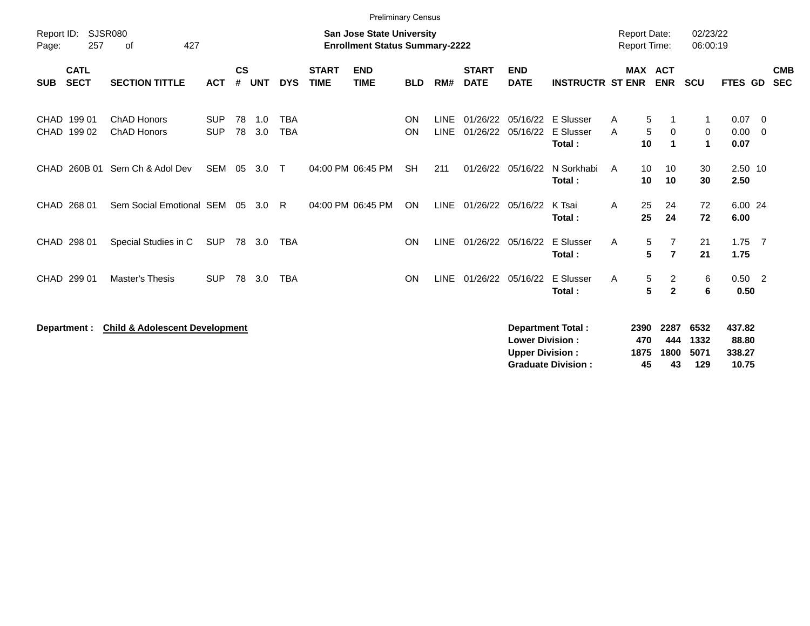|                                          |                                           |                          |                    |            |                          |                             | <b>Preliminary Census</b>                                                 |            |                            |                             |                                                  |                                                       |                                            |                     |                           |                                  |                                    |                                           |
|------------------------------------------|-------------------------------------------|--------------------------|--------------------|------------|--------------------------|-----------------------------|---------------------------------------------------------------------------|------------|----------------------------|-----------------------------|--------------------------------------------------|-------------------------------------------------------|--------------------------------------------|---------------------|---------------------------|----------------------------------|------------------------------------|-------------------------------------------|
| Report ID:<br>257<br>Page:               | <b>SJSR080</b><br>427<br>οf               |                          |                    |            |                          |                             | <b>San Jose State University</b><br><b>Enrollment Status Summary-2222</b> |            |                            |                             |                                                  |                                                       | <b>Report Date:</b><br><b>Report Time:</b> |                     |                           | 02/23/22<br>06:00:19             |                                    |                                           |
| <b>CATL</b><br><b>SECT</b><br><b>SUB</b> | <b>SECTION TITTLE</b>                     | <b>ACT</b>               | $\mathsf{cs}$<br># | <b>UNT</b> | <b>DYS</b>               | <b>START</b><br><b>TIME</b> | <b>END</b><br><b>TIME</b>                                                 | <b>BLD</b> | RM#                        | <b>START</b><br><b>DATE</b> | <b>END</b><br><b>DATE</b>                        | <b>INSTRUCTR ST ENR</b>                               |                                            | MAX ACT             | <b>ENR</b>                | <b>SCU</b>                       | <b>FTES GD</b>                     | <b>CMB</b><br><b>SEC</b>                  |
| CHAD 199 01<br>CHAD 199 02               | ChAD Honors<br><b>ChAD Honors</b>         | <b>SUP</b><br><b>SUP</b> | 78<br>78           | 1.0<br>3.0 | <b>TBA</b><br><b>TBA</b> |                             |                                                                           | ON<br>ON   | <b>LINE</b><br><b>LINE</b> | 01/26/22<br>01/26/22        | 05/16/22                                         | 05/16/22 E Slusser<br>E Slusser<br>Total:             | A<br>A                                     | 5<br>5<br>10        | 0<br>$\blacktriangleleft$ | $\mathbf 1$<br>0<br>$\mathbf{1}$ | 0.07<br>0.00<br>0.07               | $\overline{\mathbf{0}}$<br>$\overline{0}$ |
| CHAD 260B 01                             | Sem Ch & Adol Dev                         | SEM 05                   |                    | 3.0        | $\top$                   |                             | 04:00 PM 06:45 PM                                                         | <b>SH</b>  | 211                        | 01/26/22                    | 05/16/22                                         | N Sorkhabi<br>Total:                                  | A                                          | 10<br>10            | 10<br>10                  | 30<br>30                         | 2.50 10<br>2.50                    |                                           |
| CHAD 268 01                              | Sem Social Emotional SEM 05               |                          |                    | 3.0        | R                        |                             | 04:00 PM 06:45 PM                                                         | ON         | LINE                       |                             | 01/26/22 05/16/22                                | K Tsai<br>Total:                                      | Α                                          | 25<br>25            | 24<br>24                  | 72<br>72                         | 6.00 24<br>6.00                    |                                           |
| CHAD 298 01                              | Special Studies in C                      | <b>SUP</b>               |                    | 78 3.0     | <b>TBA</b>               |                             |                                                                           | ON         | <b>LINE</b>                |                             | 01/26/22 05/16/22                                | E Slusser<br>Total:                                   | A                                          | 5<br>5              | 7<br>$\overline{7}$       | 21<br>21                         | $1.75$ 7<br>1.75                   |                                           |
| CHAD 299 01                              | <b>Master's Thesis</b>                    | <b>SUP</b>               |                    | 78 3.0     | <b>TBA</b>               |                             |                                                                           | <b>ON</b>  | <b>LINE</b>                |                             | 01/26/22 05/16/22                                | E Slusser<br>Total:                                   | A                                          | 5<br>$5\phantom{a}$ | 2<br>$\overline{2}$       | 6<br>6                           | $0.50 \quad 2$<br>0.50             |                                           |
| Department :                             | <b>Child &amp; Adolescent Development</b> |                          |                    |            |                          |                             |                                                                           |            |                            |                             | <b>Lower Division:</b><br><b>Upper Division:</b> | <b>Department Total:</b><br><b>Graduate Division:</b> | 2390<br>1875                               | 470<br>45           | 2287<br>444<br>1800<br>43 | 6532<br>1332<br>5071<br>129      | 437.82<br>88.80<br>338.27<br>10.75 |                                           |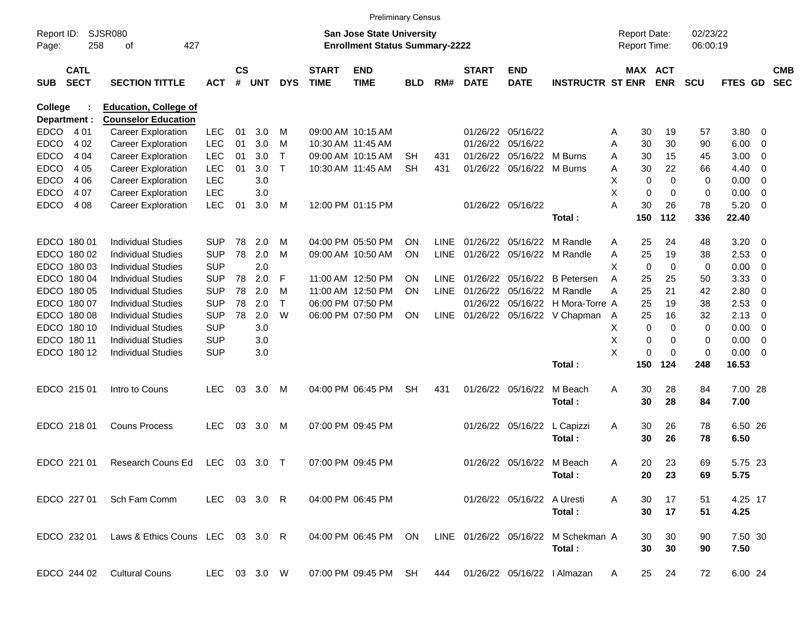|                |                            |                                  |              |                    |            |            |                             |                                       | <b>Preliminary Census</b> |             |                             |                            |                                     |                     |             |             |                |                         |                          |
|----------------|----------------------------|----------------------------------|--------------|--------------------|------------|------------|-----------------------------|---------------------------------------|---------------------------|-------------|-----------------------------|----------------------------|-------------------------------------|---------------------|-------------|-------------|----------------|-------------------------|--------------------------|
| Report ID:     |                            | <b>SJSR080</b>                   |              |                    |            |            |                             | <b>San Jose State University</b>      |                           |             |                             |                            |                                     | <b>Report Date:</b> |             | 02/23/22    |                |                         |                          |
| Page:          | 258                        | 427<br>оf                        |              |                    |            |            |                             | <b>Enrollment Status Summary-2222</b> |                           |             |                             |                            |                                     | Report Time:        |             | 06:00:19    |                |                         |                          |
| <b>SUB</b>     | <b>CATL</b><br><b>SECT</b> | <b>SECTION TITTLE</b>            | <b>ACT</b>   | $\mathsf{cs}$<br># | <b>UNT</b> | <b>DYS</b> | <b>START</b><br><b>TIME</b> | <b>END</b><br><b>TIME</b>             | <b>BLD</b>                | RM#         | <b>START</b><br><b>DATE</b> | <b>END</b><br><b>DATE</b>  | <b>INSTRUCTR ST ENR</b>             | MAX ACT             | <b>ENR</b>  | <b>SCU</b>  | <b>FTES GD</b> |                         | <b>CMB</b><br><b>SEC</b> |
| <b>College</b> |                            | <b>Education, College of</b>     |              |                    |            |            |                             |                                       |                           |             |                             |                            |                                     |                     |             |             |                |                         |                          |
| Department :   |                            | <b>Counselor Education</b>       |              |                    |            |            |                             |                                       |                           |             |                             |                            |                                     |                     |             |             |                |                         |                          |
| <b>EDCO</b>    | 4 0 1                      | <b>Career Exploration</b>        | <b>LEC</b>   | 01                 | 3.0        | M          |                             | 09:00 AM 10:15 AM                     |                           |             |                             | 01/26/22 05/16/22          |                                     | 30<br>Α             | 19          | 57          | 3.80           | $\overline{0}$          |                          |
| <b>EDCO</b>    | 4 0 2                      | <b>Career Exploration</b>        | <b>LEC</b>   | 01                 | 3.0        | M          |                             | 10:30 AM 11:45 AM                     |                           |             |                             | 01/26/22 05/16/22          |                                     | 30<br>Α             | 30          | 90          | 6.00           | 0                       |                          |
| <b>EDCO</b>    | 4 0 4                      | <b>Career Exploration</b>        | <b>LEC</b>   | 01                 | 3.0        | Τ          |                             | 09:00 AM 10:15 AM                     | SН                        | 431         |                             | 01/26/22 05/16/22 M Burns  |                                     | 30<br>A             | 15          | 45          | 3.00           | 0                       |                          |
| EDCO           | 4 0 5                      | <b>Career Exploration</b>        | <b>LEC</b>   | 01                 | 3.0        | $\top$     |                             | 10:30 AM 11:45 AM                     | <b>SH</b>                 | 431         |                             | 01/26/22 05/16/22 M Burns  |                                     | 30<br>Α             | 22          | 66          | 4.40           | 0                       |                          |
| EDCO           | 4 0 6                      | <b>Career Exploration</b>        | <b>LEC</b>   |                    | 3.0        |            |                             |                                       |                           |             |                             |                            |                                     | х<br>0              | $\mathbf 0$ | 0           | 0.00           | 0                       |                          |
| <b>EDCO</b>    | 4 0 7                      | <b>Career Exploration</b>        | <b>LEC</b>   |                    | 3.0        |            |                             |                                       |                           |             |                             |                            |                                     | X<br>0              | 0           | 0           | 0.00           | 0                       |                          |
| <b>EDCO</b>    | 4 0 8                      | <b>Career Exploration</b>        | <b>LEC</b>   | 01                 | 3.0        | М          |                             | 12:00 PM 01:15 PM                     |                           |             |                             | 01/26/22 05/16/22          |                                     | 30<br>А             | 26          | 78          | 5.20           | $\overline{0}$          |                          |
|                |                            |                                  |              |                    |            |            |                             |                                       |                           |             |                             |                            | Total:                              | 150                 | 112         | 336         | 22.40          |                         |                          |
|                | EDCO 180 01                | <b>Individual Studies</b>        | <b>SUP</b>   | 78                 | 2.0        | M          |                             | 04:00 PM 05:50 PM                     | <b>ON</b>                 | LINE        |                             | 01/26/22 05/16/22          | M Randle                            | 25<br>Α             | 24          | 48          | 3.20           | $\overline{\mathbf{0}}$ |                          |
|                | EDCO 180 02                | <b>Individual Studies</b>        | <b>SUP</b>   | 78                 | 2.0        | M          |                             | 09:00 AM 10:50 AM                     | ON                        | LINE        |                             |                            | 01/26/22 05/16/22 M Randle          | 25<br>Α             | 19          | 38          | 2.53           | 0                       |                          |
|                | EDCO 180 03                | <b>Individual Studies</b>        | <b>SUP</b>   |                    | 2.0        |            |                             |                                       |                           |             |                             |                            |                                     | X<br>0              | $\mathbf 0$ | 0           | 0.00           | 0                       |                          |
|                | EDCO 180 04                | <b>Individual Studies</b>        | <b>SUP</b>   | 78                 | 2.0        | F          |                             | 11:00 AM 12:50 PM                     | ON                        | LINE        |                             | 01/26/22 05/16/22          | <b>B</b> Petersen                   | 25<br>A             | 25          | 50          | 3.33           | 0                       |                          |
|                | EDCO 180 05                | <b>Individual Studies</b>        | <b>SUP</b>   | 78                 | 2.0        | м          |                             | 11:00 AM 12:50 PM                     | ON                        | <b>LINE</b> |                             |                            | 01/26/22 05/16/22 M Randle          | 25<br>А             | 21          | 42          | 2.80           | 0                       |                          |
|                | EDCO 180 07                | <b>Individual Studies</b>        | <b>SUP</b>   | 78                 | 2.0        | Τ          |                             | 06:00 PM 07:50 PM                     |                           |             |                             |                            | 01/26/22  05/16/22  H Mora-Torre A  | 25                  | 19          | 38          | 2.53           | 0                       |                          |
|                | EDCO 180 08                | <b>Individual Studies</b>        | <b>SUP</b>   | 78                 | 2.0        | W          |                             | 06:00 PM 07:50 PM                     | ON                        | LINE        |                             |                            | 01/26/22 05/16/22 V Chapman         | 25<br>A             | 16          | 32          | 2.13           | 0                       |                          |
|                | EDCO 180 10                | <b>Individual Studies</b>        | <b>SUP</b>   |                    | 3.0        |            |                             |                                       |                           |             |                             |                            |                                     | х<br>$\mathbf 0$    | $\mathbf 0$ | 0           | 0.00           | 0                       |                          |
|                | EDCO 180 11                | <b>Individual Studies</b>        | <b>SUP</b>   |                    | 3.0        |            |                             |                                       |                           |             |                             |                            |                                     | Χ<br>0              | 0           | 0           | 0.00           | 0                       |                          |
|                | EDCO 180 12                | <b>Individual Studies</b>        | <b>SUP</b>   |                    | 3.0        |            |                             |                                       |                           |             |                             |                            |                                     | X<br>0              | $\mathbf 0$ | $\mathbf 0$ | 0.00           | 0                       |                          |
|                |                            |                                  |              |                    |            |            |                             |                                       |                           |             |                             |                            | Total:                              | 150                 | 124         | 248         | 16.53          |                         |                          |
|                | EDCO 215 01                | Intro to Couns                   | <b>LEC</b>   | 03                 | 3.0        | M          |                             | 04:00 PM 06:45 PM                     | SН                        | 431         |                             | 01/26/22 05/16/22          | M Beach                             | 30<br>Α             | 28          | 84          | 7.00 28        |                         |                          |
|                |                            |                                  |              |                    |            |            |                             |                                       |                           |             |                             |                            | Total:                              | 30                  | 28          | 84          | 7.00           |                         |                          |
|                | EDCO 218 01                | <b>Couns Process</b>             | <b>LEC</b>   | 03                 | 3.0        | M          |                             | 07:00 PM 09:45 PM                     |                           |             |                             | 01/26/22 05/16/22          | L Capizzi                           | 30<br>A             | 26          | 78          | 6.50 26        |                         |                          |
|                |                            |                                  |              |                    |            |            |                             |                                       |                           |             |                             |                            | Total:                              | 30                  | 26          | 78          | 6.50           |                         |                          |
|                |                            |                                  |              |                    |            |            |                             |                                       |                           |             |                             |                            |                                     |                     |             |             |                |                         |                          |
|                | EDCO 221 01                | Research Couns Ed                | LEC          |                    | 03 3.0     | $\top$     |                             | 07:00 PM 09:45 PM                     |                           |             |                             | 01/26/22 05/16/22 M Beach  |                                     | 20<br>Α             | 23          | 69          | 5.75 23        |                         |                          |
|                |                            |                                  |              |                    |            |            |                             |                                       |                           |             |                             |                            | Total:                              |                     | 20 23       | 69          | 5.75           |                         |                          |
|                | EDCO 227 01                | Sch Fam Comm                     | LEC 03 3.0 R |                    |            |            |                             | 04:00 PM 06:45 PM                     |                           |             |                             | 01/26/22 05/16/22 A Uresti |                                     | A<br>30             | 17          | 51          | 4.25 17        |                         |                          |
|                |                            |                                  |              |                    |            |            |                             |                                       |                           |             |                             |                            | Total:                              | 30                  | 17          | 51          | 4.25           |                         |                          |
|                | EDCO 232 01                | Laws & Ethics Couns LEC 03 3.0 R |              |                    |            |            |                             | 04:00 PM 06:45 PM                     | ON                        |             |                             |                            | LINE 01/26/22 05/16/22 M Schekman A | 30                  | 30          | 90          | 7.50 30        |                         |                          |
|                |                            |                                  |              |                    |            |            |                             |                                       |                           |             |                             |                            | Total:                              | 30                  | 30          | 90          | 7.50           |                         |                          |
|                | EDCO 244 02                | <b>Cultural Couns</b>            | LEC 03 3.0 W |                    |            |            |                             | 07:00 PM 09:45 PM SH                  |                           | 444         |                             |                            | 01/26/22 05/16/22   Almazan         | 25<br>A             | 24          | 72          | 6.00 24        |                         |                          |
|                |                            |                                  |              |                    |            |            |                             |                                       |                           |             |                             |                            |                                     |                     |             |             |                |                         |                          |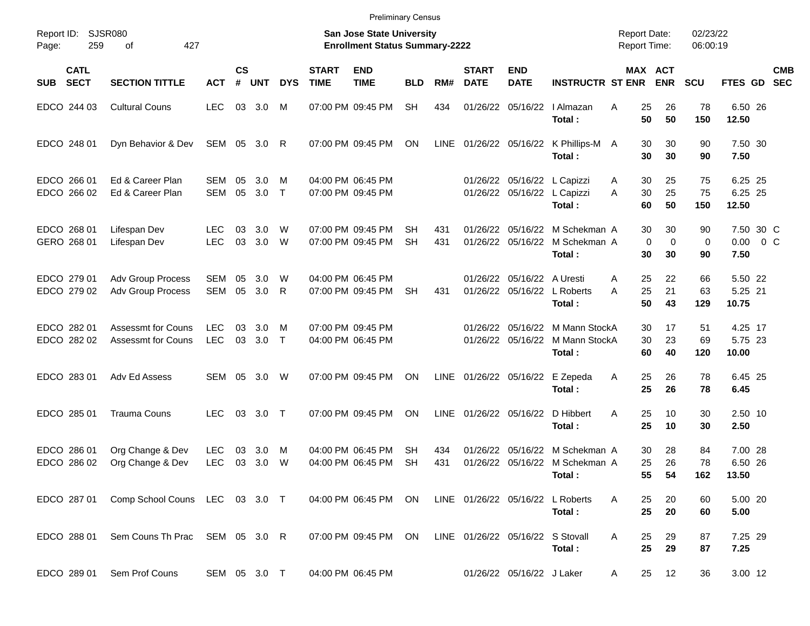|                     |                            |                                                        |                          |                |              |             |                             | <b>Preliminary Census</b>                                          |                        |            |                             |                                                 |                                                          |                                            |                              |                      |                                    |                          |
|---------------------|----------------------------|--------------------------------------------------------|--------------------------|----------------|--------------|-------------|-----------------------------|--------------------------------------------------------------------|------------------------|------------|-----------------------------|-------------------------------------------------|----------------------------------------------------------|--------------------------------------------|------------------------------|----------------------|------------------------------------|--------------------------|
| Report ID:<br>Page: | 259                        | SJSR080<br>427<br>οf                                   |                          |                |              |             |                             | San Jose State University<br><b>Enrollment Status Summary-2222</b> |                        |            |                             |                                                 |                                                          | <b>Report Date:</b><br><b>Report Time:</b> |                              | 02/23/22<br>06:00:19 |                                    |                          |
| <b>SUB</b>          | <b>CATL</b><br><b>SECT</b> | <b>SECTION TITTLE</b>                                  | <b>ACT</b>               | <b>CS</b><br># | <b>UNT</b>   | <b>DYS</b>  | <b>START</b><br><b>TIME</b> | <b>END</b><br><b>TIME</b>                                          | <b>BLD</b>             | RM#        | <b>START</b><br><b>DATE</b> | <b>END</b><br><b>DATE</b>                       | <b>INSTRUCTR ST ENR</b>                                  |                                            | MAX ACT<br><b>ENR</b>        | <b>SCU</b>           | FTES GD                            | <b>CMB</b><br><b>SEC</b> |
|                     | EDCO 244 03                | <b>Cultural Couns</b>                                  | <b>LEC</b>               | 03             | 3.0          | M           |                             | 07:00 PM 09:45 PM                                                  | <b>SH</b>              | 434        | 01/26/22                    | 05/16/22                                        | I Almazan<br>Total:                                      | 25<br>A<br>50                              | 26<br>50                     | 78<br>150            | 6.50 26<br>12.50                   |                          |
|                     | EDCO 248 01                | Dyn Behavior & Dev                                     | SEM                      | 05             | 3.0          | R           |                             | 07:00 PM 09:45 PM                                                  | ON                     | LINE       |                             | 01/26/22 05/16/22                               | K Phillips-M A<br>Total:                                 | 30<br>30                                   | 30<br>30                     | 90<br>90             | 7.50 30<br>7.50                    |                          |
|                     | EDCO 266 01<br>EDCO 266 02 | Ed & Career Plan<br>Ed & Career Plan                   | <b>SEM</b><br>SEM        | 05<br>05       | 3.0<br>3.0   | M<br>$\top$ |                             | 04:00 PM 06:45 PM<br>07:00 PM 09:45 PM                             |                        |            |                             | 01/26/22 05/16/22<br>01/26/22 05/16/22          | L Capizzi<br>L Capizzi<br>Total:                         | 30<br>A<br>30<br>A<br>60                   | 25<br>25<br>50               | 75<br>75<br>150      | 6.25 25<br>6.25 25<br>12.50        |                          |
|                     | EDCO 268 01<br>GERO 268 01 | Lifespan Dev<br>Lifespan Dev                           | <b>LEC</b><br><b>LEC</b> | 03<br>03       | 3.0<br>3.0   | W<br>W      |                             | 07:00 PM 09:45 PM<br>07:00 PM 09:45 PM                             | <b>SH</b><br><b>SH</b> | 431<br>431 | 01/26/22                    | 05/16/22<br>01/26/22 05/16/22                   | M Schekman A<br>M Schekman A<br>Total:                   | 30<br>30                                   | 30<br>0<br>$\mathbf 0$<br>30 | 90<br>0<br>90        | 7.50 30 C<br>$0.00 \t 0 C$<br>7.50 |                          |
|                     | EDCO 279 01<br>EDCO 279 02 | Adv Group Process<br><b>Adv Group Process</b>          | <b>SEM</b><br><b>SEM</b> | 05<br>05       | 3.0<br>3.0   | W<br>R      |                             | 04:00 PM 06:45 PM<br>07:00 PM 09:45 PM                             | <b>SH</b>              | 431        |                             | 01/26/22 05/16/22 A Uresti<br>01/26/22 05/16/22 | L Roberts<br>Total:                                      | 25<br>A<br>25<br>А<br>50                   | 22<br>21<br>43               | 66<br>63<br>129      | 5.50 22<br>5.25 21<br>10.75        |                          |
|                     | EDCO 282 01<br>EDCO 282 02 | <b>Assessmt for Couns</b><br><b>Assessmt for Couns</b> | LEC.<br><b>LEC</b>       | 03<br>03       | 3.0<br>3.0   | M<br>$\top$ |                             | 07:00 PM 09:45 PM<br>04:00 PM 06:45 PM                             |                        |            | 01/26/22                    | 05/16/22<br>01/26/22 05/16/22                   | M Mann StockA<br>M Mann StockA<br>Total:                 | 30<br>30<br>60                             | 17<br>23<br>40               | 51<br>69<br>120      | 4.25 17<br>5.75 23<br>10.00        |                          |
|                     | EDCO 283 01                | Adv Ed Assess                                          | SEM                      | 05             | 3.0          | W           |                             | 07:00 PM 09:45 PM                                                  | <b>ON</b>              |            | LINE 01/26/22 05/16/22      |                                                 | E Zepeda<br>Total:                                       | 25<br>A<br>25                              | 26<br>26                     | 78<br>78             | 6.45 25<br>6.45                    |                          |
|                     | EDCO 285 01                | <b>Trauma Couns</b>                                    | <b>LEC</b>               | 03             | 3.0          | $\top$      |                             | 07:00 PM 09:45 PM                                                  | ON                     |            | LINE 01/26/22 05/16/22      |                                                 | D Hibbert<br>Total:                                      | A<br>25<br>25                              | 10<br>10                     | 30<br>30             | 2.50 10<br>2.50                    |                          |
|                     | EDCO 286 01<br>EDCO 286 02 | Org Change & Dev<br>Org Change & Dev                   | <b>LEC</b><br><b>LEC</b> | 03<br>03       | 3.0<br>3.0   | M<br>W      |                             | 04:00 PM 06:45 PM<br>04:00 PM 06:45 PM                             | <b>SH</b><br><b>SH</b> | 434<br>431 | 01/26/22                    | 05/16/22                                        | M Schekman A<br>01/26/22 05/16/22 M Schekman A<br>Total: | 30<br>25                                   | 28<br>26<br>55 54            | 84<br>78<br>162      | 7.00 28<br>6.50 26<br>13.50        |                          |
|                     | EDCO 287 01                | Comp School Couns LEC 03 3.0 T                         |                          |                |              |             |                             | 04:00 PM 06:45 PM ON                                               |                        |            |                             |                                                 | LINE 01/26/22 05/16/22 L Roberts<br>Total:               | 25<br>A<br>25                              | 20<br>20                     | 60<br>60             | 5.00 20<br>5.00                    |                          |
|                     | EDCO 288 01                | Sem Couns Th Prac SEM 05 3.0 R                         |                          |                |              |             |                             | 07:00 PM 09:45 PM ON                                               |                        |            |                             | LINE 01/26/22 05/16/22 S Stovall                | Total:                                                   | A<br>25<br>25                              | 29<br>29                     | 87<br>87             | 7.25 29<br>7.25                    |                          |
|                     | EDCO 289 01                | Sem Prof Couns                                         |                          |                | SEM 05 3.0 T |             |                             | 04:00 PM 06:45 PM                                                  |                        |            |                             | 01/26/22 05/16/22 J Laker                       |                                                          | A                                          | 25<br>12                     | 36                   | 3.00 12                            |                          |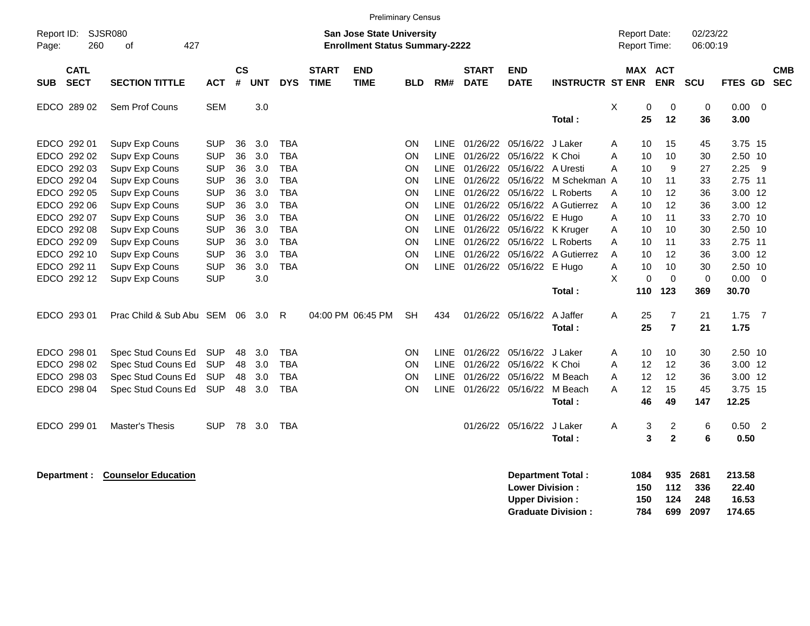|                                          |                             |            |                    |            |            |                             |                                                                           | <b>Preliminary Census</b> |             |                             |                                                  |                                                       |   |                                            |                          |                            |                                    |                |                          |
|------------------------------------------|-----------------------------|------------|--------------------|------------|------------|-----------------------------|---------------------------------------------------------------------------|---------------------------|-------------|-----------------------------|--------------------------------------------------|-------------------------------------------------------|---|--------------------------------------------|--------------------------|----------------------------|------------------------------------|----------------|--------------------------|
| Report ID: SJSR080<br>260<br>Page:       | 427<br>0f                   |            |                    |            |            |                             | <b>San Jose State University</b><br><b>Enrollment Status Summary-2222</b> |                           |             |                             |                                                  |                                                       |   | <b>Report Date:</b><br><b>Report Time:</b> |                          | 02/23/22<br>06:00:19       |                                    |                |                          |
| <b>CATL</b><br><b>SECT</b><br><b>SUB</b> | <b>SECTION TITTLE</b>       | <b>ACT</b> | $\mathsf{cs}$<br># | <b>UNT</b> | <b>DYS</b> | <b>START</b><br><b>TIME</b> | <b>END</b><br><b>TIME</b>                                                 | <b>BLD</b>                | RM#         | <b>START</b><br><b>DATE</b> | <b>END</b><br><b>DATE</b>                        | <b>INSTRUCTR ST ENR</b>                               |   | MAX ACT                                    | <b>ENR</b>               | <b>SCU</b>                 | <b>FTES GD</b>                     |                | <b>CMB</b><br><b>SEC</b> |
| EDCO 289 02                              | Sem Prof Couns              | <b>SEM</b> |                    | 3.0        |            |                             |                                                                           |                           |             |                             |                                                  | Total:                                                | X | 0<br>25                                    | 0<br>12                  | $\mathbf 0$<br>36          | 0.00<br>3.00                       | - 0            |                          |
| EDCO 292 01                              | Supv Exp Couns              | <b>SUP</b> | 36                 | 3.0        | <b>TBA</b> |                             |                                                                           | <b>ON</b>                 | <b>LINE</b> |                             | 01/26/22 05/16/22 J Laker                        |                                                       | A | 10                                         | 15                       | 45                         | 3.75 15                            |                |                          |
| EDCO 292 02                              | Supv Exp Couns              | <b>SUP</b> | 36                 | 3.0        | <b>TBA</b> |                             |                                                                           | <b>ON</b>                 | <b>LINE</b> |                             | 01/26/22 05/16/22 K Choi                         |                                                       | A | 10                                         | 10                       | 30                         | 2.50 10                            |                |                          |
| EDCO 292 03                              | Supv Exp Couns              | <b>SUP</b> | 36                 | 3.0        | <b>TBA</b> |                             |                                                                           | <b>ON</b>                 | <b>LINE</b> |                             | 01/26/22 05/16/22                                | A Uresti                                              | А | 10                                         | 9                        | 27                         | 2.25                               | - 9            |                          |
| EDCO 292 04                              | Supv Exp Couns              | <b>SUP</b> | 36                 | 3.0        | <b>TBA</b> |                             |                                                                           | <b>ON</b>                 | <b>LINE</b> |                             | 01/26/22 05/16/22                                | M Schekman A                                          |   | 10                                         | 11                       | 33                         | 2.75 11                            |                |                          |
| EDCO 292 05                              | Supv Exp Couns              | <b>SUP</b> | 36                 | 3.0        | <b>TBA</b> |                             |                                                                           | ON                        | <b>LINE</b> |                             | 01/26/22 05/16/22                                | L Roberts                                             | A | 10                                         | 12                       | 36                         | 3.00 12                            |                |                          |
| EDCO 292 06                              | Supv Exp Couns              | <b>SUP</b> | 36                 | 3.0        | <b>TBA</b> |                             |                                                                           | <b>ON</b>                 | LINE        |                             |                                                  | 01/26/22 05/16/22 A Gutierrez                         | A | 10                                         | $12 \overline{ }$        | 36                         | 3.00 12                            |                |                          |
| EDCO 292 07                              | Supv Exp Couns              | <b>SUP</b> | 36                 | 3.0        | <b>TBA</b> |                             |                                                                           | <b>ON</b>                 | LINE        |                             | 01/26/22 05/16/22                                | E Hugo                                                | A | 10                                         | 11                       | 33                         | 2.70 10                            |                |                          |
| EDCO 292 08                              | Supv Exp Couns              | <b>SUP</b> | 36                 | 3.0        | <b>TBA</b> |                             |                                                                           | ON                        | <b>LINE</b> |                             | 01/26/22 05/16/22                                | K Kruger                                              | A | 10                                         | 10                       | 30                         | 2.50 10                            |                |                          |
| EDCO 292 09                              | Supv Exp Couns              | <b>SUP</b> | 36                 | 3.0        | <b>TBA</b> |                             |                                                                           | <b>ON</b>                 | <b>LINE</b> |                             | 01/26/22 05/16/22                                | L Roberts                                             | А | 10                                         | 11                       | 33                         | 2.75 11                            |                |                          |
| EDCO 292 10                              | Supv Exp Couns              | <b>SUP</b> | 36                 | 3.0        | <b>TBA</b> |                             |                                                                           | <b>ON</b>                 | <b>LINE</b> |                             | 01/26/22 05/16/22                                | A Gutierrez                                           | A | 10                                         | 12                       | 36                         | 3.00 12                            |                |                          |
| EDCO 292 11                              | Supv Exp Couns              | <b>SUP</b> | 36                 | 3.0        | <b>TBA</b> |                             |                                                                           | <b>ON</b>                 | <b>LINE</b> |                             | 01/26/22 05/16/22                                | E Hugo                                                | Α | 10                                         | 10                       | 30                         | 2.50 10                            |                |                          |
| EDCO 292 12                              | Supv Exp Couns              | <b>SUP</b> |                    | 3.0        |            |                             |                                                                           |                           |             |                             |                                                  |                                                       | X | $\Omega$                                   | $\Omega$                 | $\mathbf 0$                | $0.00 \t 0$                        |                |                          |
|                                          |                             |            |                    |            |            |                             |                                                                           |                           |             |                             |                                                  | Total:                                                |   | 110                                        | 123                      | 369                        | 30.70                              |                |                          |
| EDCO 293 01                              | Prac Child & Sub Abu SEM 06 |            |                    | 3.0        | R          |                             | 04:00 PM 06:45 PM                                                         | <b>SH</b>                 | 434         |                             | 01/26/22 05/16/22                                | A Jaffer                                              | A | 25                                         | $\overline{7}$           | 21                         | 1.75                               | $\overline{7}$ |                          |
|                                          |                             |            |                    |            |            |                             |                                                                           |                           |             |                             |                                                  | Total:                                                |   | 25                                         | $\overline{7}$           | 21                         | 1.75                               |                |                          |
| EDCO 298 01                              | Spec Stud Couns Ed          | <b>SUP</b> | 48                 | 3.0        | <b>TBA</b> |                             |                                                                           | <b>ON</b>                 | <b>LINE</b> |                             | 01/26/22 05/16/22 J Laker                        |                                                       | A | 10                                         | 10                       | 30                         | 2.50 10                            |                |                          |
| EDCO 298 02                              | Spec Stud Couns Ed          | <b>SUP</b> | 48                 | 3.0        | <b>TBA</b> |                             |                                                                           | <b>ON</b>                 | LINE        |                             | 01/26/22 05/16/22                                | K Choi                                                | A | $12 \overline{ }$                          | 12                       | 36                         | 3.00 12                            |                |                          |
| EDCO 298 03                              | Spec Stud Couns Ed          | <b>SUP</b> | 48                 | 3.0        | <b>TBA</b> |                             |                                                                           | ON                        | <b>LINE</b> |                             | 01/26/22 05/16/22                                | M Beach                                               | A | 12                                         | 12                       | 36                         | 3.00 12                            |                |                          |
| EDCO 298 04                              | Spec Stud Couns Ed          | <b>SUP</b> | 48                 | 3.0        | <b>TBA</b> |                             |                                                                           | ON                        | LINE        |                             | 01/26/22 05/16/22                                | M Beach                                               | A | 12                                         | 15                       | 45                         | 3.75 15                            |                |                          |
|                                          |                             |            |                    |            |            |                             |                                                                           |                           |             |                             |                                                  | Total:                                                |   | 46                                         | 49                       | 147                        | 12.25                              |                |                          |
| EDCO 299 01                              | Master's Thesis             | <b>SUP</b> |                    | 78 3.0     | TBA        |                             |                                                                           |                           |             |                             | 01/26/22 05/16/22                                | J Laker                                               | Α | 3                                          | $\overline{\mathbf{c}}$  | $\,6$                      | $0.50$ 2                           |                |                          |
|                                          |                             |            |                    |            |            |                             |                                                                           |                           |             |                             |                                                  | Total:                                                |   | 3                                          | $\mathbf{2}$             | 6                          | 0.50                               |                |                          |
| Department :                             | <b>Counselor Education</b>  |            |                    |            |            |                             |                                                                           |                           |             |                             | <b>Lower Division:</b><br><b>Upper Division:</b> | <b>Department Total:</b><br><b>Graduate Division:</b> |   | 1084<br>150<br>150<br>784                  | 935<br>112<br>124<br>699 | 2681<br>336<br>248<br>2097 | 213.58<br>22.40<br>16.53<br>174.65 |                |                          |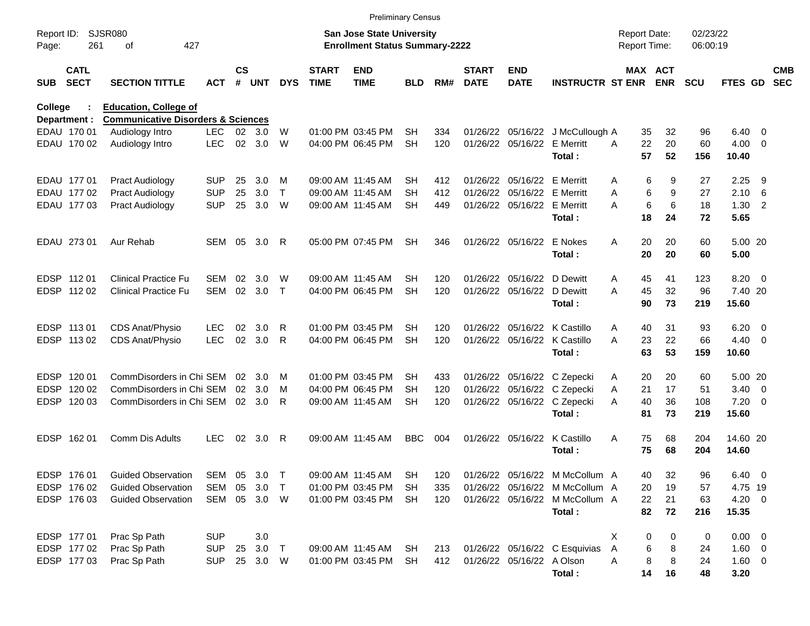|                     |                            |                                               |              |               |                |            |                             | <b>Preliminary Census</b>                                                 |            |     |                             |                             |                                  |   |          |                                     |                      |                   |                          |                          |
|---------------------|----------------------------|-----------------------------------------------|--------------|---------------|----------------|------------|-----------------------------|---------------------------------------------------------------------------|------------|-----|-----------------------------|-----------------------------|----------------------------------|---|----------|-------------------------------------|----------------------|-------------------|--------------------------|--------------------------|
| Report ID:<br>Page: | 261                        | <b>SJSR080</b><br>427<br>οf                   |              |               |                |            |                             | <b>San Jose State University</b><br><b>Enrollment Status Summary-2222</b> |            |     |                             |                             |                                  |   |          | <b>Report Date:</b><br>Report Time: | 02/23/22<br>06:00:19 |                   |                          |                          |
| <b>SUB</b>          | <b>CATL</b><br><b>SECT</b> | <b>SECTION TITTLE</b>                         | <b>ACT</b>   | $\mathsf{cs}$ | # UNT          | <b>DYS</b> | <b>START</b><br><b>TIME</b> | <b>END</b><br><b>TIME</b>                                                 | <b>BLD</b> | RM# | <b>START</b><br><b>DATE</b> | <b>END</b><br><b>DATE</b>   | <b>INSTRUCTR ST ENR</b>          |   |          | MAX ACT<br><b>ENR</b>               | <b>SCU</b>           | FTES GD           |                          | <b>CMB</b><br><b>SEC</b> |
| College             |                            | <b>Education, College of</b>                  |              |               |                |            |                             |                                                                           |            |     |                             |                             |                                  |   |          |                                     |                      |                   |                          |                          |
|                     | Department :               | <b>Communicative Disorders &amp; Sciences</b> |              |               |                |            |                             |                                                                           |            |     |                             |                             |                                  |   |          |                                     |                      |                   |                          |                          |
|                     | EDAU 170 01                | Audiology Intro                               | <b>LEC</b>   | 02            | 3.0            | W          |                             | 01:00 PM 03:45 PM                                                         | SН         | 334 |                             |                             | 01/26/22 05/16/22 J McCullough A |   | 35       | 32                                  | 96                   | 6.40              | - 0                      |                          |
|                     | EDAU 170 02                | Audiology Intro                               | <b>LEC</b>   | 02            | 3.0            | W          |                             | 04:00 PM 06:45 PM                                                         | <b>SH</b>  | 120 |                             | 01/26/22 05/16/22           | <b>E</b> Merritt<br>Total:       | Α | 22<br>57 | 20<br>52                            | 60<br>156            | 4.00<br>10.40     | $\overline{\mathbf{0}}$  |                          |
|                     | EDAU 177 01                | <b>Pract Audiology</b>                        | <b>SUP</b>   | 25            | 3.0            | м          |                             | 09:00 AM 11:45 AM                                                         | SН         | 412 |                             | 01/26/22 05/16/22 E Merritt |                                  | Α | 6        | 9                                   | 27                   | 2.25              | 9                        |                          |
|                     | EDAU 177 02                | <b>Pract Audiology</b>                        | <b>SUP</b>   | 25            | 3.0            | Т          |                             | 09:00 AM 11:45 AM                                                         | SН         | 412 |                             | 01/26/22 05/16/22 E Merritt |                                  | A | 6        | 9                                   | 27                   | 2.10              | - 6                      |                          |
|                     | EDAU 177 03                | <b>Pract Audiology</b>                        | <b>SUP</b>   | 25            | 3.0            | W          |                             | 09:00 AM 11:45 AM                                                         | <b>SH</b>  | 449 |                             | 01/26/22 05/16/22           | E Merritt<br>Total:              | Α | 6<br>18  | 6<br>24                             | 18<br>72             | 1.30<br>5.65      | $\overline{2}$           |                          |
|                     | EDAU 273 01                | Aur Rehab                                     | SEM 05       |               | 3.0            | R          |                             | 05:00 PM 07:45 PM                                                         | SH         | 346 |                             | 01/26/22 05/16/22           | E Nokes<br>Total:                | A | 20<br>20 | 20<br>20                            | 60<br>60             | 5.00 20<br>5.00   |                          |                          |
|                     | EDSP 11201                 | <b>Clinical Practice Fu</b>                   | SEM          | 02            | 3.0            | W          |                             | 09:00 AM 11:45 AM                                                         | SН         | 120 |                             | 01/26/22 05/16/22           | D Dewitt                         | A | 45       | 41                                  | 123                  | 8.20              | $\overline{\phantom{0}}$ |                          |
|                     | EDSP 112 02                | <b>Clinical Practice Fu</b>                   | SEM          |               | 02 3.0         | $\top$     |                             | 04:00 PM 06:45 PM                                                         | <b>SH</b>  | 120 |                             | 01/26/22 05/16/22           | D Dewitt                         | Α | 45       | 32                                  | 96                   | 7.40 20           |                          |                          |
|                     |                            |                                               |              |               |                |            |                             |                                                                           |            |     |                             |                             | Total:                           |   | 90       | 73                                  | 219                  | 15.60             |                          |                          |
|                     | EDSP 113 01                | CDS Anat/Physio                               | LEC          | 02            | 3.0            | R          |                             | 01:00 PM 03:45 PM                                                         | SН         | 120 |                             |                             | 01/26/22 05/16/22 K Castillo     | A | 40       | 31                                  | 93                   | 6.20              | $\overline{\phantom{0}}$ |                          |
|                     | EDSP 113 02                | CDS Anat/Physio                               | <b>LEC</b>   | 02            | 3.0            | R          |                             | 04:00 PM 06:45 PM                                                         | <b>SH</b>  | 120 |                             |                             | 01/26/22 05/16/22 K Castillo     | А | 23       | 22                                  | 66                   | 4.40              | $\overline{\phantom{0}}$ |                          |
|                     |                            |                                               |              |               |                |            |                             |                                                                           |            |     |                             |                             | Total:                           |   | 63       | 53                                  | 159                  | 10.60             |                          |                          |
| EDSP                | 120 01                     | CommDisorders in Chi SEM                      |              | 02            | 3.0            | м          |                             | 01:00 PM 03:45 PM                                                         | SH         | 433 |                             |                             | 01/26/22 05/16/22 C Zepecki      | A | 20       | 20                                  | 60                   | 5.00 20           |                          |                          |
| <b>EDSP</b>         | 120 02                     | CommDisorders in Chi SEM                      |              | 02            | 3.0            | м          |                             | 04:00 PM 06:45 PM                                                         | SН         | 120 |                             |                             | 01/26/22 05/16/22 C Zepecki      | A | 21       | 17                                  | 51                   | 3.40              | $\overline{\phantom{0}}$ |                          |
| <b>EDSP</b>         | 120 03                     | CommDisorders in Chi SEM                      |              |               | $02 \quad 3.0$ | R          |                             | 09:00 AM 11:45 AM                                                         | <b>SH</b>  | 120 |                             |                             | 01/26/22 05/16/22 C Zepecki      | Α | 40       | 36                                  | 108                  | $7.20 \t 0$       |                          |                          |
|                     |                            |                                               |              |               |                |            |                             |                                                                           |            |     |                             |                             | Total:                           |   | 81       | 73                                  | 219                  | 15.60             |                          |                          |
| <b>EDSP</b>         | 16201                      | Comm Dis Adults                               | <b>LEC</b>   | 02            | 3.0            | R          |                             | 09:00 AM 11:45 AM                                                         | <b>BBC</b> | 004 |                             | 01/26/22 05/16/22           | K Castillo<br>Total:             | A | 75<br>75 | 68<br>68                            | 204<br>204           | 14.60 20<br>14.60 |                          |                          |
|                     | EDSP 176 01                | <b>Guided Observation</b>                     | SEM 05 3.0   |               |                |            |                             | 09:00 AM 11:45 AM                                                         | <b>SH</b>  | 120 |                             |                             | 01/26/22 05/16/22 M McCollum A   |   | 40       | 32                                  | 96                   | 6.40 0            |                          |                          |
|                     | EDSP 176 02                | <b>Guided Observation</b>                     | SEM          | 05            | 3.0            | $\top$     |                             | 01:00 PM 03:45 PM                                                         | SH         | 335 |                             |                             | 01/26/22 05/16/22 M McCollum A   |   | 20       | 19                                  | 57                   | 4.75 19           |                          |                          |
|                     | EDSP 176 03                | <b>Guided Observation</b>                     | SEM 05 3.0 W |               |                |            |                             | 01:00 PM 03:45 PM                                                         | SH         | 120 |                             |                             | 01/26/22 05/16/22 M McCollum A   |   | 22       | 21                                  | 63                   | $4.20 \ 0$        |                          |                          |
|                     |                            |                                               |              |               |                |            |                             |                                                                           |            |     |                             |                             | Total:                           |   | 82       | 72                                  | 216                  | 15.35             |                          |                          |
|                     | EDSP 177 01                | Prac Sp Path                                  | <b>SUP</b>   |               | 3.0            |            |                             |                                                                           |            |     |                             |                             |                                  | X | 0        | 0                                   | 0                    | $0.00 \t 0$       |                          |                          |
|                     | EDSP 177 02                | Prac Sp Path                                  | <b>SUP</b>   | 25            | 3.0            | $\top$     |                             | 09:00 AM 11:45 AM                                                         | SH         | 213 |                             |                             | 01/26/22 05/16/22 C Esquivias    | Α | 6        | 8                                   | 24                   | $1.60 \t 0$       |                          |                          |
|                     | EDSP 177 03                | Prac Sp Path                                  | <b>SUP</b>   |               | 25 3.0 W       |            |                             | 01:00 PM 03:45 PM                                                         | SH         | 412 |                             | 01/26/22 05/16/22 A Olson   |                                  | Α | 8        | 8                                   | 24                   | $1.60 \t 0$       |                          |                          |
|                     |                            |                                               |              |               |                |            |                             |                                                                           |            |     |                             |                             | Total:                           |   | 14       | 16                                  | 48                   | 3.20              |                          |                          |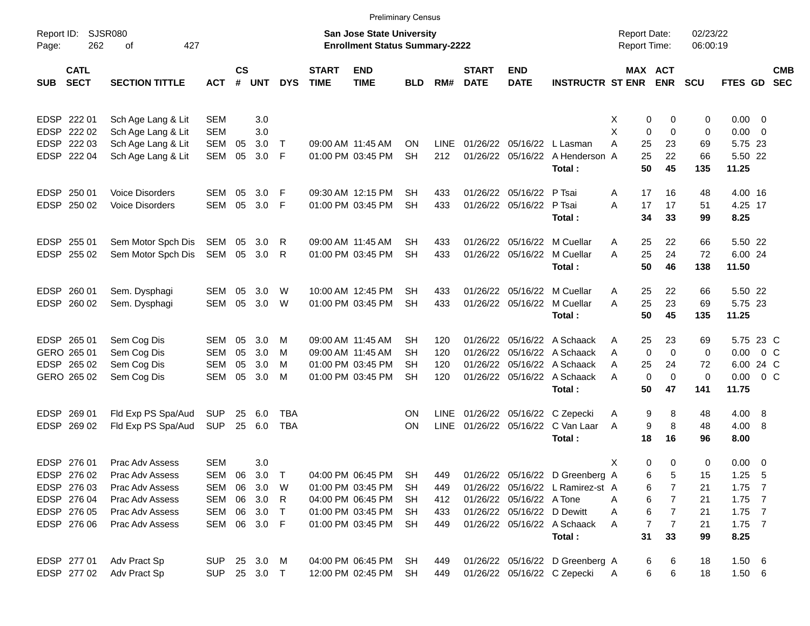|             |                            |                        |              |                    |            |            |                             | <b>Preliminary Census</b>                                          |            |             |                             |                            |                                  |                                            |                       |                      |                |                          |
|-------------|----------------------------|------------------------|--------------|--------------------|------------|------------|-----------------------------|--------------------------------------------------------------------|------------|-------------|-----------------------------|----------------------------|----------------------------------|--------------------------------------------|-----------------------|----------------------|----------------|--------------------------|
| Page:       | Report ID: SJSR080<br>262  | 427<br>οf              |              |                    |            |            |                             | San Jose State University<br><b>Enrollment Status Summary-2222</b> |            |             |                             |                            |                                  | <b>Report Date:</b><br><b>Report Time:</b> |                       | 02/23/22<br>06:00:19 |                |                          |
| <b>SUB</b>  | <b>CATL</b><br><b>SECT</b> | <b>SECTION TITTLE</b>  | <b>ACT</b>   | $\mathsf{cs}$<br># | <b>UNT</b> | <b>DYS</b> | <b>START</b><br><b>TIME</b> | <b>END</b><br><b>TIME</b>                                          | <b>BLD</b> | RM#         | <b>START</b><br><b>DATE</b> | <b>END</b><br><b>DATE</b>  | <b>INSTRUCTR ST ENR</b>          |                                            | MAX ACT<br><b>ENR</b> | <b>SCU</b>           | <b>FTES GD</b> | <b>CMB</b><br><b>SEC</b> |
|             | EDSP 222 01                | Sch Age Lang & Lit     | <b>SEM</b>   |                    | 3.0        |            |                             |                                                                    |            |             |                             |                            |                                  | X                                          | 0<br>0                | 0                    | $0.00 \t 0$    |                          |
|             | EDSP 222 02                | Sch Age Lang & Lit     | <b>SEM</b>   |                    | 3.0        |            |                             |                                                                    |            |             |                             |                            |                                  | X<br>$\mathbf 0$                           | $\mathbf 0$           | 0                    | $0.00 \t 0$    |                          |
|             | EDSP 222 03                | Sch Age Lang & Lit     | <b>SEM</b>   | 05                 | 3.0        | $\top$     |                             | 09:00 AM 11:45 AM                                                  | ΟN         | <b>LINE</b> |                             |                            | 01/26/22 05/16/22 L Lasman       | Α<br>25                                    | 23                    | 69                   | 5.75 23        |                          |
|             | EDSP 222 04                | Sch Age Lang & Lit     | <b>SEM</b>   | 05                 | 3.0        | -F         |                             | 01:00 PM 03:45 PM                                                  | <b>SH</b>  | 212         |                             |                            | 01/26/22 05/16/22 A Henderson A  | 25                                         | 22                    | 66                   | 5.50 22        |                          |
|             |                            |                        |              |                    |            |            |                             |                                                                    |            |             |                             |                            | Total:                           | 50                                         | 45                    | 135                  | 11.25          |                          |
|             | EDSP 250 01                | <b>Voice Disorders</b> | SEM          | 05                 | 3.0        | -F         |                             | 09:30 AM 12:15 PM                                                  | SН         | 433         |                             | 01/26/22 05/16/22 P Tsai   |                                  | 17<br>Α                                    | 16                    | 48                   | 4.00 16        |                          |
| <b>EDSP</b> | 250 02                     | <b>Voice Disorders</b> | <b>SEM</b>   | 05                 | 3.0        | -F         |                             | 01:00 PM 03:45 PM                                                  | SН         | 433         |                             | 01/26/22 05/16/22          | P Tsai                           | A<br>17                                    | 17                    | 51                   | 4.25 17        |                          |
|             |                            |                        |              |                    |            |            |                             |                                                                    |            |             |                             |                            | Total:                           | 34                                         | 33                    | 99                   | 8.25           |                          |
|             | EDSP 255 01                | Sem Motor Spch Dis     | SEM          | 05                 | 3.0        | R          |                             | 09:00 AM 11:45 AM                                                  | SН         | 433         |                             |                            | 01/26/22 05/16/22 M Cuellar      | 25<br>Α                                    | 22                    | 66                   | 5.50 22        |                          |
|             | EDSP 255 02                | Sem Motor Spch Dis     | SEM          | 05                 | 3.0        | R          |                             | 01:00 PM 03:45 PM                                                  | <b>SH</b>  | 433         |                             | 01/26/22 05/16/22          | M Cuellar                        | 25<br>A                                    | 24                    | 72                   | 6.00 24        |                          |
|             |                            |                        |              |                    |            |            |                             |                                                                    |            |             |                             |                            | Total:                           | 50                                         | 46                    | 138                  | 11.50          |                          |
|             | EDSP 260 01                | Sem. Dysphagi          | SEM          | 05                 | 3.0        | W          |                             | 10:00 AM 12:45 PM                                                  | SН         | 433         |                             |                            | 01/26/22 05/16/22 M Cuellar      | 25<br>Α                                    | 22                    | 66                   | 5.50 22        |                          |
|             | EDSP 260 02                | Sem. Dysphagi          | <b>SEM</b>   | 05                 | 3.0        | W          |                             | 01:00 PM 03:45 PM                                                  | SН         | 433         |                             | 01/26/22 05/16/22          | M Cuellar                        | A<br>25                                    | 23                    | 69                   | 5.75 23        |                          |
|             |                            |                        |              |                    |            |            |                             |                                                                    |            |             |                             |                            | Total:                           | 50                                         | 45                    | 135                  | 11.25          |                          |
|             | EDSP 265 01                | Sem Cog Dis            | SEM          | 05                 | 3.0        | м          |                             | 09:00 AM 11:45 AM                                                  | SН         | 120         |                             |                            | 01/26/22 05/16/22 A Schaack      | 25<br>Α                                    | 23                    | 69                   | 5.75 23 C      |                          |
|             | GERO 265 01                | Sem Cog Dis            | SEM          | 05                 | 3.0        | M          |                             | 09:00 AM 11:45 AM                                                  | SН         | 120         | 01/26/22                    |                            | 05/16/22 A Schaack               | $\mathbf 0$<br>Α                           | $\mathbf 0$           | 0                    | $0.00 \t 0 C$  |                          |
|             | EDSP 265 02                | Sem Cog Dis            | <b>SEM</b>   | 05                 | 3.0        | M          |                             | 01:00 PM 03:45 PM                                                  | SН         | 120         | 01/26/22                    |                            | 05/16/22 A Schaack               | 25<br>Α                                    | 24                    | 72                   | 6.00 24 C      |                          |
|             | GERO 265 02                | Sem Cog Dis            | <b>SEM</b>   | 05                 | 3.0        | M          |                             | 01:00 PM 03:45 PM                                                  | <b>SH</b>  | 120         |                             |                            | 01/26/22 05/16/22 A Schaack      | $\mathbf 0$<br>Α                           | $\mathbf 0$           | 0                    | $0.00 \t 0 C$  |                          |
|             |                            |                        |              |                    |            |            |                             |                                                                    |            |             |                             |                            | Total:                           | 50                                         | 47                    | 141                  | 11.75          |                          |
|             | EDSP 269 01                | Fld Exp PS Spa/Aud     | <b>SUP</b>   | 25                 | 6.0        | TBA        |                             |                                                                    | <b>ON</b>  | <b>LINE</b> |                             |                            | 01/26/22 05/16/22 C Zepecki      | Α                                          | 9<br>8                | 48                   | 4.00 8         |                          |
| <b>EDSP</b> | 269 02                     | Fld Exp PS Spa/Aud     | <b>SUP</b>   | 25                 | 6.0        | <b>TBA</b> |                             |                                                                    | ON         | <b>LINE</b> |                             |                            | 01/26/22 05/16/22 C Van Laar     | A                                          | 9<br>8                | 48                   | 4.00 8         |                          |
|             |                            |                        |              |                    |            |            |                             |                                                                    |            |             |                             |                            | Total:                           | 18                                         | 16                    | 96                   | 8.00           |                          |
|             | EDSP 276 01                | Prac Adv Assess        | SEM          |                    | 3.0        |            |                             |                                                                    |            |             |                             |                            |                                  | х                                          | 0<br>0                | 0                    | $0.00 \t 0$    |                          |
|             | EDSP 276 02                | Prac Adv Assess        | SEM          | 06                 | 3.0        | Т          |                             | 04:00 PM 06:45 PM                                                  | SН         | 449         |                             |                            | 01/26/22 05/16/22 D Greenberg A  |                                            | 6<br>5                | 15                   | $1.25$ 5       |                          |
|             | EDSP 276 03                | Prac Adv Assess        | SEM          | 06                 | 3.0        | W          |                             | 01:00 PM 03:45 PM                                                  | SH         | 449         |                             |                            | 01/26/22 05/16/22 L Ramirez-st A |                                            | 7<br>6                | 21                   | $1.75$ 7       |                          |
|             | EDSP 276 04                | Prac Adv Assess        | SEM          |                    | 06 3.0     | R          |                             | 04:00 PM 06:45 PM                                                  | SH         | 412         |                             | 01/26/22 05/16/22 A Tone   |                                  | Α                                          | 6<br>7                | 21                   | $1.75$ 7       |                          |
|             | EDSP 276 05                | Prac Adv Assess        | SEM          |                    | 06 3.0     | $\top$     |                             | 01:00 PM 03:45 PM                                                  | <b>SH</b>  | 433         |                             | 01/26/22 05/16/22 D Dewitt |                                  | Α                                          | 6<br>$\overline{7}$   | 21                   | $1.75$ 7       |                          |
|             | EDSP 276 06                | Prac Adv Assess        | SEM          |                    | 06 3.0 F   |            |                             | 01:00 PM 03:45 PM                                                  | SH         | 449         |                             |                            | 01/26/22 05/16/22 A Schaack      | A                                          | 7<br>$\overline{7}$   | 21                   | $1.75$ 7       |                          |
|             |                            |                        |              |                    |            |            |                             |                                                                    |            |             |                             |                            | Total:                           | 31                                         | 33                    | 99                   | 8.25           |                          |
|             | EDSP 277 01                | Adv Pract Sp           | SUP 25 3.0 M |                    |            |            |                             | 04:00 PM 06:45 PM                                                  | SH         | 449         |                             |                            | 01/26/22 05/16/22 D Greenberg A  |                                            | 6<br>6                | 18                   | 1.50 6         |                          |
|             | EDSP 277 02                | Adv Pract Sp           | SUP          |                    | 25 3.0 T   |            |                             | 12:00 PM 02:45 PM                                                  | SH         | 449         |                             |                            | 01/26/22 05/16/22 C Zepecki      | A                                          | 6<br>6                | 18                   | $1.50\ 6$      |                          |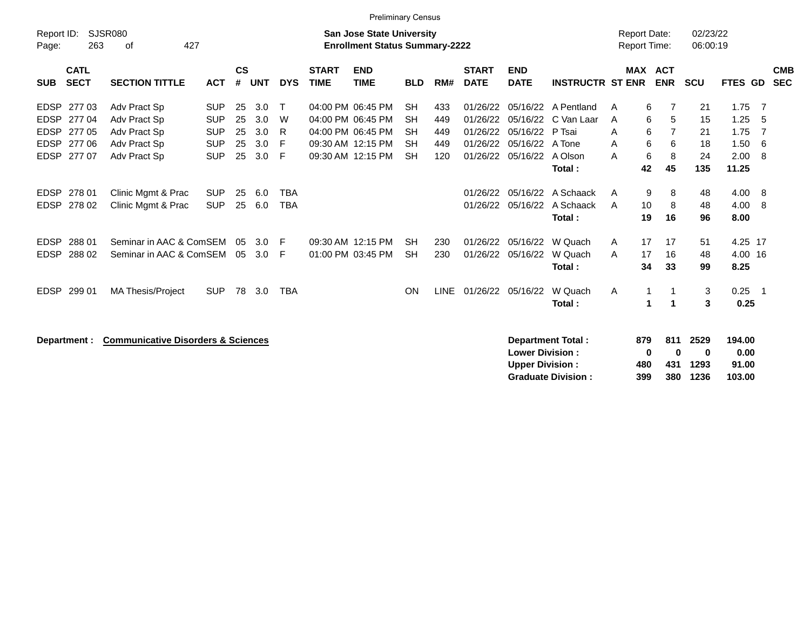|                                                                                                      |                                                                              |                                                                    |                            |                                 |                          |                             | <b>Preliminary Census</b>                                                                             |                                                               |                                 |                                                          |                                                          |                                                         |                                            |                                                             |                            |                                      |                            |
|------------------------------------------------------------------------------------------------------|------------------------------------------------------------------------------|--------------------------------------------------------------------|----------------------------|---------------------------------|--------------------------|-----------------------------|-------------------------------------------------------------------------------------------------------|---------------------------------------------------------------|---------------------------------|----------------------------------------------------------|----------------------------------------------------------|---------------------------------------------------------|--------------------------------------------|-------------------------------------------------------------|----------------------------|--------------------------------------|----------------------------|
| Report ID:<br>Page:                                                                                  | SJSR080<br>427<br>263<br>οf                                                  |                                                                    |                            |                                 |                          |                             | <b>San Jose State University</b><br><b>Enrollment Status Summary-2222</b>                             |                                                               |                                 |                                                          |                                                          |                                                         | <b>Report Date:</b><br><b>Report Time:</b> |                                                             | 02/23/22<br>06:00:19       |                                      |                            |
| <b>CATL</b><br><b>SECT</b><br><b>SUB</b>                                                             | <b>SECTION TITTLE</b>                                                        | <b>ACT</b>                                                         | $\mathsf{cs}$<br>#         | <b>UNT</b>                      | <b>DYS</b>               | <b>START</b><br><b>TIME</b> | <b>END</b><br><b>TIME</b>                                                                             | <b>BLD</b>                                                    | RM#                             | <b>START</b><br><b>DATE</b>                              | <b>END</b><br><b>DATE</b>                                | <b>INSTRUCTR ST ENR</b>                                 |                                            | MAX ACT<br><b>ENR</b>                                       | <b>SCU</b>                 | FTES GD                              | <b>CMB</b><br><b>SEC</b>   |
| 277 03<br><b>EDSP</b><br><b>EDSP</b><br>27704<br>EDSP 277 05<br><b>EDSP</b><br>277 06<br>EDSP 277 07 | Adv Pract Sp<br>Adv Pract Sp<br>Adv Pract Sp<br>Adv Pract Sp<br>Adv Pract Sp | <b>SUP</b><br><b>SUP</b><br><b>SUP</b><br><b>SUP</b><br><b>SUP</b> | 25<br>25<br>25<br>25<br>25 | 3.0<br>3.0<br>3.0<br>3.0<br>3.0 | Т<br>W<br>R<br>F<br>F    |                             | 04:00 PM 06:45 PM<br>04:00 PM 06:45 PM<br>04:00 PM 06:45 PM<br>09:30 AM 12:15 PM<br>09:30 AM 12:15 PM | <b>SH</b><br><b>SH</b><br><b>SH</b><br><b>SH</b><br><b>SH</b> | 433<br>449<br>449<br>449<br>120 | 01/26/22<br>01/26/22<br>01/26/22<br>01/26/22<br>01/26/22 | 05/16/22<br>05/16/22<br>05/16/22<br>05/16/22<br>05/16/22 | A Pentland<br>C Van Laar<br>P Tsai<br>A Tone<br>A Olson | A<br>A<br>A<br>A<br>A                      | 6<br>7<br>6<br>5<br>6<br>$\overline{7}$<br>6<br>6<br>8<br>6 | 21<br>15<br>21<br>18<br>24 | 1.75<br>1.25<br>1.75<br>1.50<br>2.00 | - 7<br>-5<br>-7<br>6<br>-8 |
|                                                                                                      |                                                                              |                                                                    |                            |                                 |                          |                             |                                                                                                       |                                                               |                                 |                                                          |                                                          | Total:                                                  |                                            | 42<br>45                                                    | 135                        | 11.25                                |                            |
| 278 01<br><b>EDSP</b><br>EDSP 278 02                                                                 | Clinic Mgmt & Prac<br>Clinic Mgmt & Prac                                     | <b>SUP</b><br><b>SUP</b>                                           | 25<br>25                   | 6.0<br>6.0                      | <b>TBA</b><br><b>TBA</b> |                             |                                                                                                       |                                                               |                                 | 01/26/22<br>01/26/22                                     | 05/16/22<br>05/16/22                                     | A Schaack<br>A Schaack<br>Total:                        | A<br>A                                     | 9<br>8<br>10<br>8<br>19<br>16                               | 48<br>48<br>96             | 4.00<br>4.00<br>8.00                 | -8<br>-8                   |
| <b>EDSP</b><br>288 01<br><b>EDSP</b><br>288 02                                                       | Seminar in AAC & ComSEM<br>Seminar in AAC & ComSEM                           |                                                                    | 05<br>05                   | 3.0<br>3.0                      | F<br>F                   |                             | 09:30 AM 12:15 PM<br>01:00 PM 03:45 PM                                                                | <b>SH</b><br><b>SH</b>                                        | 230<br>230                      | 01/26/22<br>01/26/22                                     | 05/16/22<br>05/16/22                                     | W Quach<br>W Quach<br>Total:                            | A<br>A                                     | 17<br>17<br>16<br>17<br>34<br>33                            | 51<br>48<br>99             | 4.25 17<br>4.00 16<br>8.25           |                            |
| <b>EDSP</b><br>299 01                                                                                | <b>MA Thesis/Project</b>                                                     | <b>SUP</b>                                                         | 78                         | 3.0                             | <b>TBA</b>               |                             |                                                                                                       | <b>ON</b>                                                     | <b>LINE</b>                     | 01/26/22                                                 | 05/16/22                                                 | W Quach<br>Total:                                       | A                                          | $\mathbf{1}$<br>-1<br>-1<br>1                               | 3<br>3                     | 0.25<br>0.25                         | $\overline{1}$             |
| Department :                                                                                         | <b>Communicative Disorders &amp; Sciences</b>                                |                                                                    |                            |                                 |                          |                             |                                                                                                       |                                                               |                                 |                                                          | <b>Lower Division:</b><br><b>Upper Division:</b>         | <b>Department Total:</b><br><b>Graduate Division:</b>   | 879<br>480<br>399                          | 811<br>0<br>0<br>431<br>380                                 | 2529<br>0<br>1293<br>1236  | 194.00<br>0.00<br>91.00<br>103.00    |                            |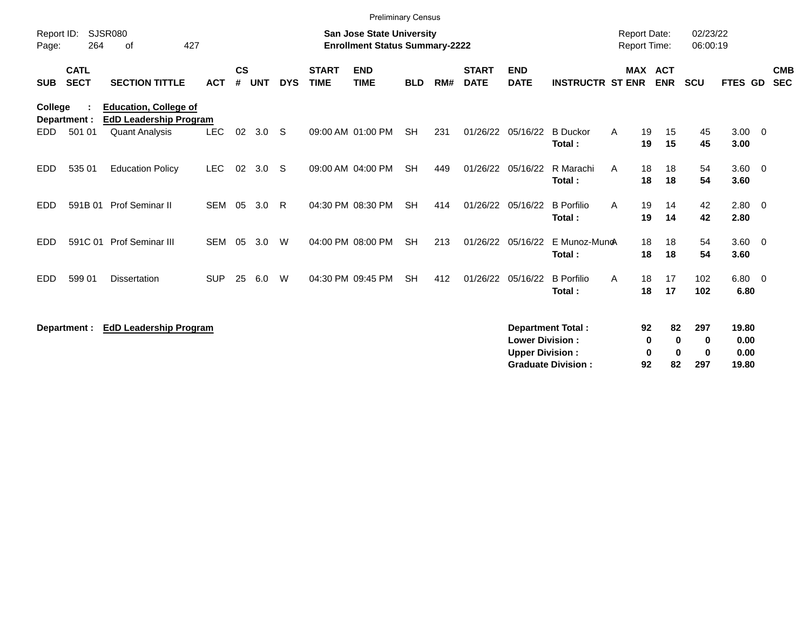|                     |                            |                                                               |            |                    |            |            |                             | <b>Preliminary Census</b>                                                 |            |     |                             |                                                  |                                                       |                                     |                                          |                                       |                                |                          |
|---------------------|----------------------------|---------------------------------------------------------------|------------|--------------------|------------|------------|-----------------------------|---------------------------------------------------------------------------|------------|-----|-----------------------------|--------------------------------------------------|-------------------------------------------------------|-------------------------------------|------------------------------------------|---------------------------------------|--------------------------------|--------------------------|
| Report ID:<br>Page: | 264                        | SJSR080<br>427<br>0f                                          |            |                    |            |            |                             | <b>San Jose State University</b><br><b>Enrollment Status Summary-2222</b> |            |     |                             |                                                  |                                                       | <b>Report Date:</b><br>Report Time: |                                          | 02/23/22<br>06:00:19                  |                                |                          |
| <b>SUB</b>          | <b>CATL</b><br><b>SECT</b> | <b>SECTION TITTLE</b>                                         | <b>ACT</b> | $\mathsf{cs}$<br># | <b>UNT</b> | <b>DYS</b> | <b>START</b><br><b>TIME</b> | <b>END</b><br><b>TIME</b>                                                 | <b>BLD</b> | RM# | <b>START</b><br><b>DATE</b> | <b>END</b><br><b>DATE</b>                        | <b>INSTRUCTR ST ENR</b>                               |                                     | <b>MAX ACT</b><br><b>ENR</b>             | <b>SCU</b>                            | <b>FTES GD</b>                 | <b>CMB</b><br><b>SEC</b> |
| <b>College</b>      | Department :               | <b>Education, College of</b><br><b>EdD Leadership Program</b> |            |                    |            |            |                             |                                                                           |            |     |                             |                                                  |                                                       |                                     |                                          |                                       |                                |                          |
| EDD.                | 501 01                     | <b>Quant Analysis</b>                                         | <b>LEC</b> | 02                 | 3.0        | -S         |                             | 09:00 AM 01:00 PM                                                         | <b>SH</b>  | 231 | 01/26/22 05/16/22           |                                                  | <b>B</b> Duckor<br>Total:                             | A                                   | 19<br>15<br>15<br>19                     | 45<br>45                              | $3.00 \quad 0$<br>3.00         |                          |
| EDD.                | 535 01                     | <b>Education Policy</b>                                       | <b>LEC</b> | 02                 | 3.0        | -S         |                             | 09:00 AM 04:00 PM                                                         | <b>SH</b>  | 449 | 01/26/22 05/16/22           |                                                  | R Marachi<br>Total:                                   | A                                   | 18<br>18<br>18<br>18                     | 54<br>54                              | $3.60 \ 0$<br>3.60             |                          |
| <b>EDD</b>          | 591B 01                    | Prof Seminar II                                               | <b>SEM</b> | 05                 | 3.0        | R          |                             | 04:30 PM 08:30 PM                                                         | <b>SH</b>  | 414 |                             | 01/26/22 05/16/22                                | <b>B</b> Porfilio<br>Total:                           | A                                   | 19<br>14<br>14<br>19                     | 42<br>42                              | 2.80 0<br>2.80                 |                          |
| <b>EDD</b>          | 591C 01                    | Prof Seminar III                                              | <b>SEM</b> | 05                 | 3.0        | W          |                             | 04:00 PM 08:00 PM                                                         | <b>SH</b>  | 213 |                             | 01/26/22 05/16/22                                | E Munoz-MuncA<br>Total:                               |                                     | 18<br>18<br>18<br>18                     | 54<br>54                              | $3.60 \ 0$<br>3.60             |                          |
| EDD                 | 599 01                     | <b>Dissertation</b>                                           | <b>SUP</b> | 25                 | 6.0        | W          |                             | 04:30 PM 09:45 PM                                                         | <b>SH</b>  | 412 |                             | 01/26/22 05/16/22                                | <b>B</b> Porfilio<br>Total:                           | A                                   | 18<br>17<br>17<br>18                     | 102<br>102                            | 6.80 0<br>6.80                 |                          |
|                     | Department :               | <b>EdD Leadership Program</b>                                 |            |                    |            |            |                             |                                                                           |            |     |                             | <b>Lower Division:</b><br><b>Upper Division:</b> | <b>Department Total:</b><br><b>Graduate Division:</b> |                                     | 82<br>92<br>0<br>$\mathbf 0$<br>92<br>82 | 297<br>0<br>0<br>$\bf{0}$<br>0<br>297 | 19.80<br>0.00<br>0.00<br>19.80 |                          |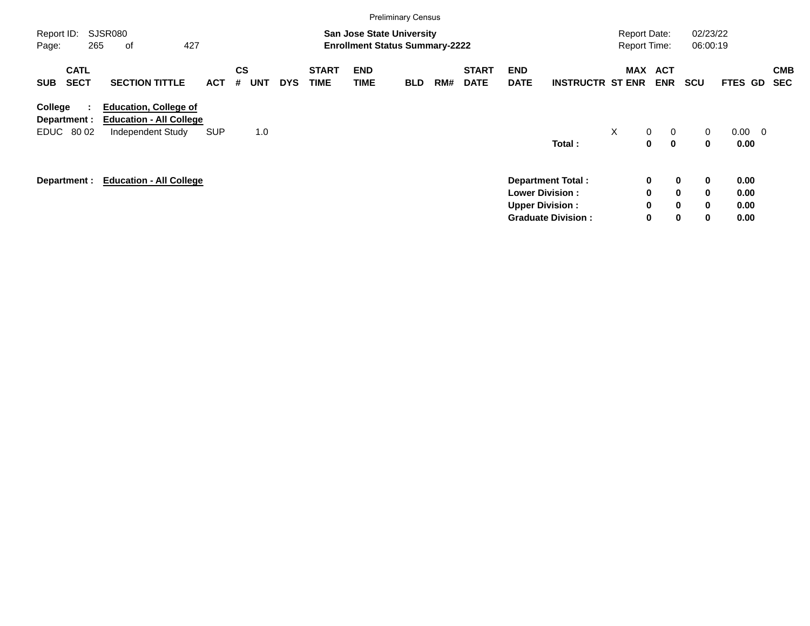|                                                      |                                                                                     |            |                              |            |                             |                    | <b>Preliminary Census</b>                                                 |     |                             |                                                  |                                                       |                                            |                                                                           |                      |                              |                          |  |
|------------------------------------------------------|-------------------------------------------------------------------------------------|------------|------------------------------|------------|-----------------------------|--------------------|---------------------------------------------------------------------------|-----|-----------------------------|--------------------------------------------------|-------------------------------------------------------|--------------------------------------------|---------------------------------------------------------------------------|----------------------|------------------------------|--------------------------|--|
| Report ID:<br>265<br>Page:                           | SJSR080<br>427<br>оf                                                                |            |                              |            |                             |                    | <b>San Jose State University</b><br><b>Enrollment Status Summary-2222</b> |     |                             |                                                  |                                                       | <b>Report Date:</b><br><b>Report Time:</b> |                                                                           | 02/23/22<br>06:00:19 |                              |                          |  |
| <b>CATL</b><br><b>SECT</b><br><b>SUB</b>             | <b>SECTION TITTLE</b>                                                               | <b>ACT</b> | <b>CS</b><br>#<br><b>UNT</b> | <b>DYS</b> | <b>START</b><br><b>TIME</b> | <b>END</b><br>TIME | <b>BLD</b>                                                                | RM# | <b>START</b><br><b>DATE</b> | <b>END</b><br><b>DATE</b>                        | <b>INSTRUCTR ST ENR</b>                               | MAX                                        | <b>ACT</b><br><b>ENR</b>                                                  | <b>SCU</b>           | <b>FTES GD</b>               | <b>CMB</b><br><b>SEC</b> |  |
| College<br>÷<br>Department :<br>80 02<br><b>EDUC</b> | <b>Education, College of</b><br><b>Education - All College</b><br>Independent Study | <b>SUP</b> | 1.0                          |            |                             |                    |                                                                           |     |                             |                                                  | Total:                                                | $\times$                                   | $\mathbf{0}$<br>$\mathbf 0$<br>$\mathbf{0}$<br>$\mathbf 0$                | $\overline{0}$<br>0  | $0.00 \quad 0$<br>0.00       |                          |  |
| Department :                                         | <b>Education - All College</b>                                                      |            |                              |            |                             |                    |                                                                           |     |                             | <b>Lower Division:</b><br><b>Upper Division:</b> | <b>Department Total:</b><br><b>Graduate Division:</b> |                                            | 0<br>$\mathbf 0$<br>0<br>$\mathbf 0$<br>0<br>$\mathbf 0$<br>0<br>$\bf{0}$ | 0<br>0<br>0<br>0     | 0.00<br>0.00<br>0.00<br>0.00 |                          |  |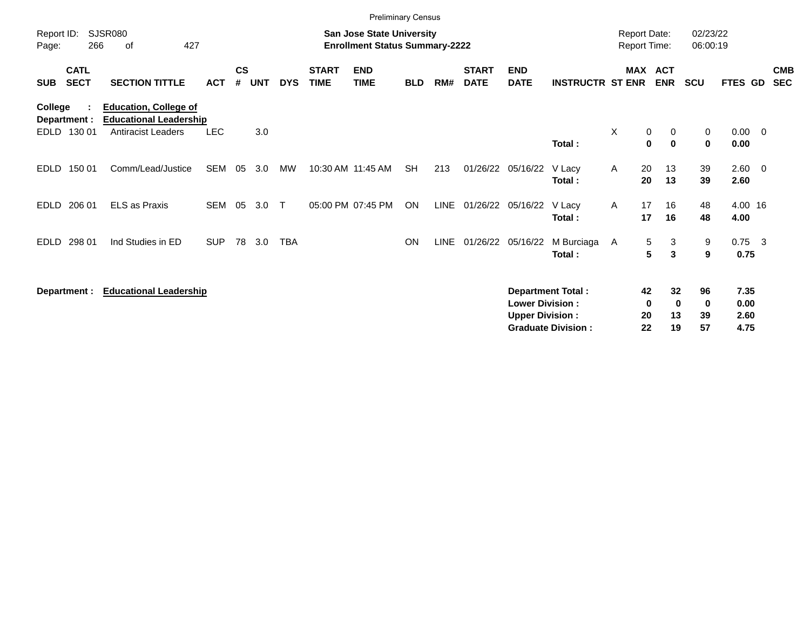|                                          |                                                               |            |                    |            |            |                             | <b>Preliminary Census</b>                                                 |            |      |                             |                                                  |                                                       |                              |                      |                                |                               |                              |                          |
|------------------------------------------|---------------------------------------------------------------|------------|--------------------|------------|------------|-----------------------------|---------------------------------------------------------------------------|------------|------|-----------------------------|--------------------------------------------------|-------------------------------------------------------|------------------------------|----------------------|--------------------------------|-------------------------------|------------------------------|--------------------------|
| Report ID:<br>266<br>Page:               | <b>SJSR080</b><br>427<br>οf                                   |            |                    |            |            |                             | <b>San Jose State University</b><br><b>Enrollment Status Summary-2222</b> |            |      |                             |                                                  |                                                       | Report Date:<br>Report Time: |                      |                                | 02/23/22<br>06:00:19          |                              |                          |
| <b>CATL</b><br><b>SECT</b><br><b>SUB</b> | <b>SECTION TITTLE</b>                                         | <b>ACT</b> | $\mathsf{cs}$<br># | <b>UNT</b> | <b>DYS</b> | <b>START</b><br><b>TIME</b> | <b>END</b><br><b>TIME</b>                                                 | <b>BLD</b> | RM#  | <b>START</b><br><b>DATE</b> | <b>END</b><br><b>DATE</b>                        | <b>INSTRUCTR ST ENR</b>                               | <b>MAX</b>                   |                      | <b>ACT</b><br><b>ENR</b>       | <b>SCU</b>                    | FTES GD                      | <b>CMB</b><br><b>SEC</b> |
| College<br>Department :                  | <b>Education, College of</b><br><b>Educational Leadership</b> |            |                    |            |            |                             |                                                                           |            |      |                             |                                                  |                                                       |                              |                      |                                |                               |                              |                          |
| 130 01<br><b>EDLD</b>                    | Antiracist Leaders                                            | <b>LEC</b> |                    | 3.0        |            |                             |                                                                           |            |      |                             |                                                  | Total:                                                | X                            | 0<br>$\mathbf 0$     | 0<br>$\mathbf{0}$              | 0<br>$\mathbf 0$              | $0.00 \t 0$<br>0.00          |                          |
| <b>EDLD</b><br>150 01                    | Comm/Lead/Justice                                             | SEM        | 05                 | 3.0        | <b>MW</b>  |                             | 10:30 AM 11:45 AM                                                         | <b>SH</b>  | 213  | 01/26/22                    | 05/16/22                                         | V Lacy<br>Total:                                      | A                            | 20<br>20             | 13<br>13                       | 39<br>39                      | $2.60 \t 0$<br>2.60          |                          |
| 206 01<br><b>EDLD</b>                    | <b>ELS as Praxis</b>                                          | <b>SEM</b> | 05                 | 3.0        | $\top$     |                             | 05:00 PM 07:45 PM                                                         | ON         | LINE |                             | 01/26/22 05/16/22                                | V Lacy<br>Total:                                      | A                            | 17<br>17             | 16<br>16                       | 48<br>48                      | 4.00 16<br>4.00              |                          |
| 298 01<br><b>EDLD</b>                    | Ind Studies in ED                                             | <b>SUP</b> | 78                 | 3.0        | <b>TBA</b> |                             |                                                                           | ON         | LINE |                             | 01/26/22 05/16/22                                | M Burciaga<br>Total:                                  | A                            | 5<br>$5\phantom{.0}$ | 3<br>3                         | 9<br>9                        | $0.75$ 3<br>0.75             |                          |
| Department :                             | <b>Educational Leadership</b>                                 |            |                    |            |            |                             |                                                                           |            |      |                             | <b>Lower Division:</b><br><b>Upper Division:</b> | <b>Department Total:</b><br><b>Graduate Division:</b> |                              | 42<br>0<br>20<br>22  | 32<br>$\mathbf{0}$<br>13<br>19 | 96<br>$\mathbf 0$<br>39<br>57 | 7.35<br>0.00<br>2.60<br>4.75 |                          |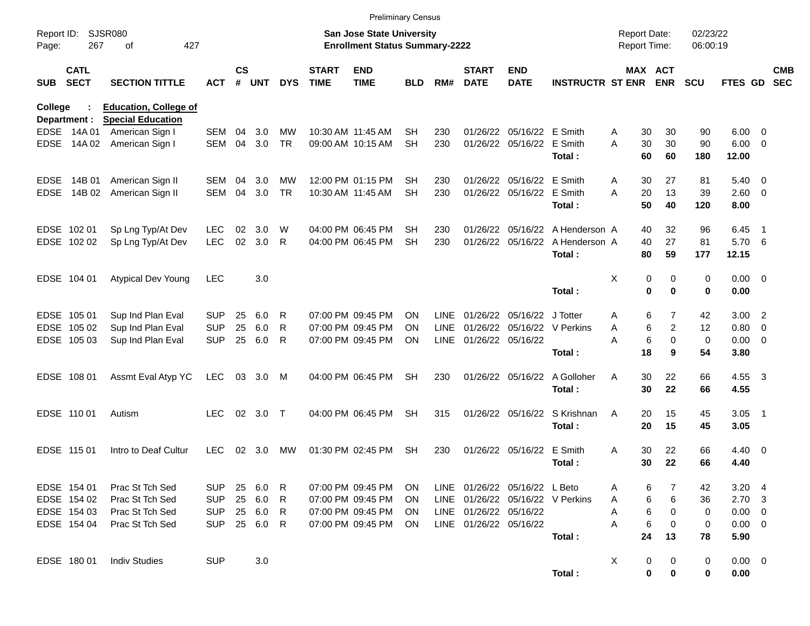|                     |                            |                                                          |            |                |            |            |                             | <b>Preliminary Census</b>                                                 |            |             |                             |                           |                                  |                                     |                       |                      |                |                          |                          |
|---------------------|----------------------------|----------------------------------------------------------|------------|----------------|------------|------------|-----------------------------|---------------------------------------------------------------------------|------------|-------------|-----------------------------|---------------------------|----------------------------------|-------------------------------------|-----------------------|----------------------|----------------|--------------------------|--------------------------|
| Report ID:<br>Page: | 267                        | SJSR080<br>427<br>оf                                     |            |                |            |            |                             | <b>San Jose State University</b><br><b>Enrollment Status Summary-2222</b> |            |             |                             |                           |                                  | <b>Report Date:</b><br>Report Time: |                       | 02/23/22<br>06:00:19 |                |                          |                          |
| <b>SUB</b>          | <b>CATL</b><br><b>SECT</b> | <b>SECTION TITTLE</b>                                    | <b>ACT</b> | <b>CS</b><br># | <b>UNT</b> | <b>DYS</b> | <b>START</b><br><b>TIME</b> | <b>END</b><br><b>TIME</b>                                                 | <b>BLD</b> | RM#         | <b>START</b><br><b>DATE</b> | <b>END</b><br><b>DATE</b> | <b>INSTRUCTR ST ENR</b>          |                                     | MAX ACT<br><b>ENR</b> | <b>SCU</b>           | <b>FTES GD</b> |                          | <b>CMB</b><br><b>SEC</b> |
| College             | Department :               | <b>Education, College of</b><br><b>Special Education</b> |            |                |            |            |                             |                                                                           |            |             |                             |                           |                                  |                                     |                       |                      |                |                          |                          |
|                     | EDSE 14A 01                | American Sign I                                          | <b>SEM</b> | 04             | 3.0        | MW         | 10:30 AM 11:45 AM           |                                                                           | <b>SH</b>  | 230         |                             | 01/26/22 05/16/22 E Smith |                                  | A<br>30                             | 30                    | 90                   | 6.00           | - 0                      |                          |
| <b>EDSE</b>         | 14A 02                     | American Sign I                                          | <b>SEM</b> | 04             | 3.0        | <b>TR</b>  |                             | 09:00 AM 10:15 AM                                                         | <b>SH</b>  | 230         |                             | 01/26/22 05/16/22 E Smith |                                  | 30<br>A                             | 30                    | 90                   | 6.00           | - 0                      |                          |
|                     |                            |                                                          |            |                |            |            |                             |                                                                           |            |             |                             |                           | Total:                           | 60                                  | 60                    | 180                  | 12.00          |                          |                          |
| <b>EDSE</b>         | 14B 01                     | American Sign II                                         | SEM        | 04             | 3.0        | MW         |                             | 12:00 PM 01:15 PM                                                         | SН         | 230         |                             | 01/26/22 05/16/22         | E Smith                          | A<br>30                             | 27                    | 81                   | 5.40           | $\overline{\mathbf{0}}$  |                          |
| <b>EDSE</b>         | 14B 02                     | American Sign II                                         | <b>SEM</b> | 04             | 3.0        | <b>TR</b>  |                             | 10:30 AM 11:45 AM                                                         | <b>SH</b>  | 230         |                             | 01/26/22 05/16/22         | E Smith                          | 20<br>A                             | 13                    | 39                   | 2.60           | $\overline{\mathbf{0}}$  |                          |
|                     |                            |                                                          |            |                |            |            |                             |                                                                           |            |             |                             |                           | Total:                           | 50                                  | 40                    | 120                  | 8.00           |                          |                          |
|                     | EDSE 102 01                | Sp Lng Typ/At Dev                                        | <b>LEC</b> | 02             | 3.0        | W          |                             | 04:00 PM 06:45 PM                                                         | SН         | 230         |                             | 01/26/22 05/16/22         | A Henderson A                    | 40                                  | 32                    | 96                   | 6.45           | -1                       |                          |
|                     | EDSE 102 02                | Sp Lng Typ/At Dev                                        | <b>LEC</b> | 02             | 3.0        | R          |                             | 04:00 PM 06:45 PM                                                         | <b>SH</b>  | 230         |                             | 01/26/22 05/16/22         | A Henderson A                    | 40                                  | 27                    | 81                   | 5.70           | - 6                      |                          |
|                     |                            |                                                          |            |                |            |            |                             |                                                                           |            |             |                             |                           | Total:                           | 80                                  | 59                    | 177                  | 12.15          |                          |                          |
|                     | EDSE 104 01                | <b>Atypical Dev Young</b>                                | <b>LEC</b> |                | 3.0        |            |                             |                                                                           |            |             |                             |                           |                                  | X                                   | 0<br>0                | 0                    | 0.00           | $\overline{\phantom{0}}$ |                          |
|                     |                            |                                                          |            |                |            |            |                             |                                                                           |            |             |                             |                           | Total:                           |                                     | $\mathbf 0$<br>0      | 0                    | 0.00           |                          |                          |
|                     | EDSE 105 01                | Sup Ind Plan Eval                                        | <b>SUP</b> | 25             | 6.0        | R          |                             | 07:00 PM 09:45 PM                                                         | <b>ON</b>  | <b>LINE</b> |                             | 01/26/22 05/16/22         | J Totter                         | A                                   | 6<br>$\overline{7}$   | 42                   | 3.00           | $\overline{2}$           |                          |
|                     | EDSE 105 02                | Sup Ind Plan Eval                                        | <b>SUP</b> | 25             | 6.0        | R          |                             | 07:00 PM 09:45 PM                                                         | <b>ON</b>  | <b>LINE</b> |                             | 01/26/22 05/16/22         | V Perkins                        | Α                                   | 6<br>$\overline{c}$   | 12                   | 0.80           | $\overline{0}$           |                          |
|                     | EDSE 105 03                | Sup Ind Plan Eval                                        | <b>SUP</b> | 25             | 6.0        | R          |                             | 07:00 PM 09:45 PM                                                         | <b>ON</b>  | LINE        | 01/26/22 05/16/22           |                           |                                  | A                                   | 6<br>$\mathbf 0$      | $\mathbf 0$          | 0.00           | $\overline{\mathbf{0}}$  |                          |
|                     |                            |                                                          |            |                |            |            |                             |                                                                           |            |             |                             |                           | Total:                           | 18                                  | 9                     | 54                   | 3.80           |                          |                          |
|                     | EDSE 108 01                | Assmt Eval Atyp YC                                       | <b>LEC</b> | 03             | 3.0        | M          |                             | 04:00 PM 06:45 PM                                                         | <b>SH</b>  | 230         |                             | 01/26/22 05/16/22         | A Golloher                       | 30<br>A                             | 22                    | 66                   | 4.55           | - 3                      |                          |
|                     |                            |                                                          |            |                |            |            |                             |                                                                           |            |             |                             |                           | Total:                           | 30                                  | 22                    | 66                   | 4.55           |                          |                          |
|                     | EDSE 110 01                | Autism                                                   | <b>LEC</b> | 02             | 3.0        | $\top$     |                             | 04:00 PM 06:45 PM                                                         | <b>SH</b>  | 315         |                             | 01/26/22 05/16/22         | S Krishnan                       | 20<br>A                             | 15                    | 45                   | 3.05           | - 1                      |                          |
|                     |                            |                                                          |            |                |            |            |                             |                                                                           |            |             |                             |                           | Total:                           | 20                                  | 15                    | 45                   | 3.05           |                          |                          |
|                     | EDSE 115 01                | Intro to Deaf Cultur                                     | <b>LEC</b> | 02             | 3.0        | MW         |                             | 01:30 PM 02:45 PM                                                         | <b>SH</b>  | 230         |                             | 01/26/22 05/16/22         | E Smith                          | 30<br>A                             | 22                    | 66                   | 4.40           | - 0                      |                          |
|                     |                            |                                                          |            |                |            |            |                             |                                                                           |            |             |                             |                           | Total:                           | 30                                  | 22                    | 66                   | 4.40           |                          |                          |
|                     | EDSE 154 01                | Prac St Tch Sed                                          | <b>SUP</b> | 25             | 6.0        | R          |                             | 07:00 PM 09:45 PM                                                         | ON.        |             |                             | LINE 01/26/22 05/16/22    | L Beto                           | A                                   | 6                     | 42                   | $3.20 \quad 4$ |                          |                          |
|                     | EDSE 154 02                | Prac St Tch Sed                                          | <b>SUP</b> |                | 25 6.0     | R          |                             | 07:00 PM 09:45 PM                                                         | ON.        |             |                             |                           | LINE 01/26/22 05/16/22 V Perkins | A                                   | 6<br>6                | 36                   | $2.70 \quad 3$ |                          |                          |
|                     | EDSE 154 03                | Prac St Tch Sed                                          | <b>SUP</b> |                | 25 6.0     | R          |                             | 07:00 PM 09:45 PM                                                         | ON.        |             | LINE 01/26/22 05/16/22      |                           |                                  | A                                   | 6<br>0                | 0                    | $0.00 \quad 0$ |                          |                          |
|                     | EDSE 154 04                | Prac St Tch Sed                                          | <b>SUP</b> |                | 25 6.0     | R          |                             | 07:00 PM 09:45 PM                                                         | ON.        |             | LINE 01/26/22 05/16/22      |                           |                                  | А                                   | 6<br>0                | 0                    | $0.00 \t 0$    |                          |                          |
|                     |                            |                                                          |            |                |            |            |                             |                                                                           |            |             |                             |                           | Total:                           | 24                                  | 13                    | 78                   | 5.90           |                          |                          |
|                     | EDSE 180 01                | <b>Indiv Studies</b>                                     | <b>SUP</b> |                | 3.0        |            |                             |                                                                           |            |             |                             |                           |                                  | X                                   | 0<br>0                | 0                    | $0.00 \quad 0$ |                          |                          |
|                     |                            |                                                          |            |                |            |            |                             |                                                                           |            |             |                             |                           | Total:                           |                                     | 0<br>0                | 0                    | 0.00           |                          |                          |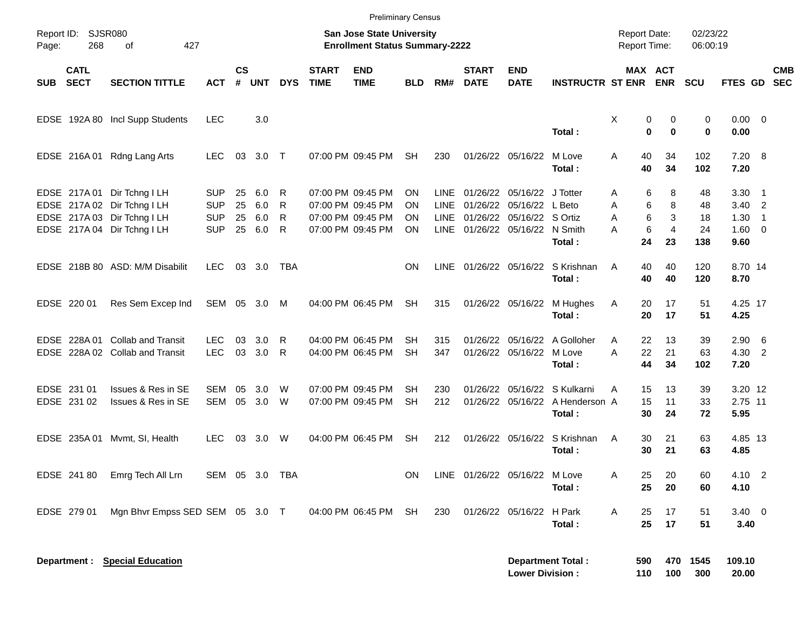|            |                            |                                                                                                                          |                                                      |                      |                          |                  |                             | <b>Preliminary Census</b>                                                        |                      |                       |                             |                                                                                                              |                                                                  |                                                          |                                     |                             |                                                     |                          |            |
|------------|----------------------------|--------------------------------------------------------------------------------------------------------------------------|------------------------------------------------------|----------------------|--------------------------|------------------|-----------------------------|----------------------------------------------------------------------------------|----------------------|-----------------------|-----------------------------|--------------------------------------------------------------------------------------------------------------|------------------------------------------------------------------|----------------------------------------------------------|-------------------------------------|-----------------------------|-----------------------------------------------------|--------------------------|------------|
| Page:      | Report ID: SJSR080<br>268  | 427<br>оf                                                                                                                |                                                      |                      |                          |                  |                             | <b>San Jose State University</b><br><b>Enrollment Status Summary-2222</b>        |                      |                       |                             |                                                                                                              |                                                                  | <b>Report Date:</b><br><b>Report Time:</b>               |                                     | 02/23/22<br>06:00:19        |                                                     |                          |            |
| <b>SUB</b> | <b>CATL</b><br><b>SECT</b> | <b>SECTION TITTLE</b>                                                                                                    | <b>ACT</b>                                           | $\mathsf{cs}$<br>#   | <b>UNT</b>               | <b>DYS</b>       | <b>START</b><br><b>TIME</b> | <b>END</b><br><b>TIME</b>                                                        | <b>BLD</b>           | RM#                   | <b>START</b><br><b>DATE</b> | <b>END</b><br><b>DATE</b>                                                                                    | <b>INSTRUCTR ST ENR</b>                                          | MAX ACT                                                  | <b>ENR</b>                          | <b>SCU</b>                  | FTES GD SEC                                         |                          | <b>CMB</b> |
|            |                            | EDSE 192A 80 Incl Supp Students                                                                                          | <b>LEC</b>                                           |                      | 3.0                      |                  |                             |                                                                                  |                      |                       |                             |                                                                                                              | Total:                                                           | Χ<br>0<br>$\bf{0}$                                       | 0<br>0                              | 0<br>0                      | $0.00 \t 0$<br>0.00                                 |                          |            |
|            |                            | EDSE 216A 01 Rdng Lang Arts                                                                                              | <b>LEC</b>                                           | 03                   | 3.0 T                    |                  |                             | 07:00 PM 09:45 PM                                                                | <b>SH</b>            | 230                   |                             | 01/26/22 05/16/22                                                                                            | M Love<br>Total:                                                 | A<br>40<br>40                                            | 34<br>34                            | 102<br>102                  | $7.20\ 8$<br>7.20                                   |                          |            |
|            |                            | EDSE 217A 01 Dir Tchng I LH<br>EDSE 217A 02 Dir Tchng I LH<br>EDSE 217A 03 Dir Tchng I LH<br>EDSE 217A 04 Dir Tchng I LH | <b>SUP</b><br><b>SUP</b><br><b>SUP</b><br><b>SUP</b> | 25<br>25<br>25<br>25 | 6.0<br>6.0<br>6.0<br>6.0 | R<br>R<br>R<br>R |                             | 07:00 PM 09:45 PM<br>07:00 PM 09:45 PM<br>07:00 PM 09:45 PM<br>07:00 PM 09:45 PM | ON<br>ON<br>ON<br>OΝ | LINE.<br>LINE<br>LINE | 01/26/22                    | 01/26/22 05/16/22 J Totter<br>05/16/22 L Beto<br>01/26/22 05/16/22 S Ortiz<br>LINE 01/26/22 05/16/22 N Smith | Total:                                                           | 6<br>A<br>6<br>Α<br>6<br>A<br>$6\phantom{1}6$<br>A<br>24 | 8<br>8<br>3<br>$\overline{4}$<br>23 | 48<br>48<br>18<br>24<br>138 | $3.30$ 1<br>$3.40$ 2<br>1.30<br>$1.60 \t 0$<br>9.60 | $\overline{\phantom{1}}$ |            |
|            |                            | EDSE 218B 80 ASD: M/M Disabilit                                                                                          | <b>LEC</b>                                           |                      | 03 3.0                   | TBA              |                             |                                                                                  | <b>ON</b>            |                       |                             |                                                                                                              | LINE 01/26/22 05/16/22 S Krishnan<br>Total:                      | 40<br>A<br>40                                            | 40<br>40                            | 120<br>120                  | 8.70 14<br>8.70                                     |                          |            |
|            | EDSE 220 01                | Res Sem Excep Ind                                                                                                        | SEM 05 3.0 M                                         |                      |                          |                  |                             | 04:00 PM 06:45 PM                                                                | <b>SH</b>            | 315                   |                             | 01/26/22 05/16/22                                                                                            | M Hughes<br>Total:                                               | Α<br>20<br>20                                            | 17<br>17                            | 51<br>51                    | 4.25 17<br>4.25                                     |                          |            |
|            |                            | EDSE 228A 01 Collab and Transit<br>EDSE 228A 02 Collab and Transit                                                       | <b>LEC</b><br><b>LEC</b>                             | 03<br>03             | 3.0<br>3.0               | R<br>R           |                             | 04:00 PM 06:45 PM<br>04:00 PM 06:45 PM                                           | SН<br><b>SH</b>      | 315<br>347            |                             | 01/26/22 05/16/22                                                                                            | 01/26/22 05/16/22 A Golloher<br>M Love<br>Total:                 | A<br>22<br>A<br>22<br>44                                 | 13<br>21<br>34                      | 39<br>63<br>102             | $2.90\quad 6$<br>4.30 2<br>7.20                     |                          |            |
|            | EDSE 231 01<br>EDSE 231 02 | Issues & Res in SE<br>Issues & Res in SE                                                                                 | SEM<br>SEM                                           | 05<br>05             | 3.0<br>3.0               | W<br>W           |                             | 07:00 PM 09:45 PM<br>07:00 PM 09:45 PM                                           | SН<br><b>SH</b>      | 230<br>212            | 01/26/22                    |                                                                                                              | 05/16/22 S Kulkarni<br>01/26/22 05/16/22 A Henderson A<br>Total: | 15<br>A<br>15<br>30                                      | 13<br>11<br>24                      | 39<br>33<br>72              | 3.20 12<br>2.75 11<br>5.95                          |                          |            |
|            | EDSE 235A 01               | Mvmt, SI, Health                                                                                                         | <b>LEC</b>                                           | 03                   | 3.0                      | W                |                             | 04:00 PM 06:45 PM                                                                | <b>SH</b>            | 212                   |                             |                                                                                                              | 01/26/22 05/16/22 S Krishnan<br>Total:                           | A<br>30<br>30                                            | 21<br>21                            | 63<br>63                    | 4.85 13<br>4.85                                     |                          |            |
|            | EDSE 241 80                | Emrg Tech All Lrn                                                                                                        | SEM 05 3.0 TBA                                       |                      |                          |                  |                             |                                                                                  | <b>ON</b>            |                       | LINE 01/26/22 05/16/22      |                                                                                                              | M Love<br>Total:                                                 | Α<br>25<br>25                                            | 20<br>20                            | 60<br>60                    | 4.10 2<br>4.10                                      |                          |            |
|            | EDSE 279 01                | Mgn Bhvr Empss SED SEM 05 3.0 T                                                                                          |                                                      |                      |                          |                  |                             | 04:00 PM 06:45 PM                                                                | SH                   | 230                   |                             | 01/26/22 05/16/22                                                                                            | H Park<br>Total:                                                 | 25<br>Α<br>25                                            | 17<br>17                            | 51<br>51                    | $3.40 \ 0$<br>3.40                                  |                          |            |
|            |                            | <b>Department : Special Education</b>                                                                                    |                                                      |                      |                          |                  |                             |                                                                                  |                      |                       |                             | <b>Lower Division:</b>                                                                                       | <b>Department Total:</b>                                         | 590<br>110                                               | 100                                 | 470 1545<br>300             | 109.10<br>20.00                                     |                          |            |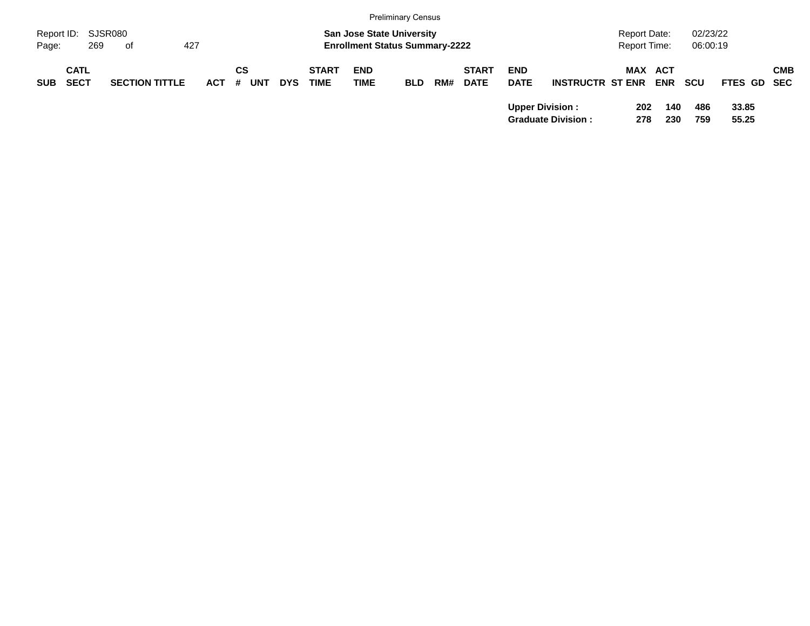|            |             |                       |         |            |            |              |                                       | <b>Preliminary Census</b> |     |              |             |                           |                     |            |          |             |            |
|------------|-------------|-----------------------|---------|------------|------------|--------------|---------------------------------------|---------------------------|-----|--------------|-------------|---------------------------|---------------------|------------|----------|-------------|------------|
| Report ID: |             | SJSR080               |         |            |            |              | <b>San Jose State University</b>      |                           |     |              |             |                           | <b>Report Date:</b> |            | 02/23/22 |             |            |
| Page:      | 269         | of                    | 427     |            |            |              | <b>Enrollment Status Summary-2222</b> |                           |     |              |             |                           | <b>Report Time:</b> |            | 06:00:19 |             |            |
|            | <b>CATL</b> |                       |         | СS         |            | <b>START</b> | <b>END</b>                            |                           |     | <b>START</b> | <b>END</b>  |                           | <b>MAX ACT</b>      |            |          |             | <b>CMB</b> |
| <b>SUB</b> | <b>SECT</b> | <b>SECTION TITTLE</b> | $ACT$ # | <b>UNT</b> | <b>DYS</b> | <b>TIME</b>  | <b>TIME</b>                           | <b>BLD</b>                | RM# | <b>DATE</b>  | <b>DATE</b> | <b>INSTRUCTR ST ENR</b>   |                     | <b>ENR</b> | scu      | FTES GD SEC |            |
|            |             |                       |         |            |            |              |                                       |                           |     |              |             | <b>Upper Division:</b>    | 202                 | 140        | 486      | 33.85       |            |
|            |             |                       |         |            |            |              |                                       |                           |     |              |             | <b>Graduate Division:</b> | 278                 | 230        | 759      | 55.25       |            |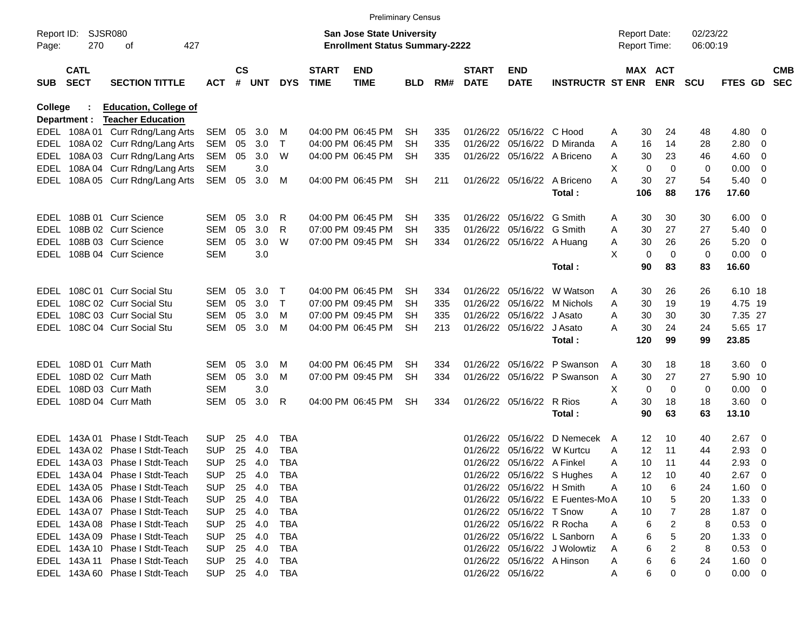|            |                            |                                  |            |                    |            |            |                             | <b>Preliminary Census</b>                                                 |            |     |                             |                            |                                 |   |                                     |             |                      |                |                          |                          |
|------------|----------------------------|----------------------------------|------------|--------------------|------------|------------|-----------------------------|---------------------------------------------------------------------------|------------|-----|-----------------------------|----------------------------|---------------------------------|---|-------------------------------------|-------------|----------------------|----------------|--------------------------|--------------------------|
| Page:      | Report ID: SJSR080<br>270  | 427<br>оf                        |            |                    |            |            |                             | <b>San Jose State University</b><br><b>Enrollment Status Summary-2222</b> |            |     |                             |                            |                                 |   | <b>Report Date:</b><br>Report Time: |             | 02/23/22<br>06:00:19 |                |                          |                          |
| <b>SUB</b> | <b>CATL</b><br><b>SECT</b> | <b>SECTION TITTLE</b>            | <b>ACT</b> | $\mathsf{cs}$<br># | <b>UNT</b> | <b>DYS</b> | <b>START</b><br><b>TIME</b> | <b>END</b><br><b>TIME</b>                                                 | <b>BLD</b> | RM# | <b>START</b><br><b>DATE</b> | <b>END</b><br><b>DATE</b>  | <b>INSTRUCTR ST ENR</b>         |   | MAX ACT                             | <b>ENR</b>  | <b>SCU</b>           | <b>FTES GD</b> |                          | <b>CMB</b><br><b>SEC</b> |
| College    |                            | <b>Education, College of</b>     |            |                    |            |            |                             |                                                                           |            |     |                             |                            |                                 |   |                                     |             |                      |                |                          |                          |
|            | Department :               | <b>Teacher Education</b>         |            |                    |            |            |                             |                                                                           |            |     |                             |                            |                                 |   |                                     |             |                      |                |                          |                          |
|            |                            | EDEL 108A 01 Curr Rdng/Lang Arts | SEM        | 05                 | 3.0        | M          |                             | 04:00 PM 06:45 PM                                                         | SН         | 335 |                             | 01/26/22 05/16/22 C Hood   |                                 | A | 30                                  | 24          | 48                   | 4.80           | - 0                      |                          |
|            |                            | EDEL 108A 02 Curr Rdng/Lang Arts | <b>SEM</b> | 05                 | 3.0        | Т          |                             | 04:00 PM 06:45 PM                                                         | SН         | 335 |                             | 01/26/22 05/16/22          | D Miranda                       | A | 16                                  | 14          | 28                   | 2.80           | 0                        |                          |
| EDEL       |                            | 108A 03 Curr Rdng/Lang Arts      | <b>SEM</b> | 05                 | 3.0        | W          |                             | 04:00 PM 06:45 PM                                                         | <b>SH</b>  | 335 |                             |                            | 01/26/22 05/16/22 A Briceno     | A | 30                                  | 23          | 46                   | 4.60           | 0                        |                          |
|            |                            | EDEL 108A 04 Curr Rdng/Lang Arts | <b>SEM</b> |                    | 3.0        |            |                             |                                                                           |            |     |                             |                            |                                 | X | 0                                   | $\mathbf 0$ | 0                    | 0.00           | 0                        |                          |
|            |                            | EDEL 108A 05 Curr Rdng/Lang Arts | SEM        | 05                 | 3.0        | М          |                             | 04:00 PM 06:45 PM                                                         | <b>SH</b>  | 211 |                             | 01/26/22 05/16/22          | A Briceno                       | А | 30                                  | 27          | 54                   | 5.40           | - 0                      |                          |
|            |                            |                                  |            |                    |            |            |                             |                                                                           |            |     |                             |                            | Total:                          |   | 106                                 | 88          | 176                  | 17.60          |                          |                          |
|            |                            | EDEL 108B 01 Curr Science        | <b>SEM</b> | 05                 | 3.0        | R          |                             | 04:00 PM 06:45 PM                                                         | SН         | 335 |                             | 01/26/22 05/16/22          | G Smith                         | A | 30                                  | 30          | 30                   | 6.00           | - 0                      |                          |
| EDEL       |                            | 108B 02 Curr Science             | <b>SEM</b> | 05                 | 3.0        | R          |                             | 07:00 PM 09:45 PM                                                         | SН         | 335 |                             | 01/26/22 05/16/22 G Smith  |                                 | A | 30                                  | 27          | 27                   | 5.40           | - 0                      |                          |
| EDEL       |                            | 108B 03 Curr Science             | <b>SEM</b> | 05                 | 3.0        | W          |                             | 07:00 PM 09:45 PM                                                         | <b>SH</b>  | 334 |                             | 01/26/22 05/16/22 A Huang  |                                 | A | 30                                  | 26          | 26                   | 5.20           | - 0                      |                          |
|            |                            | EDEL 108B 04 Curr Science        | <b>SEM</b> |                    | 3.0        |            |                             |                                                                           |            |     |                             |                            |                                 | X | 0                                   | 0           | 0                    | 0.00           | - 0                      |                          |
|            |                            |                                  |            |                    |            |            |                             |                                                                           |            |     |                             |                            | Total:                          |   | 90                                  | 83          | 83                   | 16.60          |                          |                          |
|            |                            | EDEL 108C 01 Curr Social Stu     | <b>SEM</b> | 05                 | 3.0        | Т          |                             | 04:00 PM 06:45 PM                                                         | SН         | 334 |                             | 01/26/22 05/16/22          | W Watson                        | A | 30                                  | 26          | 26                   | 6.10 18        |                          |                          |
| EDEL       |                            | 108C 02 Curr Social Stu          | <b>SEM</b> | 05                 | 3.0        | Τ          |                             | 07:00 PM 09:45 PM                                                         | SН         | 335 |                             | 01/26/22 05/16/22          | M Nichols                       | A | 30                                  | 19          | 19                   | 4.75 19        |                          |                          |
| EDEL       |                            | 108C 03 Curr Social Stu          | <b>SEM</b> | 05                 | 3.0        | м          |                             | 07:00 PM 09:45 PM                                                         | SН         | 335 |                             | 01/26/22 05/16/22          | J Asato                         | A | 30                                  | 30          | 30                   | 7.35 27        |                          |                          |
|            |                            | EDEL 108C 04 Curr Social Stu     | <b>SEM</b> | 05                 | 3.0        | м          |                             | 04:00 PM 06:45 PM                                                         | SН         | 213 |                             | 01/26/22 05/16/22          | J Asato                         | A | 30                                  | 24          | 24                   | 5.65 17        |                          |                          |
|            |                            |                                  |            |                    |            |            |                             |                                                                           |            |     |                             |                            | Total:                          |   | 120                                 | 99          | 99                   | 23.85          |                          |                          |
|            |                            | EDEL 108D 01 Curr Math           | <b>SEM</b> | 05                 | 3.0        | M          |                             | 04:00 PM 06:45 PM                                                         | SН         | 334 |                             | 01/26/22 05/16/22          | P Swanson                       | A | 30                                  | 18          | 18                   | 3.60 0         |                          |                          |
| EDEL       |                            | 108D 02 Curr Math                | <b>SEM</b> | 05                 | 3.0        | M          |                             | 07:00 PM 09:45 PM                                                         | <b>SH</b>  | 334 |                             |                            | 01/26/22 05/16/22 P Swanson     | A | 30                                  | 27          | 27                   | 5.90 10        |                          |                          |
| EDEL       |                            | 108D 03 Curr Math                | <b>SEM</b> |                    | 3.0        |            |                             |                                                                           |            |     |                             |                            |                                 | Х | 0                                   | 0           | 0                    | 0.00           | $\overline{\phantom{0}}$ |                          |
|            |                            | EDEL 108D 04 Curr Math           | <b>SEM</b> | 05                 | 3.0        | R          |                             | 04:00 PM 06:45 PM                                                         | <b>SH</b>  | 334 |                             | 01/26/22 05/16/22          | R Rios                          | А | 30                                  | 18          | 18                   | 3.60           | $\overline{\phantom{0}}$ |                          |
|            |                            |                                  |            |                    |            |            |                             |                                                                           |            |     |                             |                            | Total:                          |   | 90                                  | 63          | 63                   | 13.10          |                          |                          |
|            |                            | EDEL 143A 01 Phase I Stdt-Teach  | <b>SUP</b> | 25                 | 4.0        | <b>TBA</b> |                             |                                                                           |            |     | 01/26/22                    | 05/16/22                   | D Nemecek                       | A | 12                                  | 10          | 40                   | 2.67           | - 0                      |                          |
| EDEL       |                            | 143A 02 Phase I Stdt-Teach       | <b>SUP</b> | 25                 | 4.0        | <b>TBA</b> |                             |                                                                           |            |     |                             | 01/26/22 05/16/22          | W Kurtcu                        | A | 12                                  | 11          | 44                   | 2.93           | - 0                      |                          |
|            |                            | EDEL 143A 03 Phase I Stdt-Teach  | <b>SUP</b> | 25                 | 4.0        | <b>TBA</b> |                             |                                                                           |            |     |                             | 01/26/22 05/16/22 A Finkel |                                 | A | 10                                  | 11          | 44                   | 2.93           | 0                        |                          |
|            |                            | EDEL 143A 04 Phase I Stdt-Teach  | <b>SUP</b> |                    | 25 4.0     | TBA        |                             |                                                                           |            |     |                             |                            | 01/26/22 05/16/22 S Hughes      | A | 12                                  | 10          | 40                   | $2.67$ 0       |                          |                          |
|            |                            | EDEL 143A 05 Phase I Stdt-Teach  | <b>SUP</b> |                    | 25 4.0     | <b>TBA</b> |                             |                                                                           |            |     |                             | 01/26/22 05/16/22 H Smith  |                                 | Α | 10                                  | 6           | 24                   | 1.60 0         |                          |                          |
|            |                            | EDEL 143A 06 Phase I Stdt-Teach  | <b>SUP</b> |                    | 25 4.0     | TBA        |                             |                                                                           |            |     |                             |                            | 01/26/22 05/16/22 E Fuentes-MoA |   | 10                                  | 5           | 20                   | $1.33 \ 0$     |                          |                          |
|            |                            | EDEL 143A 07 Phase I Stdt-Teach  | <b>SUP</b> |                    | 25 4.0     | TBA        |                             |                                                                           |            |     |                             | 01/26/22 05/16/22 T Snow   |                                 | Α | 10                                  |             | 28                   | $1.87 \ 0$     |                          |                          |
|            |                            | EDEL 143A 08 Phase I Stdt-Teach  | <b>SUP</b> |                    | 25 4.0     | TBA        |                             |                                                                           |            |     |                             | 01/26/22 05/16/22 R Rocha  |                                 | Α | 6                                   | 2           | 8                    | 0.53 0         |                          |                          |
|            |                            | EDEL 143A 09 Phase I Stdt-Teach  | <b>SUP</b> |                    | 25 4.0     | TBA        |                             |                                                                           |            |     |                             |                            | 01/26/22 05/16/22 L Sanborn     | A | 6                                   | 5           | 20                   | $1.33 \ 0$     |                          |                          |
|            |                            | EDEL 143A 10 Phase I Stdt-Teach  | <b>SUP</b> |                    | 25 4.0     | TBA        |                             |                                                                           |            |     |                             |                            | 01/26/22 05/16/22 J Wolowtiz    | A | 6                                   | 2           | 8                    | 0.53 0         |                          |                          |
|            |                            | EDEL 143A 11 Phase I Stdt-Teach  | <b>SUP</b> |                    | 25 4.0     | TBA        |                             |                                                                           |            |     |                             | 01/26/22 05/16/22 A Hinson |                                 | Α | 6                                   | 6           | 24                   | $1.60 \t 0$    |                          |                          |
|            |                            | EDEL 143A 60 Phase I Stdt-Teach  | SUP        |                    | 25 4.0     | TBA        |                             |                                                                           |            |     |                             | 01/26/22 05/16/22          |                                 | A | 6                                   | 0           | 0                    | $0.00 \t 0$    |                          |                          |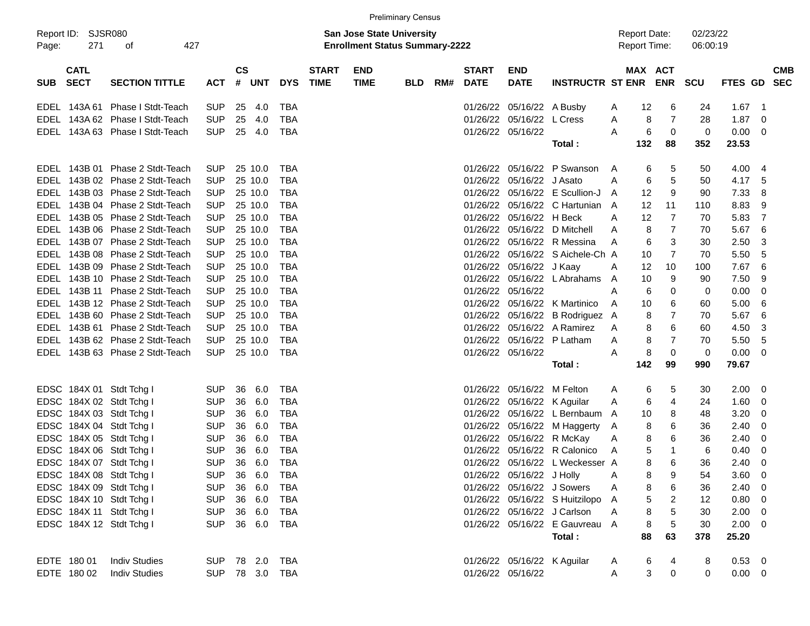|            |                                        |                                 |                |               |            |            |              |                                                                           | <b>Preliminary Census</b> |     |                   |                             |                                  |   |                                            |                |                      |                |                          |            |
|------------|----------------------------------------|---------------------------------|----------------|---------------|------------|------------|--------------|---------------------------------------------------------------------------|---------------------------|-----|-------------------|-----------------------------|----------------------------------|---|--------------------------------------------|----------------|----------------------|----------------|--------------------------|------------|
| Page:      | Report ID: SJSR080<br>271<br>427<br>οf |                                 |                |               |            |            |              | <b>San Jose State University</b><br><b>Enrollment Status Summary-2222</b> |                           |     |                   |                             |                                  |   | <b>Report Date:</b><br><b>Report Time:</b> |                | 02/23/22<br>06:00:19 |                |                          |            |
|            | <b>CATL</b>                            |                                 |                | $\mathsf{cs}$ |            |            | <b>START</b> | <b>END</b>                                                                |                           |     | <b>START</b>      | <b>END</b>                  |                                  |   | MAX ACT                                    |                |                      |                |                          | <b>CMB</b> |
| <b>SUB</b> | <b>SECT</b>                            | <b>SECTION TITTLE</b>           | <b>ACT</b>     |               | # UNT      | <b>DYS</b> | <b>TIME</b>  | <b>TIME</b>                                                               | <b>BLD</b>                | RM# | <b>DATE</b>       | <b>DATE</b>                 | <b>INSTRUCTR ST ENR ENR</b>      |   |                                            |                | SCU                  | <b>FTES GD</b> |                          | <b>SEC</b> |
|            | EDEL 143A 61                           | Phase I Stdt-Teach              | <b>SUP</b>     | 25            | 4.0        | TBA        |              |                                                                           |                           |     |                   | 01/26/22 05/16/22 A Busby   |                                  | A | 12                                         | 6              | 24                   | 1.67           | $\overline{1}$           |            |
|            |                                        | EDEL 143A 62 Phase I Stdt-Teach | <b>SUP</b>     | 25            | 4.0        | TBA        |              |                                                                           |                           |     |                   | 01/26/22 05/16/22 L Cress   |                                  | A | 8                                          | 7              | 28                   | 1.87           | 0                        |            |
|            |                                        | EDEL 143A 63 Phase I Stdt-Teach | <b>SUP</b>     | 25            | 4.0        | TBA        |              |                                                                           |                           |     |                   | 01/26/22 05/16/22           |                                  | A | 6                                          | 0              | $\mathbf 0$          | 0.00           | $\overline{0}$           |            |
|            |                                        |                                 |                |               |            |            |              |                                                                           |                           |     |                   |                             | Total :                          |   | 132                                        | 88             | 352                  | 23.53          |                          |            |
|            |                                        | EDEL 143B 01 Phase 2 Stdt-Teach | <b>SUP</b>     |               | 25 10.0    | TBA        |              |                                                                           |                           |     |                   |                             | 01/26/22 05/16/22 P Swanson      | A | 6                                          | 5              | 50                   | 4.00           | 4                        |            |
|            |                                        | EDEL 143B 02 Phase 2 Stdt-Teach | <b>SUP</b>     |               | 25 10.0    | TBA        |              |                                                                           |                           |     |                   | 01/26/22 05/16/22 J Asato   |                                  | A | 6                                          | 5              | 50                   | 4.17           | 5                        |            |
|            |                                        | EDEL 143B 03 Phase 2 Stdt-Teach | <b>SUP</b>     |               | 25 10.0    | TBA        |              |                                                                           |                           |     |                   |                             | 01/26/22 05/16/22 E Scullion-J   | A | 12                                         | 9              | 90                   | 7.33           | 8                        |            |
|            |                                        | EDEL 143B 04 Phase 2 Stdt-Teach | <b>SUP</b>     |               | 25 10.0    | TBA        |              |                                                                           |                           |     |                   |                             | 01/26/22 05/16/22 C Hartunian A  |   | 12                                         | 11             | 110                  | 8.83           | 9                        |            |
|            |                                        | EDEL 143B 05 Phase 2 Stdt-Teach | <b>SUP</b>     |               | 25 10.0    | TBA        |              |                                                                           |                           |     |                   | 01/26/22 05/16/22 H Beck    |                                  | A | 12                                         | 7              | 70                   | 5.83           | 7                        |            |
|            |                                        | EDEL 143B 06 Phase 2 Stdt-Teach | <b>SUP</b>     |               | 25 10.0    | TBA        |              |                                                                           |                           |     |                   |                             | 01/26/22 05/16/22 D Mitchell     | A | 8                                          | 7              | 70                   | 5.67           | 6                        |            |
|            |                                        | EDEL 143B 07 Phase 2 Stdt-Teach | <b>SUP</b>     |               | 25 10.0    | TBA        |              |                                                                           |                           |     |                   |                             | 01/26/22 05/16/22 R Messina      | A | 6                                          | 3              | 30                   | 2.50           | 3                        |            |
|            |                                        | EDEL 143B 08 Phase 2 Stdt-Teach | <b>SUP</b>     |               | 25 10.0    | TBA        |              |                                                                           |                           |     |                   |                             | 01/26/22 05/16/22 S Aichele-Ch A |   | 10                                         | 7              | 70                   | 5.50           | 5                        |            |
|            |                                        | EDEL 143B 09 Phase 2 Stdt-Teach | <b>SUP</b>     |               | 25 10.0    | TBA        |              |                                                                           |                           |     |                   | 01/26/22 05/16/22 J Kaay    |                                  | A | 12                                         | 10             | 100                  | 7.67           | 6                        |            |
|            |                                        | EDEL 143B 10 Phase 2 Stdt-Teach | <b>SUP</b>     |               | 25 10.0    | TBA        |              |                                                                           |                           |     |                   |                             | 01/26/22 05/16/22 L Abrahams     | A | 10                                         | 9              | 90                   | 7.50           | 9                        |            |
|            |                                        | EDEL 143B 11 Phase 2 Stdt-Teach | <b>SUP</b>     |               | 25 10.0    | TBA        |              |                                                                           |                           |     | 01/26/22 05/16/22 |                             |                                  | A | 6                                          | 0              | 0                    | 0.00           | 0                        |            |
|            |                                        | EDEL 143B 12 Phase 2 Stdt-Teach | <b>SUP</b>     |               | 25 10.0    | TBA        |              |                                                                           |                           |     |                   |                             | 01/26/22 05/16/22 K Martinico    | A | 10                                         | 6              | 60                   | 5.00           | 6                        |            |
|            |                                        | EDEL 143B 60 Phase 2 Stdt-Teach | <b>SUP</b>     |               | 25 10.0    | TBA        |              |                                                                           |                           |     |                   |                             | 01/26/22 05/16/22 B Rodriguez A  |   | 8                                          | 7              | 70                   | 5.67           | 6                        |            |
|            |                                        | EDEL 143B 61 Phase 2 Stdt-Teach | <b>SUP</b>     |               | 25 10.0    | TBA        |              |                                                                           |                           |     |                   |                             | 01/26/22 05/16/22 A Ramirez      | A | 8                                          | 6              | 60                   | 4.50           | 3                        |            |
|            |                                        | EDEL 143B 62 Phase 2 Stdt-Teach | <b>SUP</b>     |               | 25 10.0    | <b>TBA</b> |              |                                                                           |                           |     |                   |                             | 01/26/22 05/16/22 P Latham       | A | 8                                          | 7              | 70                   | 5.50           | 5                        |            |
|            |                                        | EDEL 143B 63 Phase 2 Stdt-Teach | <b>SUP</b>     |               | 25 10.0    | TBA        |              |                                                                           |                           |     |                   | 01/26/22 05/16/22           |                                  | A | 8                                          | 0              | 0                    | 0.00           | 0                        |            |
|            |                                        |                                 |                |               |            |            |              |                                                                           |                           |     |                   |                             | Total :                          |   | 142                                        | 99             | 990                  | 79.67          |                          |            |
|            |                                        | EDSC 184X 01 Stdt Tchg I        | <b>SUP</b>     | 36            | 6.0        | TBA        |              |                                                                           |                           |     |                   | 01/26/22 05/16/22 M Felton  |                                  | A | 6                                          | 5              | 30                   | 2.00           | - 0                      |            |
|            |                                        | EDSC 184X 02 Stdt Tchg I        | <b>SUP</b>     | 36            | 6.0        | TBA        |              |                                                                           |                           |     |                   | 01/26/22 05/16/22 K Aguilar |                                  | A | 6                                          | 4              | 24                   | 1.60           | 0                        |            |
|            |                                        | EDSC 184X 03 Stdt Tchg I        | <b>SUP</b>     | 36            | 6.0        | TBA        |              |                                                                           |                           |     |                   |                             | 01/26/22 05/16/22 L Bernbaum A   |   | 10                                         | 8              | 48                   | 3.20           | 0                        |            |
|            |                                        | EDSC 184X 04 Stdt Tchg I        | <b>SUP</b>     | 36            | 6.0        | TBA        |              |                                                                           |                           |     |                   |                             | 01/26/22 05/16/22 M Haggerty     | A | 8                                          | 6              | 36                   | 2.40           | 0                        |            |
|            |                                        | EDSC 184X 05 Stdt Tchg I        | <b>SUP</b>     | 36            | 6.0        | TBA        |              |                                                                           |                           |     |                   | 01/26/22 05/16/22 R McKay   |                                  | A | 8                                          | 6              | 36                   | 2.40           | 0                        |            |
|            |                                        | EDSC 184X 06 Stdt Tchg I        | <b>SUP</b>     | 36            | 6.0        | TBA        |              |                                                                           |                           |     |                   |                             | 01/26/22 05/16/22 R Calonico     | A | 5                                          | 1              | 6                    | 0.40           | 0                        |            |
|            |                                        | EDSC 184X 07 Stdt Tchg I        | <b>SUP</b>     |               | 36 6.0     | TBA        |              |                                                                           |                           |     |                   |                             | 01/26/22 05/16/22 L Weckesser A  |   | 8                                          | 6              | 36                   | 2.40           | $\Omega$                 |            |
|            |                                        | EDSC 184X 08 Stdt Tchg I        | SUP 36 6.0     |               |            | <b>TBA</b> |              |                                                                           |                           |     |                   | 01/26/22 05/16/22 J Holly   |                                  |   | 8                                          | 9              | 54                   | $3.60 \t 0$    |                          |            |
|            |                                        | EDSC 184X 09 Stdt Tchg I        | <b>SUP</b>     | 36 6.0        |            | TBA        |              |                                                                           |                           |     |                   | 01/26/22 05/16/22 J Sowers  |                                  | A | 8                                          | 6              | 36                   | 2.40           | $\overline{\phantom{0}}$ |            |
|            |                                        | EDSC 184X 10 Stdt Tchg I        | <b>SUP</b>     |               | 36 6.0     | TBA        |              |                                                                           |                           |     |                   |                             | 01/26/22 05/16/22 S Huitzilopo A |   | $\,$ 5 $\,$                                | $\overline{2}$ | 12                   | 0.80           | $\overline{\mathbf{0}}$  |            |
|            |                                        | EDSC 184X 11 Stdt Tchg I        | <b>SUP</b>     | 36 6.0        |            | TBA        |              |                                                                           |                           |     |                   |                             | 01/26/22 05/16/22 J Carlson      | A | 8                                          | 5              | 30                   | 2.00           | $\overline{\mathbf{0}}$  |            |
|            |                                        | EDSC 184X 12 Stdt Tchg I        | <b>SUP</b>     |               | 36 6.0 TBA |            |              |                                                                           |                           |     |                   |                             | 01/26/22 05/16/22 E Gauvreau A   |   | 8                                          | 5              | 30                   | $2.00 \t 0$    |                          |            |
|            |                                        |                                 |                |               |            |            |              |                                                                           |                           |     |                   |                             | Total:                           |   | 88                                         | 63             | 378                  | 25.20          |                          |            |
|            | EDTE 180 01                            | <b>Indiv Studies</b>            | SUP 78 2.0 TBA |               |            |            |              |                                                                           |                           |     |                   | 01/26/22 05/16/22 K Aguilar |                                  | A | 6                                          | 4              | 8                    | $0.53$ 0       |                          |            |
|            | EDTE 180 02                            | <b>Indiv Studies</b>            | SUP 78 3.0 TBA |               |            |            |              |                                                                           |                           |     |                   | 01/26/22 05/16/22           |                                  | A | 3                                          | $\pmb{0}$      | $\mathbf 0$          | $0.00 \t 0$    |                          |            |
|            |                                        |                                 |                |               |            |            |              |                                                                           |                           |     |                   |                             |                                  |   |                                            |                |                      |                |                          |            |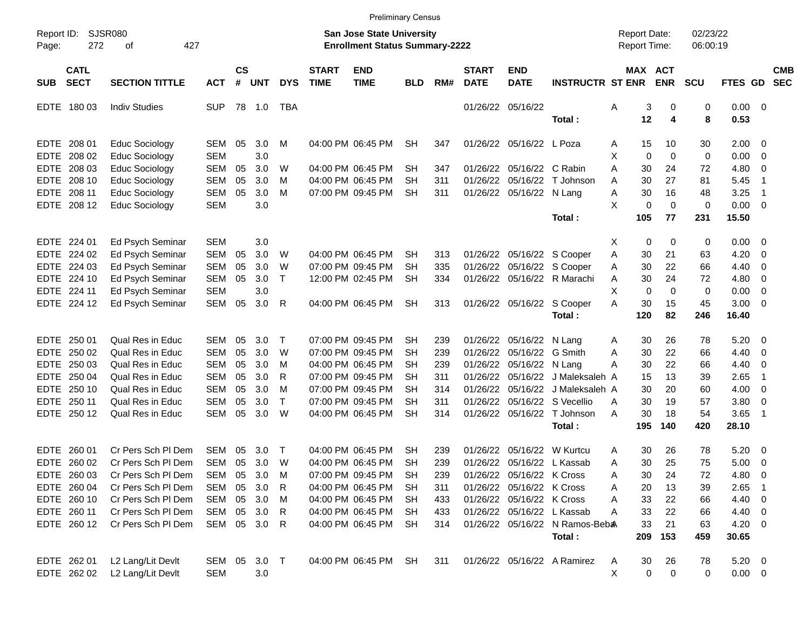|                     |                            |                         |            |                    |            |            |                             | <b>Preliminary Census</b>                                                 |            |     |                             |                           |                                |                                     |             |                       |                      |             |                          |                          |
|---------------------|----------------------------|-------------------------|------------|--------------------|------------|------------|-----------------------------|---------------------------------------------------------------------------|------------|-----|-----------------------------|---------------------------|--------------------------------|-------------------------------------|-------------|-----------------------|----------------------|-------------|--------------------------|--------------------------|
| Report ID:<br>Page: | SJSR080<br>272             | 427<br>оf               |            |                    |            |            |                             | <b>San Jose State University</b><br><b>Enrollment Status Summary-2222</b> |            |     |                             |                           |                                | <b>Report Date:</b><br>Report Time: |             |                       | 02/23/22<br>06:00:19 |             |                          |                          |
| <b>SUB</b>          | <b>CATL</b><br><b>SECT</b> | <b>SECTION TITTLE</b>   | <b>ACT</b> | $\mathsf{cs}$<br># | <b>UNT</b> | <b>DYS</b> | <b>START</b><br><b>TIME</b> | <b>END</b><br><b>TIME</b>                                                 | <b>BLD</b> | RM# | <b>START</b><br><b>DATE</b> | <b>END</b><br><b>DATE</b> | <b>INSTRUCTR ST ENR</b>        |                                     |             | MAX ACT<br><b>ENR</b> | <b>SCU</b>           | FTES GD     |                          | <b>CMB</b><br><b>SEC</b> |
| <b>EDTE</b>         | 18003                      | <b>Indiv Studies</b>    | <b>SUP</b> | 78                 | 1.0        | TBA        |                             |                                                                           |            |     |                             | 01/26/22 05/16/22         |                                | Α                                   | 3           | 0                     | 0                    | $0.00 \t 0$ |                          |                          |
|                     |                            |                         |            |                    |            |            |                             |                                                                           |            |     |                             |                           | Total:                         |                                     | 12          | 4                     | 8                    | 0.53        |                          |                          |
| EDTE                | 208 01                     | Educ Sociology          | SEM        | 05                 | 3.0        | M          |                             | 04:00 PM 06:45 PM                                                         | SН         | 347 | 01/26/22                    | 05/16/22                  | L Poza                         | A                                   | 15          | 10                    | 30                   | 2.00        | $\overline{\phantom{0}}$ |                          |
| <b>EDTE</b>         | 208 02                     | <b>Educ Sociology</b>   | <b>SEM</b> |                    | 3.0        |            |                             |                                                                           |            |     |                             |                           |                                | X                                   | $\mathbf 0$ | $\mathbf 0$           | 0                    | 0.00        | $\overline{0}$           |                          |
| <b>EDTE</b>         | 208 03                     | Educ Sociology          | <b>SEM</b> | 05                 | 3.0        | W          |                             | 04:00 PM 06:45 PM                                                         | <b>SH</b>  | 347 | 01/26/22                    | 05/16/22                  | C Rabin                        | Α                                   | 30          | 24                    | 72                   | 4.80        | 0                        |                          |
| <b>EDTE</b>         | 208 10                     | Educ Sociology          | <b>SEM</b> | 05                 | 3.0        | м          |                             | 04:00 PM 06:45 PM                                                         | <b>SH</b>  | 311 | 01/26/22                    | 05/16/22                  | T Johnson                      | Α                                   | 30          | 27                    | 81                   | 5.45        | -1                       |                          |
| <b>EDTE</b>         | 208 11                     | Educ Sociology          | <b>SEM</b> | 05                 | 3.0        | M          |                             | 07:00 PM 09:45 PM                                                         | <b>SH</b>  | 311 | 01/26/22                    | 05/16/22                  | N Lang                         | Α                                   | 30          | 16                    | 48                   | 3.25        | -1                       |                          |
| <b>EDTE</b>         | 208 12                     | Educ Sociology          | <b>SEM</b> |                    | 3.0        |            |                             |                                                                           |            |     |                             |                           |                                | X                                   | 0           | $\mathbf 0$           | 0                    | 0.00        | $\overline{0}$           |                          |
|                     |                            |                         |            |                    |            |            |                             |                                                                           |            |     |                             |                           | Total:                         |                                     | 105         | 77                    | 231                  | 15.50       |                          |                          |
| EDTE                | 224 01                     | Ed Psych Seminar        | <b>SEM</b> |                    | 3.0        |            |                             |                                                                           |            |     |                             |                           |                                | X                                   | 0           | 0                     | 0                    | 0.00        | $\overline{\phantom{0}}$ |                          |
| <b>EDTE</b>         | 224 02                     | Ed Psych Seminar        | <b>SEM</b> | 05                 | 3.0        | W          |                             | 04:00 PM 06:45 PM                                                         | <b>SH</b>  | 313 |                             | 01/26/22 05/16/22         | S Cooper                       | A                                   | 30          | 21                    | 63                   | 4.20        | - 0                      |                          |
| <b>EDTE</b>         | 224 03                     | Ed Psych Seminar        | <b>SEM</b> | 05                 | 3.0        | W          |                             | 07:00 PM 09:45 PM                                                         | <b>SH</b>  | 335 | 01/26/22                    | 05/16/22                  | S Cooper                       | Α                                   | 30          | 22                    | 66                   | 4.40        | $\overline{0}$           |                          |
| <b>EDTE</b>         | 224 10                     | Ed Psych Seminar        | <b>SEM</b> | 05                 | 3.0        | $\top$     |                             | 12:00 PM 02:45 PM                                                         | <b>SH</b>  | 334 | 01/26/22                    | 05/16/22                  | R Marachi                      | A                                   | 30          | 24                    | 72                   | 4.80        | $\overline{\mathbf{0}}$  |                          |
| <b>EDTE</b>         | 224 11                     | Ed Psych Seminar        | <b>SEM</b> |                    | 3.0        |            |                             |                                                                           |            |     |                             |                           |                                | X                                   | $\mathbf 0$ | 0                     | 0                    | 0.00        | $\overline{0}$           |                          |
| <b>EDTE</b>         | 224 12                     | Ed Psych Seminar        | <b>SEM</b> | 05                 | 3.0        | R          |                             | 04:00 PM 06:45 PM                                                         | <b>SH</b>  | 313 |                             | 01/26/22 05/16/22         | S Cooper                       | Α                                   | 30          | 15                    | 45                   | 3.00        | $\overline{0}$           |                          |
|                     |                            |                         |            |                    |            |            |                             |                                                                           |            |     |                             |                           | Total:                         |                                     | 120         | 82                    | 246                  | 16.40       |                          |                          |
| <b>EDTE</b>         | 250 01                     | <b>Qual Res in Educ</b> | <b>SEM</b> | 05                 | 3.0        | $\top$     |                             | 07:00 PM 09:45 PM                                                         | SН         | 239 | 01/26/22                    | 05/16/22                  | N Lang                         | A                                   | 30          | 26                    | 78                   | 5.20        | $\overline{\phantom{0}}$ |                          |
| <b>EDTE</b>         | 250 02                     | <b>Qual Res in Educ</b> | <b>SEM</b> | 05                 | 3.0        | W          |                             | 07:00 PM 09:45 PM                                                         | <b>SH</b>  | 239 | 01/26/22                    | 05/16/22                  | G Smith                        | A                                   | 30          | 22                    | 66                   | 4.40        | 0                        |                          |
| <b>EDTE</b>         | 250 03                     | Qual Res in Educ        | <b>SEM</b> | 05                 | 3.0        | M          |                             | 04:00 PM 06:45 PM                                                         | <b>SH</b>  | 239 | 01/26/22                    | 05/16/22                  | N Lang                         | Α                                   | 30          | 22                    | 66                   | 4.40        | $\overline{0}$           |                          |
| <b>EDTE</b>         | 250 04                     | Qual Res in Educ        | <b>SEM</b> | 05                 | 3.0        | R          |                             | 07:00 PM 09:45 PM                                                         | <b>SH</b>  | 311 | 01/26/22                    | 05/16/22                  | J Maleksaleh A                 |                                     | 15          | 13                    | 39                   | 2.65        | -1                       |                          |
| <b>EDTE</b>         | 250 10                     | Qual Res in Educ        | <b>SEM</b> | 05                 | 3.0        | M          |                             | 07:00 PM 09:45 PM                                                         | <b>SH</b>  | 314 | 01/26/22                    | 05/16/22                  | J Maleksaleh A                 |                                     | 30          | 20                    | 60                   | 4.00        | $\overline{0}$           |                          |
| <b>EDTE</b>         | 250 11                     | <b>Qual Res in Educ</b> | <b>SEM</b> | 05                 | 3.0        | $\top$     |                             | 07:00 PM 09:45 PM                                                         | <b>SH</b>  | 311 | 01/26/22                    | 05/16/22                  | S Vecellio                     | A                                   | 30          | 19                    | 57                   | 3.80        | $\overline{0}$           |                          |
| <b>EDTE</b>         | 250 12                     | <b>Qual Res in Educ</b> | <b>SEM</b> | 05                 | 3.0        | W          |                             | 04:00 PM 06:45 PM                                                         | <b>SH</b>  | 314 | 01/26/22                    | 05/16/22                  | T Johnson                      | A                                   | 30          | 18                    | 54                   | 3.65        | $\overline{1}$           |                          |
|                     |                            |                         |            |                    |            |            |                             |                                                                           |            |     |                             |                           | Total:                         |                                     | 195         | 140                   | 420                  | 28.10       |                          |                          |
| <b>EDTE</b>         | 260 01                     | Cr Pers Sch PI Dem      | <b>SEM</b> | 05                 | 3.0        | Т          |                             | 04:00 PM 06:45 PM                                                         | <b>SH</b>  | 239 | 01/26/22                    | 05/16/22                  | W Kurtcu                       | Α                                   | 30          | 26                    | 78                   | 5.20        | $\overline{\phantom{0}}$ |                          |
| <b>EDTE</b>         | 260 02                     | Cr Pers Sch PI Dem      | <b>SEM</b> | 05                 | 3.0        | W          |                             | 04:00 PM 06:45 PM                                                         | <b>SH</b>  | 239 | 01/26/22                    | 05/16/22                  | L Kassab                       | A                                   | 30          | 25                    | 75                   | 5.00        | - 0                      |                          |
|                     | EDTE 260 03                | Cr Pers Sch Pl Dem      | SEM        | 05                 | 3.0        | M          |                             | 07:00 PM 09:45 PM                                                         | <b>SH</b>  | 239 |                             | 01/26/22 05/16/22 K Cross |                                | Α                                   | 30          | 24                    | 72                   | 4.80 0      |                          |                          |
|                     | EDTE 260 04                | Cr Pers Sch Pl Dem      | SEM        | 05                 | 3.0        | R          |                             | 04:00 PM 06:45 PM                                                         | <b>SH</b>  | 311 |                             | 01/26/22 05/16/22 K Cross |                                | Α                                   | 20          | 13                    | 39                   | $2.65$ 1    |                          |                          |
|                     | EDTE 260 10                | Cr Pers Sch PI Dem      | SEM        | 05                 | 3.0        | M          |                             | 04:00 PM 06:45 PM                                                         | SH         | 433 |                             | 01/26/22 05/16/22 K Cross |                                | Α                                   | 33          | 22                    | 66                   | 4.40 0      |                          |                          |
|                     | EDTE 260 11                | Cr Pers Sch Pl Dem      | SEM        | 05                 | 3.0        | R          |                             | 04:00 PM 06:45 PM                                                         | SH         | 433 |                             |                           | 01/26/22 05/16/22 L Kassab     | Α                                   | 33          | 22                    | 66                   | 4.40 0      |                          |                          |
|                     | EDTE 260 12                | Cr Pers Sch Pl Dem      | SEM 05 3.0 |                    |            | R          |                             | 04:00 PM 06:45 PM                                                         | <b>SH</b>  | 314 |                             |                           | 01/26/22 05/16/22 N Ramos-Beba |                                     | 33          | 21                    | 63                   | $4.20 \ 0$  |                          |                          |
|                     |                            |                         |            |                    |            |            |                             |                                                                           |            |     |                             |                           | Total:                         |                                     | 209         | 153                   | 459                  | 30.65       |                          |                          |
|                     | EDTE 262 01                | L2 Lang/Lit Devlt       | SEM 05     |                    | $3.0$ T    |            |                             | 04:00 PM 06:45 PM SH                                                      |            | 311 |                             |                           | 01/26/22 05/16/22 A Ramirez    | A                                   | 30          | 26                    | 78                   | $5.20 \ 0$  |                          |                          |
|                     | EDTE 262 02                | L2 Lang/Lit Devlt       | <b>SEM</b> |                    | 3.0        |            |                             |                                                                           |            |     |                             |                           |                                | X                                   | 0           | 0                     | 0                    | $0.00 \t 0$ |                          |                          |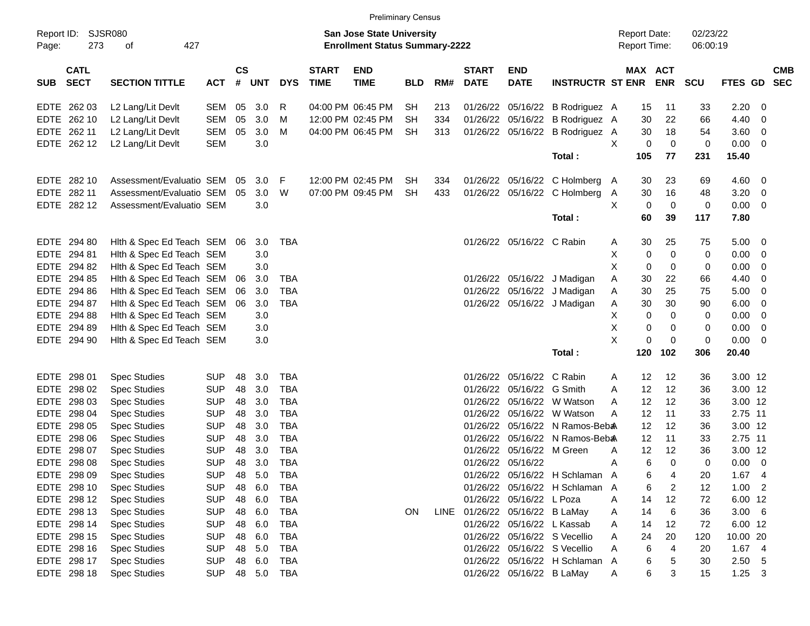|                                          |                             |            |                    |            |            |                             | <b>Preliminary Census</b>                                          |            |     |                             |                                |                                |                                            |                       |                      |               |                          |                          |
|------------------------------------------|-----------------------------|------------|--------------------|------------|------------|-----------------------------|--------------------------------------------------------------------|------------|-----|-----------------------------|--------------------------------|--------------------------------|--------------------------------------------|-----------------------|----------------------|---------------|--------------------------|--------------------------|
| Report ID:<br>Page:                      | SJSR080<br>273<br>427<br>οf |            |                    |            |            |                             | San Jose State University<br><b>Enrollment Status Summary-2222</b> |            |     |                             |                                |                                | <b>Report Date:</b><br><b>Report Time:</b> |                       | 02/23/22<br>06:00:19 |               |                          |                          |
| <b>CATL</b><br><b>SECT</b><br><b>SUB</b> | <b>SECTION TITTLE</b>       | <b>ACT</b> | $\mathsf{cs}$<br># | <b>UNT</b> | <b>DYS</b> | <b>START</b><br><b>TIME</b> | <b>END</b><br><b>TIME</b>                                          | <b>BLD</b> | RM# | <b>START</b><br><b>DATE</b> | <b>END</b><br><b>DATE</b>      | <b>INSTRUCTR ST ENR</b>        |                                            | MAX ACT<br><b>ENR</b> | <b>SCU</b>           | FTES GD       |                          | <b>CMB</b><br><b>SEC</b> |
| EDTE 262 03                              | L2 Lang/Lit Devlt           | SEM        | 05                 | 3.0        | R          |                             | 04:00 PM 06:45 PM                                                  | <b>SH</b>  | 213 |                             | 01/26/22 05/16/22              | B Rodriguez A                  |                                            | 15                    | 11<br>33             | 2.20          | 0                        |                          |
| EDTE 262 10                              | L2 Lang/Lit Devlt           | <b>SEM</b> | 05                 | 3.0        | м          |                             | 12:00 PM 02:45 PM                                                  | <b>SH</b>  | 334 |                             | 01/26/22 05/16/22              | B Rodriguez A                  |                                            | 30                    | 66<br>22             | 4.40          | 0                        |                          |
| EDTE 262 11                              | L2 Lang/Lit Devlt           | SEM        | 05                 | 3.0        | M          |                             | 04:00 PM 06:45 PM                                                  | <b>SH</b>  | 313 |                             | 01/26/22 05/16/22              | B Rodriguez A                  |                                            | 30                    | 18<br>54             | 3.60          | 0                        |                          |
| EDTE 262 12                              | L2 Lang/Lit Devlt           | <b>SEM</b> |                    | 3.0        |            |                             |                                                                    |            |     |                             |                                |                                | X                                          | 0                     | $\mathbf 0$<br>0     | 0.00          | 0                        |                          |
|                                          |                             |            |                    |            |            |                             |                                                                    |            |     |                             |                                | Total:                         | 105                                        |                       | 77<br>231            | 15.40         |                          |                          |
| EDTE 282 10                              | Assessment/Evaluatio SEM    |            | 05                 | 3.0        | -F         |                             | 12:00 PM 02:45 PM                                                  | <b>SH</b>  | 334 |                             |                                | 01/26/22 05/16/22 C Holmberg A |                                            | 30                    | 23<br>69             | 4.60          | $\overline{\mathbf{0}}$  |                          |
| EDTE 282 11                              | Assessment/Evaluatio SEM    |            | 05                 | 3.0        | W          |                             | 07:00 PM 09:45 PM                                                  | <b>SH</b>  | 433 |                             |                                | 01/26/22 05/16/22 C Holmberg   | A                                          | 30                    | 16<br>48             | 3.20          | 0                        |                          |
| EDTE 282 12                              | Assessment/Evaluatio SEM    |            |                    | 3.0        |            |                             |                                                                    |            |     |                             |                                |                                | X                                          | 0                     | $\mathbf 0$<br>0     | 0.00          | 0                        |                          |
|                                          |                             |            |                    |            |            |                             |                                                                    |            |     |                             |                                | Total:                         |                                            | 60                    | 39<br>117            | 7.80          |                          |                          |
| EDTE 294 80                              | Hith & Spec Ed Teach SEM 06 |            |                    | 3.0        | TBA        |                             |                                                                    |            |     |                             | 01/26/22 05/16/22 C Rabin      |                                | A                                          | 30                    | 25<br>75             | 5.00          | $\overline{\mathbf{0}}$  |                          |
| EDTE 294 81                              | Hith & Spec Ed Teach SEM    |            |                    | 3.0        |            |                             |                                                                    |            |     |                             |                                |                                | X                                          | 0                     | $\mathbf 0$<br>0     | 0.00          | 0                        |                          |
| EDTE 294 82                              | Hith & Spec Ed Teach SEM    |            |                    | 3.0        |            |                             |                                                                    |            |     |                             |                                |                                | X                                          | 0                     | 0<br>0               | 0.00          | 0                        |                          |
| EDTE 294 85                              | Hith & Spec Ed Teach SEM    |            | 06                 | 3.0        | <b>TBA</b> |                             |                                                                    |            |     | 01/26/22                    |                                | 05/16/22 J Madigan             | Α                                          | 30                    | 22<br>66             | 4.40          | 0                        |                          |
| EDTE 294 86                              | Hith & Spec Ed Teach SEM    |            | 06                 | 3.0        | <b>TBA</b> |                             |                                                                    |            |     |                             |                                | 01/26/22 05/16/22 J Madigan    | Α                                          | 30                    | 25<br>75             | 5.00          | 0                        |                          |
| EDTE 294 87                              | Hith & Spec Ed Teach SEM    |            | -06                | 3.0        | <b>TBA</b> |                             |                                                                    |            |     |                             |                                | 01/26/22 05/16/22 J Madigan    | A                                          | 30                    | 30<br>90             | 6.00          | 0                        |                          |
| EDTE 294 88                              | Hith & Spec Ed Teach SEM    |            |                    | 3.0        |            |                             |                                                                    |            |     |                             |                                |                                | х                                          | 0                     | $\mathbf 0$<br>0     | 0.00          | 0                        |                          |
| EDTE 294 89                              | Hith & Spec Ed Teach SEM    |            |                    | 3.0        |            |                             |                                                                    |            |     |                             |                                |                                | Χ                                          | 0                     | 0<br>0               | 0.00          | 0                        |                          |
| EDTE 294 90                              | Hith & Spec Ed Teach SEM    |            |                    | 3.0        |            |                             |                                                                    |            |     |                             |                                |                                | X                                          | $\pmb{0}$             | $\mathbf 0$<br>0     | 0.00          | $\mathbf 0$              |                          |
|                                          |                             |            |                    |            |            |                             |                                                                    |            |     |                             |                                | Total:                         | 120                                        | 102                   | 306                  | 20.40         |                          |                          |
| EDTE 298 01                              | <b>Spec Studies</b>         | <b>SUP</b> | 48                 | 3.0        | <b>TBA</b> |                             |                                                                    |            |     |                             | 01/26/22 05/16/22 C Rabin      |                                | A                                          | 12                    | 12<br>36             | 3.00 12       |                          |                          |
| EDTE 298 02                              | <b>Spec Studies</b>         | <b>SUP</b> | 48                 | 3.0        | <b>TBA</b> |                             |                                                                    |            |     | 01/26/22                    | 05/16/22 G Smith               |                                | A                                          | 12                    | 12<br>36             | 3.00 12       |                          |                          |
| EDTE 298 03                              | <b>Spec Studies</b>         | <b>SUP</b> | 48                 | 3.0        | <b>TBA</b> |                             |                                                                    |            |     | 01/26/22                    |                                | 05/16/22 W Watson              | A                                          | 12                    | 12<br>36             | 3.00 12       |                          |                          |
| EDTE 298 04                              | <b>Spec Studies</b>         | <b>SUP</b> | 48                 | 3.0        | <b>TBA</b> |                             |                                                                    |            |     | 01/26/22                    |                                | 05/16/22 W Watson              | A                                          | 12                    | 11<br>33             | 2.75 11       |                          |                          |
| EDTE 298 05                              | <b>Spec Studies</b>         | <b>SUP</b> | 48                 | 3.0        | <b>TBA</b> |                             |                                                                    |            |     | 01/26/22                    |                                | 05/16/22 N Ramos-Beba          |                                            | 12                    | 12<br>36             | 3.00 12       |                          |                          |
| EDTE 298 06                              | <b>Spec Studies</b>         | <b>SUP</b> | 48                 | 3.0        | <b>TBA</b> |                             |                                                                    |            |     | 01/26/22                    |                                | 05/16/22 N Ramos-Beb &         |                                            | 12                    | 11<br>33             | 2.75 11       |                          |                          |
| EDTE 298 07                              | <b>Spec Studies</b>         | <b>SUP</b> | 48                 | 3.0        | <b>TBA</b> |                             |                                                                    |            |     | 01/26/22                    | 05/16/22 M Green               |                                | A                                          | 12                    | 12<br>36             | 3.00 12       |                          |                          |
| EDTE 298 08                              | <b>Spec Studies</b>         | <b>SUP</b> | 48                 | 3.0        | <b>TBA</b> |                             |                                                                    |            |     |                             | 01/26/22 05/16/22              |                                | A                                          | 6                     | $\mathbf 0$<br>0     | 0.00          | $\overline{\mathbf{0}}$  |                          |
| EDTE 298 09                              | <b>Spec Studies</b>         | <b>SUP</b> | 48                 | 5.0        | <b>TBA</b> |                             |                                                                    |            |     |                             |                                | 01/26/22 05/16/22 H Schlaman A |                                            | 6                     | 4<br>20              | 1.67          | $\overline{4}$           |                          |
| EDTE 298 10                              | <b>Spec Studies</b>         | <b>SUP</b> | 48                 | 6.0        | TBA        |                             |                                                                    |            |     |                             |                                | 01/26/22 05/16/22 H Schlaman A |                                            | 6                     | 2<br>12              | 1.00          | $\overline{\phantom{0}}$ |                          |
| EDTE 298 12                              | <b>Spec Studies</b>         | <b>SUP</b> | 48                 | 6.0        | <b>TBA</b> |                             |                                                                    |            |     |                             | 01/26/22 05/16/22 L Poza       |                                | Α                                          | 14                    | 12<br>72             | 6.00 12       |                          |                          |
| EDTE 298 13                              | <b>Spec Studies</b>         | <b>SUP</b> | 48                 | 6.0        | TBA        |                             |                                                                    | ON         |     |                             | LINE 01/26/22 05/16/22 B LaMay |                                | Α                                          | 14                    | 6<br>36              | $3.00\quad 6$ |                          |                          |
| EDTE 298 14                              | <b>Spec Studies</b>         | <b>SUP</b> | 48                 | 6.0        | TBA        |                             |                                                                    |            |     |                             | 01/26/22 05/16/22 L Kassab     |                                | Α                                          | 14                    | 12<br>72             | 6.00 12       |                          |                          |
| EDTE 298 15                              | <b>Spec Studies</b>         | <b>SUP</b> | 48                 | 6.0        | TBA        |                             |                                                                    |            |     |                             |                                | 01/26/22 05/16/22 S Vecellio   | Α                                          | 24                    | 20<br>120            | 10.00 20      |                          |                          |
| EDTE 298 16                              | <b>Spec Studies</b>         | <b>SUP</b> | 48                 | 5.0        | TBA        |                             |                                                                    |            |     |                             |                                | 01/26/22 05/16/22 S Vecellio   | Α                                          | 6                     | 4<br>20              | 1.674         |                          |                          |
| EDTE 298 17                              | <b>Spec Studies</b>         | <b>SUP</b> | 48                 | 6.0        | TBA        |                             |                                                                    |            |     |                             |                                | 01/26/22 05/16/22 H Schlaman A |                                            | 6                     | 5<br>30              | $2.50$ 5      |                          |                          |
| EDTE 298 18                              | <b>Spec Studies</b>         | <b>SUP</b> |                    | 48 5.0 TBA |            |                             |                                                                    |            |     |                             | 01/26/22 05/16/22 B LaMay      |                                | A                                          | 6                     | 3<br>15              | $1.25 \t3$    |                          |                          |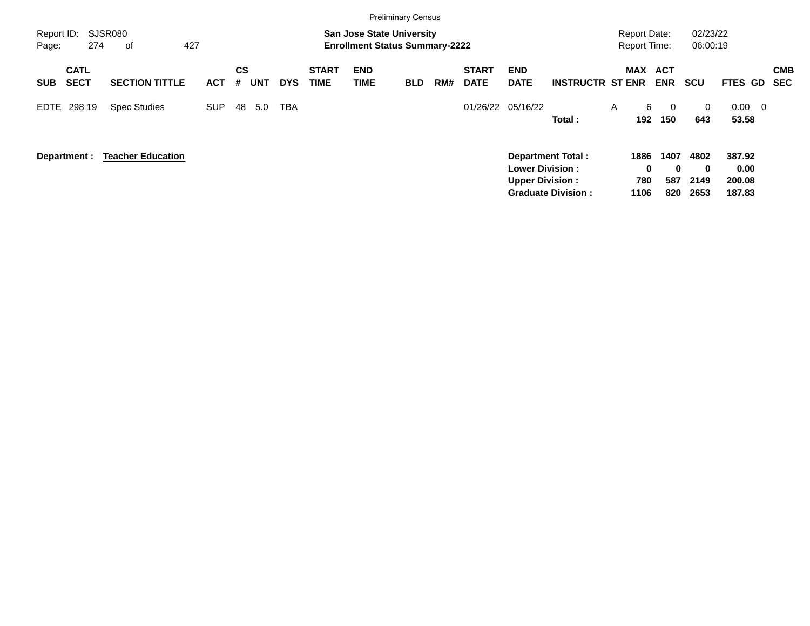|                     |                            |                          |            |                |            |            |                             | <b>Preliminary Census</b>                                                 |            |     |                             |                                                                              |                           |   |                          |                                            |                                  |                                    |                          |
|---------------------|----------------------------|--------------------------|------------|----------------|------------|------------|-----------------------------|---------------------------------------------------------------------------|------------|-----|-----------------------------|------------------------------------------------------------------------------|---------------------------|---|--------------------------|--------------------------------------------|----------------------------------|------------------------------------|--------------------------|
| Report ID:<br>Page: | 274                        | SJSR080<br>427<br>0f     |            |                |            |            |                             | <b>San Jose State University</b><br><b>Enrollment Status Summary-2222</b> |            |     |                             |                                                                              |                           |   |                          | <b>Report Date:</b><br><b>Report Time:</b> | 02/23/22<br>06:00:19             |                                    |                          |
| <b>SUB</b>          | <b>CATL</b><br><b>SECT</b> | <b>SECTION TITTLE</b>    | <b>ACT</b> | <b>CS</b><br># | <b>UNT</b> | <b>DYS</b> | <b>START</b><br><b>TIME</b> | <b>END</b><br><b>TIME</b>                                                 | <b>BLD</b> | RM# | <b>START</b><br><b>DATE</b> | <b>END</b><br><b>DATE</b>                                                    | <b>INSTRUCTR ST ENR</b>   |   |                          | MAX ACT<br><b>ENR</b>                      | <b>SCU</b>                       | <b>FTES GD</b>                     | <b>CMB</b><br><b>SEC</b> |
| EDTE                | 298 19                     | <b>Spec Studies</b>      | <b>SUP</b> | 48             | 5.0        | TBA        |                             |                                                                           |            |     | 01/26/22                    | 05/16/22                                                                     | Total:                    | A | 6<br>192                 | $\Omega$<br>150                            | $\Omega$<br>643                  | 0.00<br>53.58                      | $\overline{0}$           |
|                     | Department :               | <b>Teacher Education</b> |            |                |            |            |                             |                                                                           |            |     |                             | <b>Department Total:</b><br><b>Lower Division:</b><br><b>Upper Division:</b> | <b>Graduate Division:</b> |   | 1886<br>0<br>780<br>1106 | 1407<br>$\bf{0}$<br>587<br>820             | 4802<br>$\bf{0}$<br>2149<br>2653 | 387.92<br>0.00<br>200.08<br>187.83 |                          |